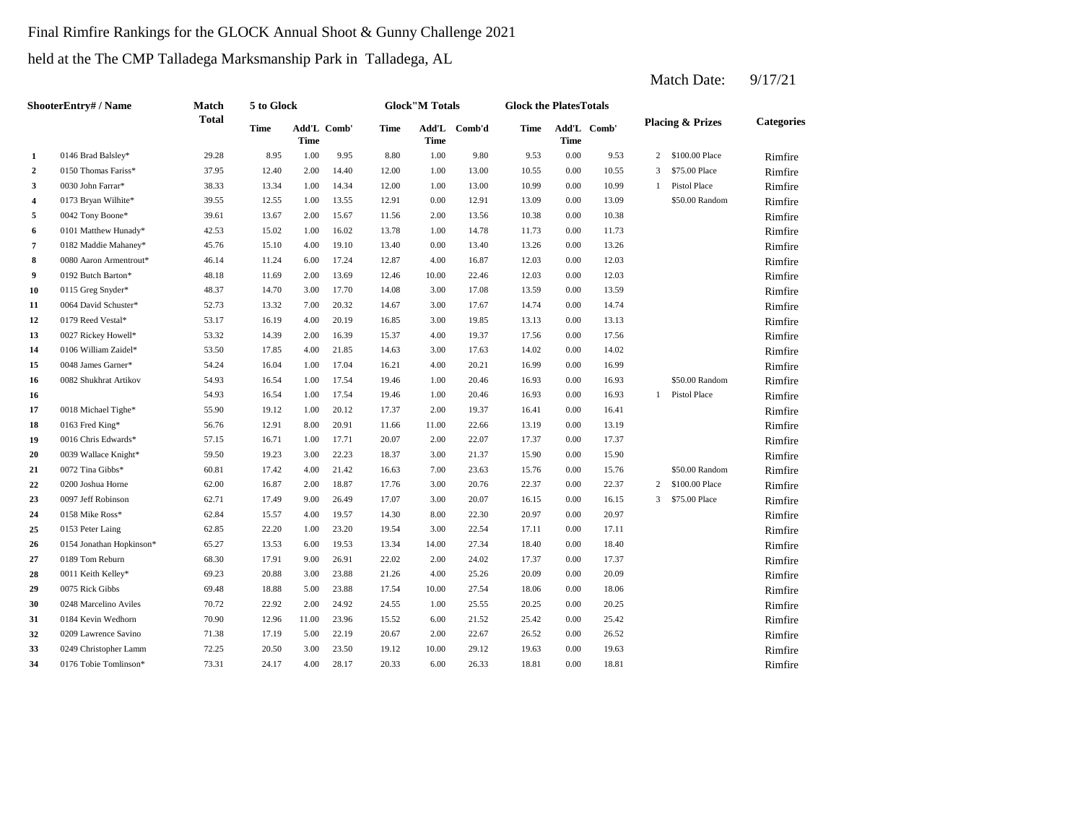# Final Rimfire Rankings for the GLOCK Annual Shoot & Gunny Challenge 2021

held at the The CMP Talladega Marksmanship Park in Talladega, AL

|                | <b>ShooterEntry#/Name</b> | Match        | 5 to Glock  |                            |       |       | <b>Glock"M Totals</b> |        | <b>Glock the PlatesTotals</b> |                     |       |   |                             |                   |
|----------------|---------------------------|--------------|-------------|----------------------------|-------|-------|-----------------------|--------|-------------------------------|---------------------|-------|---|-----------------------------|-------------------|
|                |                           | <b>Total</b> | <b>Time</b> | Add'L Comb'<br><b>Time</b> |       | Time  | Add'L<br>Time         | Comb'd | <b>Time</b>                   | Add'L Comb'<br>Time |       |   | <b>Placing &amp; Prizes</b> | <b>Categories</b> |
| 1              | 0146 Brad Balsley*        | 29.28        | 8.95        | 1.00                       | 9.95  | 8.80  | 1.00                  | 9.80   | 9.53                          | 0.00                | 9.53  | 2 | \$100.00 Place              | Rimfire           |
| $\overline{a}$ | 0150 Thomas Fariss*       | 37.95        | 12.40       | 2.00                       | 14.40 | 12.00 | 1.00                  | 13.00  | 10.55                         | 0.00                | 10.55 | 3 | \$75.00 Place               | Rimfire           |
| 3              | 0030 John Farrar*         | 38.33        | 13.34       | 1.00                       | 14.34 | 12.00 | 1.00                  | 13.00  | 10.99                         | 0.00                | 10.99 | 1 | Pistol Place                | Rimfire           |
| 4              | 0173 Bryan Wilhite*       | 39.55        | 12.55       | 1.00                       | 13.55 | 12.91 | 0.00                  | 12.91  | 13.09                         | 0.00                | 13.09 |   | \$50.00 Random              | Rimfire           |
| 5              | 0042 Tony Boone*          | 39.61        | 13.67       | 2.00                       | 15.67 | 11.56 | 2.00                  | 13.56  | 10.38                         | 0.00                | 10.38 |   |                             | Rimfire           |
| 6              | 0101 Matthew Hunady*      | 42.53        | 15.02       | 1.00                       | 16.02 | 13.78 | 1.00                  | 14.78  | 11.73                         | 0.00                | 11.73 |   |                             | Rimfire           |
| $\overline{7}$ | 0182 Maddie Mahaney*      | 45.76        | 15.10       | 4.00                       | 19.10 | 13.40 | 0.00                  | 13.40  | 13.26                         | 0.00                | 13.26 |   |                             | Rimfire           |
| $\bf 8$        | 0080 Aaron Armentrout*    | 46.14        | 11.24       | 6.00                       | 17.24 | 12.87 | 4.00                  | 16.87  | 12.03                         | 0.00                | 12.03 |   |                             | Rimfire           |
| 9              | 0192 Butch Barton*        | 48.18        | 11.69       | 2.00                       | 13.69 | 12.46 | 10.00                 | 22.46  | 12.03                         | 0.00                | 12.03 |   |                             | Rimfire           |
| 10             | 0115 Greg Snyder*         | 48.37        | 14.70       | 3.00                       | 17.70 | 14.08 | 3.00                  | 17.08  | 13.59                         | 0.00                | 13.59 |   |                             | Rimfire           |
| 11             | 0064 David Schuster*      | 52.73        | 13.32       | 7.00                       | 20.32 | 14.67 | 3.00                  | 17.67  | 14.74                         | 0.00                | 14.74 |   |                             | Rimfire           |
| 12             | 0179 Reed Vestal*         | 53.17        | 16.19       | 4.00                       | 20.19 | 16.85 | 3.00                  | 19.85  | 13.13                         | 0.00                | 13.13 |   |                             | Rimfire           |
| 13             | 0027 Rickey Howell*       | 53.32        | 14.39       | 2.00                       | 16.39 | 15.37 | 4.00                  | 19.37  | 17.56                         | 0.00                | 17.56 |   |                             | Rimfire           |
| 14             | 0106 William Zaidel*      | 53.50        | 17.85       | 4.00                       | 21.85 | 14.63 | 3.00                  | 17.63  | 14.02                         | 0.00                | 14.02 |   |                             | Rimfire           |
| 15             | 0048 James Garner*        | 54.24        | 16.04       | 1.00                       | 17.04 | 16.21 | 4.00                  | 20.21  | 16.99                         | 0.00                | 16.99 |   |                             | Rimfire           |
| 16             | 0082 Shukhrat Artikov     | 54.93        | 16.54       | 1.00                       | 17.54 | 19.46 | 1.00                  | 20.46  | 16.93                         | 0.00                | 16.93 |   | \$50.00 Random              | Rimfire           |
| 16             |                           | 54.93        | 16.54       | 1.00                       | 17.54 | 19.46 | 1.00                  | 20.46  | 16.93                         | 0.00                | 16.93 | 1 | Pistol Place                | Rimfire           |
| 17             | 0018 Michael Tighe*       | 55.90        | 19.12       | 1.00                       | 20.12 | 17.37 | 2.00                  | 19.37  | 16.41                         | 0.00                | 16.41 |   |                             | Rimfire           |
| 18             | 0163 Fred King*           | 56.76        | 12.91       | 8.00                       | 20.91 | 11.66 | 11.00                 | 22.66  | 13.19                         | 0.00                | 13.19 |   |                             | Rimfire           |
| 19             | 0016 Chris Edwards*       | 57.15        | 16.71       | 1.00                       | 17.71 | 20.07 | 2.00                  | 22.07  | 17.37                         | 0.00                | 17.37 |   |                             | Rimfire           |
| 20             | 0039 Wallace Knight*      | 59.50        | 19.23       | 3.00                       | 22.23 | 18.37 | 3.00                  | 21.37  | 15.90                         | 0.00                | 15.90 |   |                             | Rimfire           |
| 21             | 0072 Tina Gibbs*          | 60.81        | 17.42       | 4.00                       | 21.42 | 16.63 | 7.00                  | 23.63  | 15.76                         | 0.00                | 15.76 |   | \$50.00 Random              | Rimfire           |
| 22             | 0200 Joshua Horne         | 62.00        | 16.87       | 2.00                       | 18.87 | 17.76 | 3.00                  | 20.76  | 22.37                         | 0.00                | 22.37 | 2 | \$100.00 Place              | Rimfire           |
| 23             | 0097 Jeff Robinson        | 62.71        | 17.49       | 9.00                       | 26.49 | 17.07 | 3.00                  | 20.07  | 16.15                         | 0.00                | 16.15 | 3 | \$75.00 Place               | Rimfire           |
| 24             | 0158 Mike Ross*           | 62.84        | 15.57       | 4.00                       | 19.57 | 14.30 | 8.00                  | 22.30  | 20.97                         | 0.00                | 20.97 |   |                             | Rimfire           |
| 25             | 0153 Peter Laing          | 62.85        | 22.20       | 1.00                       | 23.20 | 19.54 | 3.00                  | 22.54  | 17.11                         | 0.00                | 17.11 |   |                             | Rimfire           |
| 26             | 0154 Jonathan Hopkinson*  | 65.27        | 13.53       | 6.00                       | 19.53 | 13.34 | 14.00                 | 27.34  | 18.40                         | 0.00                | 18.40 |   |                             | Rimfire           |
| 27             | 0189 Tom Reburn           | 68.30        | 17.91       | 9.00                       | 26.91 | 22.02 | 2.00                  | 24.02  | 17.37                         | 0.00                | 17.37 |   |                             | Rimfire           |
| 28             | 0011 Keith Kelley*        | 69.23        | 20.88       | 3.00                       | 23.88 | 21.26 | 4.00                  | 25.26  | 20.09                         | 0.00                | 20.09 |   |                             | Rimfire           |
| 29             | 0075 Rick Gibbs           | 69.48        | 18.88       | 5.00                       | 23.88 | 17.54 | 10.00                 | 27.54  | 18.06                         | 0.00                | 18.06 |   |                             | Rimfire           |
| 30             | 0248 Marcelino Aviles     | 70.72        | 22.92       | 2.00                       | 24.92 | 24.55 | 1.00                  | 25.55  | 20.25                         | 0.00                | 20.25 |   |                             | Rimfire           |
| 31             | 0184 Kevin Wedhorn        | 70.90        | 12.96       | 11.00                      | 23.96 | 15.52 | 6.00                  | 21.52  | 25.42                         | 0.00                | 25.42 |   |                             | Rimfire           |
| 32             | 0209 Lawrence Savino      | 71.38        | 17.19       | 5.00                       | 22.19 | 20.67 | 2.00                  | 22.67  | 26.52                         | 0.00                | 26.52 |   |                             | Rimfire           |
| 33             | 0249 Christopher Lamm     | 72.25        | 20.50       | 3.00                       | 23.50 | 19.12 | 10.00                 | 29.12  | 19.63                         | 0.00                | 19.63 |   |                             | Rimfire           |
| 34             | 0176 Tobie Tomlinson*     | 73.31        | 24.17       | 4.00                       | 28.17 | 20.33 | 6.00                  | 26.33  | 18.81                         | 0.00                | 18.81 |   |                             | Rimfire           |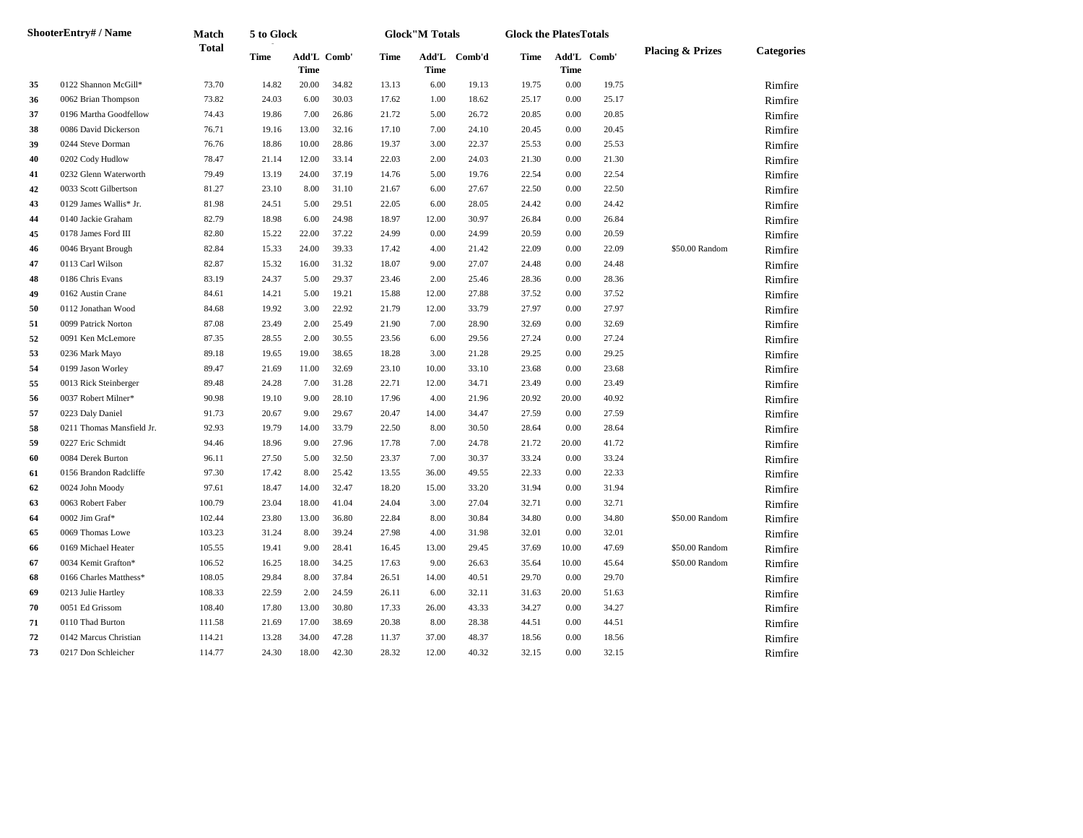|    | <b>ShooterEntry#/Name</b> | Match        | 5 to Glock  |       |             |       | <b>Glock</b> "M Totals |        | <b>Glock the PlatesTotals</b> |             |             |                             |                   |
|----|---------------------------|--------------|-------------|-------|-------------|-------|------------------------|--------|-------------------------------|-------------|-------------|-----------------------------|-------------------|
|    |                           | <b>Total</b> | <b>Time</b> | Time  | Add'L Comb' | Time  | Add'L<br><b>Time</b>   | Comb'd | Time                          | <b>Time</b> | Add'L Comb' | <b>Placing &amp; Prizes</b> | <b>Categories</b> |
| 35 | 0122 Shannon McGill*      | 73.70        | 14.82       | 20.00 | 34.82       | 13.13 | 6.00                   | 19.13  | 19.75                         | 0.00        | 19.75       |                             | Rimfire           |
| 36 | 0062 Brian Thompson       | 73.82        | 24.03       | 6.00  | 30.03       | 17.62 | 1.00                   | 18.62  | 25.17                         | $0.00\,$    | 25.17       |                             | Rimfire           |
| 37 | 0196 Martha Goodfellow    | 74.43        | 19.86       | 7.00  | 26.86       | 21.72 | 5.00                   | 26.72  | 20.85                         | 0.00        | 20.85       |                             | Rimfire           |
| 38 | 0086 David Dickerson      | 76.71        | 19.16       | 13.00 | 32.16       | 17.10 | 7.00                   | 24.10  | 20.45                         | 0.00        | 20.45       |                             | Rimfire           |
| 39 | 0244 Steve Dorman         | 76.76        | 18.86       | 10.00 | 28.86       | 19.37 | 3.00                   | 22.37  | 25.53                         | 0.00        | 25.53       |                             | Rimfire           |
| 40 | 0202 Cody Hudlow          | 78.47        | 21.14       | 12.00 | 33.14       | 22.03 | 2.00                   | 24.03  | 21.30                         | 0.00        | 21.30       |                             | Rimfire           |
| 41 | 0232 Glenn Waterworth     | 79.49        | 13.19       | 24.00 | 37.19       | 14.76 | 5.00                   | 19.76  | 22.54                         | $0.00\,$    | 22.54       |                             | Rimfire           |
| 42 | 0033 Scott Gilbertson     | 81.27        | 23.10       | 8.00  | 31.10       | 21.67 | 6.00                   | 27.67  | 22.50                         | $0.00\,$    | 22.50       |                             | Rimfire           |
| 43 | 0129 James Wallis* Jr.    | 81.98        | 24.51       | 5.00  | 29.51       | 22.05 | 6.00                   | 28.05  | 24.42                         | $0.00\,$    | 24.42       |                             | Rimfire           |
| 44 | 0140 Jackie Graham        | 82.79        | 18.98       | 6.00  | 24.98       | 18.97 | 12.00                  | 30.97  | 26.84                         | 0.00        | 26.84       |                             | Rimfire           |
| 45 | 0178 James Ford III       | 82.80        | 15.22       | 22.00 | 37.22       | 24.99 | 0.00                   | 24.99  | 20.59                         | 0.00        | 20.59       |                             | Rimfire           |
| 46 | 0046 Bryant Brough        | 82.84        | 15.33       | 24.00 | 39.33       | 17.42 | 4.00                   | 21.42  | 22.09                         | 0.00        | 22.09       | \$50.00 Random              | Rimfire           |
| 47 | 0113 Carl Wilson          | 82.87        | 15.32       | 16.00 | 31.32       | 18.07 | 9.00                   | 27.07  | 24.48                         | $0.00\,$    | 24.48       |                             | Rimfire           |
| 48 | 0186 Chris Evans          | 83.19        | 24.37       | 5.00  | 29.37       | 23.46 | 2.00                   | 25.46  | 28.36                         | $0.00\,$    | 28.36       |                             | Rimfire           |
| 49 | 0162 Austin Crane         | 84.61        | 14.21       | 5.00  | 19.21       | 15.88 | 12.00                  | 27.88  | 37.52                         | 0.00        | 37.52       |                             | Rimfire           |
| 50 | 0112 Jonathan Wood        | 84.68        | 19.92       | 3.00  | 22.92       | 21.79 | 12.00                  | 33.79  | 27.97                         | 0.00        | 27.97       |                             | Rimfire           |
| 51 | 0099 Patrick Norton       | 87.08        | 23.49       | 2.00  | 25.49       | 21.90 | 7.00                   | 28.90  | 32.69                         | 0.00        | 32.69       |                             | Rimfire           |
| 52 | 0091 Ken McLemore         | 87.35        | 28.55       | 2.00  | 30.55       | 23.56 | 6.00                   | 29.56  | 27.24                         | 0.00        | 27.24       |                             | Rimfire           |
| 53 | 0236 Mark Mayo            | 89.18        | 19.65       | 19.00 | 38.65       | 18.28 | 3.00                   | 21.28  | 29.25                         | $0.00\,$    | 29.25       |                             | Rimfire           |
| 54 | 0199 Jason Worley         | 89.47        | 21.69       | 11.00 | 32.69       | 23.10 | 10.00                  | 33.10  | 23.68                         | $0.00\,$    | 23.68       |                             | Rimfire           |
| 55 | 0013 Rick Steinberger     | 89.48        | 24.28       | 7.00  | 31.28       | 22.71 | 12.00                  | 34.71  | 23.49                         | 0.00        | 23.49       |                             | Rimfire           |
| 56 | 0037 Robert Milner*       | 90.98        | 19.10       | 9.00  | 28.10       | 17.96 | 4.00                   | 21.96  | 20.92                         | 20.00       | 40.92       |                             | Rimfire           |
| 57 | 0223 Daly Daniel          | 91.73        | 20.67       | 9.00  | 29.67       | 20.47 | 14.00                  | 34.47  | 27.59                         | 0.00        | 27.59       |                             | Rimfire           |
| 58 | 0211 Thomas Mansfield Jr. | 92.93        | 19.79       | 14.00 | 33.79       | 22.50 | 8.00                   | 30.50  | 28.64                         | 0.00        | 28.64       |                             | Rimfire           |
| 59 | 0227 Eric Schmidt         | 94.46        | 18.96       | 9.00  | 27.96       | 17.78 | 7.00                   | 24.78  | 21.72                         | 20.00       | 41.72       |                             | Rimfire           |
| 60 | 0084 Derek Burton         | 96.11        | 27.50       | 5.00  | 32.50       | 23.37 | 7.00                   | 30.37  | 33.24                         | $0.00\,$    | 33.24       |                             | Rimfire           |
| 61 | 0156 Brandon Radcliffe    | 97.30        | 17.42       | 8.00  | 25.42       | 13.55 | 36.00                  | 49.55  | 22.33                         | 0.00        | 22.33       |                             | Rimfire           |
| 62 | 0024 John Moody           | 97.61        | 18.47       | 14.00 | 32.47       | 18.20 | 15.00                  | 33.20  | 31.94                         | 0.00        | 31.94       |                             | Rimfire           |
| 63 | 0063 Robert Faber         | 100.79       | 23.04       | 18.00 | 41.04       | 24.04 | 3.00                   | 27.04  | 32.71                         | 0.00        | 32.71       |                             | Rimfire           |
| 64 | 0002 Jim Graf*            | 102.44       | 23.80       | 13.00 | 36.80       | 22.84 | 8.00                   | 30.84  | 34.80                         | 0.00        | 34.80       | \$50.00 Random              | Rimfire           |
| 65 | 0069 Thomas Lowe          | 103.23       | 31.24       | 8.00  | 39.24       | 27.98 | 4.00                   | 31.98  | 32.01                         | 0.00        | 32.01       |                             | Rimfire           |
| 66 | 0169 Michael Heater       | 105.55       | 19.41       | 9.00  | 28.41       | 16.45 | 13.00                  | 29.45  | 37.69                         | 10.00       | 47.69       | \$50.00 Random              | Rimfire           |
| 67 | 0034 Kemit Grafton*       | 106.52       | 16.25       | 18.00 | 34.25       | 17.63 | 9.00                   | 26.63  | 35.64                         | 10.00       | 45.64       | \$50.00 Random              | Rimfire           |
| 68 | 0166 Charles Matthess*    | 108.05       | 29.84       | 8.00  | 37.84       | 26.51 | 14.00                  | 40.51  | 29.70                         | 0.00        | 29.70       |                             | Rimfire           |
| 69 | 0213 Julie Hartley        | 108.33       | 22.59       | 2.00  | 24.59       | 26.11 | 6.00                   | 32.11  | 31.63                         | 20.00       | 51.63       |                             | Rimfire           |
| 70 | 0051 Ed Grissom           | 108.40       | 17.80       | 13.00 | 30.80       | 17.33 | 26.00                  | 43.33  | 34.27                         | $0.00\,$    | 34.27       |                             | Rimfire           |
| 71 | 0110 Thad Burton          | 111.58       | 21.69       | 17.00 | 38.69       | 20.38 | 8.00                   | 28.38  | 44.51                         | $0.00\,$    | 44.51       |                             | Rimfire           |
| 72 | 0142 Marcus Christian     | 114.21       | 13.28       | 34.00 | 47.28       | 11.37 | 37.00                  | 48.37  | 18.56                         | 0.00        | 18.56       |                             | Rimfire           |
| 73 | 0217 Don Schleicher       | 114.77       | 24.30       | 18.00 | 42.30       | 28.32 | 12.00                  | 40.32  | 32.15                         | 0.00        | 32.15       |                             | Rimfire           |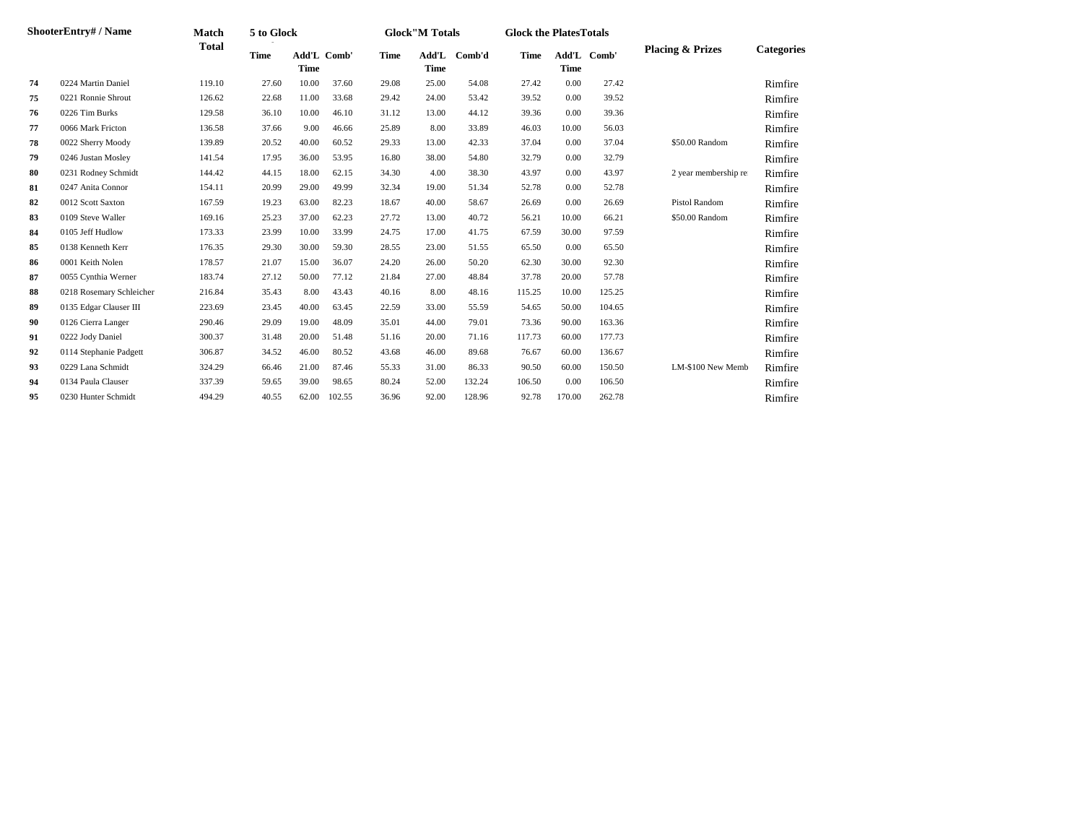|    | <b>ShooterEntry#/Name</b> | Match        | 5 to Glock  |             |                    |             | <b>Glock</b> "M Totals |        | <b>Glock the PlatesTotals</b> |             |             |                             |                   |
|----|---------------------------|--------------|-------------|-------------|--------------------|-------------|------------------------|--------|-------------------------------|-------------|-------------|-----------------------------|-------------------|
|    |                           | <b>Total</b> | <b>Time</b> | <b>Time</b> | <b>Add'L Comb'</b> | <b>Time</b> | Add'L<br><b>Time</b>   | Comb'd | <b>Time</b>                   | <b>Time</b> | Add'L Comb' | <b>Placing &amp; Prizes</b> | <b>Categories</b> |
| 74 | 0224 Martin Daniel        | 119.10       | 27.60       | 10.00       | 37.60              | 29.08       | 25.00                  | 54.08  | 27.42                         | 0.00        | 27.42       |                             | Rimfire           |
| 75 | 0221 Ronnie Shrout        | 126.62       | 22.68       | 11.00       | 33.68              | 29.42       | 24.00                  | 53.42  | 39.52                         | 0.00        | 39.52       |                             | Rimfire           |
| 76 | 0226 Tim Burks            | 129.58       | 36.10       | 10.00       | 46.10              | 31.12       | 13.00                  | 44.12  | 39.36                         | 0.00        | 39.36       |                             | Rimfire           |
| 77 | 0066 Mark Fricton         | 136.58       | 37.66       | 9.00        | 46.66              | 25.89       | 8.00                   | 33.89  | 46.03                         | 10.00       | 56.03       |                             | Rimfire           |
| 78 | 0022 Sherry Moody         | 139.89       | 20.52       | 40.00       | 60.52              | 29.33       | 13.00                  | 42.33  | 37.04                         | 0.00        | 37.04       | \$50.00 Random              | Rimfire           |
| 79 | 0246 Justan Mosley        | 141.54       | 17.95       | 36.00       | 53.95              | 16.80       | 38.00                  | 54.80  | 32.79                         | 0.00        | 32.79       |                             | Rimfire           |
| 80 | 0231 Rodney Schmidt       | 144.42       | 44.15       | 18.00       | 62.15              | 34.30       | 4.00                   | 38.30  | 43.97                         | 0.00        | 43.97       | 2 year membership re        | Rimfire           |
| 81 | 0247 Anita Connor         | 154.11       | 20.99       | 29.00       | 49.99              | 32.34       | 19.00                  | 51.34  | 52.78                         | 0.00        | 52.78       |                             | Rimfire           |
| 82 | 0012 Scott Saxton         | 167.59       | 19.23       | 63.00       | 82.23              | 18.67       | 40.00                  | 58.67  | 26.69                         | 0.00        | 26.69       | Pistol Random               | Rimfire           |
| 83 | 0109 Steve Waller         | 169.16       | 25.23       | 37.00       | 62.23              | 27.72       | 13.00                  | 40.72  | 56.21                         | 10.00       | 66.21       | \$50.00 Random              | Rimfire           |
| 84 | 0105 Jeff Hudlow          | 173.33       | 23.99       | 10.00       | 33.99              | 24.75       | 17.00                  | 41.75  | 67.59                         | 30.00       | 97.59       |                             | Rimfire           |
| 85 | 0138 Kenneth Kerr         | 176.35       | 29.30       | 30.00       | 59.30              | 28.55       | 23.00                  | 51.55  | 65.50                         | 0.00        | 65.50       |                             | Rimfire           |
| 86 | 0001 Keith Nolen          | 178.57       | 21.07       | 15.00       | 36.07              | 24.20       | 26.00                  | 50.20  | 62.30                         | 30.00       | 92.30       |                             | Rimfire           |
| 87 | 0055 Cynthia Werner       | 183.74       | 27.12       | 50.00       | 77.12              | 21.84       | 27.00                  | 48.84  | 37.78                         | 20.00       | 57.78       |                             | Rimfire           |
| 88 | 0218 Rosemary Schleicher  | 216.84       | 35.43       | 8.00        | 43.43              | 40.16       | 8.00                   | 48.16  | 115.25                        | 10.00       | 125.25      |                             | Rimfire           |
| 89 | 0135 Edgar Clauser III    | 223.69       | 23.45       | 40.00       | 63.45              | 22.59       | 33.00                  | 55.59  | 54.65                         | 50.00       | 104.65      |                             | Rimfire           |
| 90 | 0126 Cierra Langer        | 290.46       | 29.09       | 19.00       | 48.09              | 35.01       | 44.00                  | 79.01  | 73.36                         | 90.00       | 163.36      |                             | Rimfire           |
| 91 | 0222 Jody Daniel          | 300.37       | 31.48       | 20.00       | 51.48              | 51.16       | 20.00                  | 71.16  | 117.73                        | 60.00       | 177.73      |                             | Rimfire           |
| 92 | 0114 Stephanie Padgett    | 306.87       | 34.52       | 46.00       | 80.52              | 43.68       | 46.00                  | 89.68  | 76.67                         | 60.00       | 136.67      |                             | Rimfire           |
| 93 | 0229 Lana Schmidt         | 324.29       | 66.46       | 21.00       | 87.46              | 55.33       | 31.00                  | 86.33  | 90.50                         | 60.00       | 150.50      | LM-\$100 New Memb           | Rimfire           |
| 94 | 0134 Paula Clauser        | 337.39       | 59.65       | 39.00       | 98.65              | 80.24       | 52.00                  | 132.24 | 106.50                        | 0.00        | 106.50      |                             | Rimfire           |
| 95 | 0230 Hunter Schmidt       | 494.29       | 40.55       | 62.00       | 102.55             | 36.96       | 92.00                  | 128.96 | 92.78                         | 170.00      | 262.78      |                             | Rimfire           |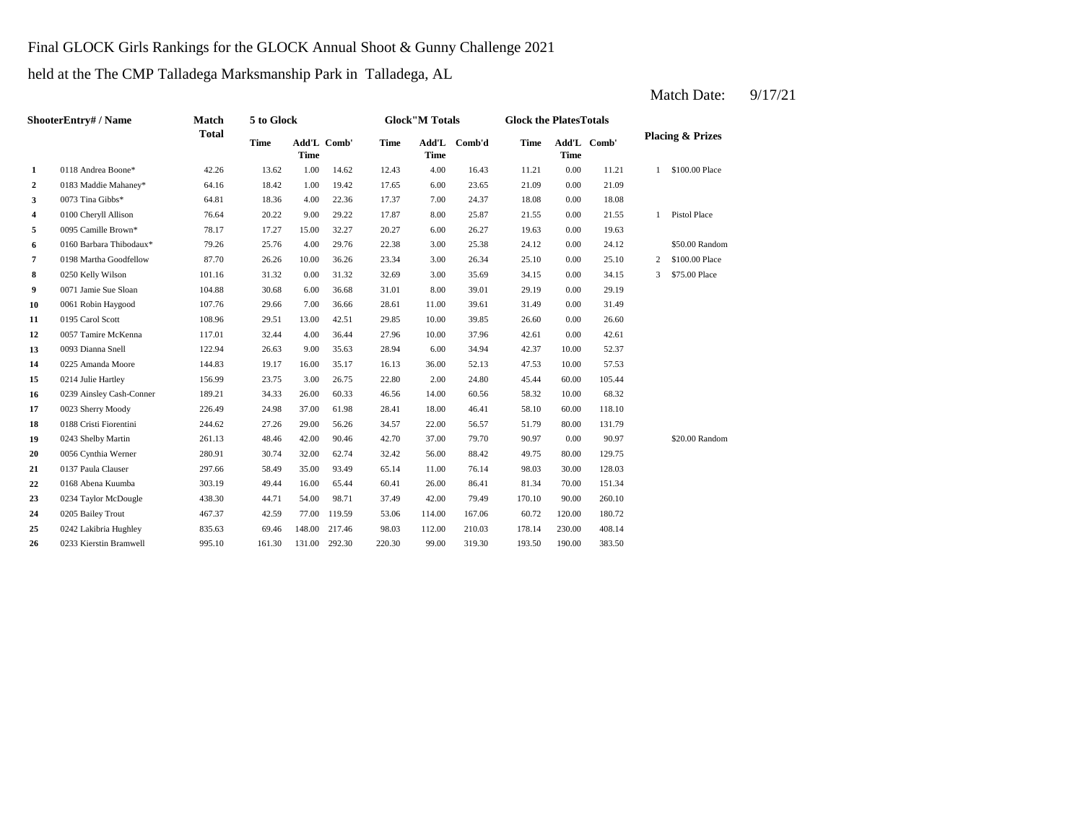### Final GLOCK Girls Rankings for the GLOCK Annual Shoot & Gunny Challenge 2021

held at the The CMP Talladega Marksmanship Park in Talladega, AL

**2** 6.00 21.09 0183 Maddie Mahaney\* 64.16 18.42 1.00 19.42 **3** 7.00 **24.37** 18.08 **64.81** 18.36 4.00 **22.36** 17.37 7.00 **24.37** 18.08 **4** 8.00 0100 Cheryll Allison 76.64 20.22 9.00 29.22 17.87 8.00 25.87 21.55 **5 6.00 26.27 19.63 6.00 26.27 19.63 6.00 26.27 19.63 6** 3.00 24.12 0160 Barbara Thibodaux\* 79.26 25.76 4.00 29.76 22.38 25.38 **7** 3.00 25.10 0198 Martha Goodfellow 87.70 26.26 10.00 36.26 23.34 26.34 **8** 3.00 35.69 34.15 **8** 32.69 32.69 32.69 3.00 31.32 32.69 3.00 35.69 34.15 **9** 8.00 **1 Jamie Sue Sloan** 104.88 30.68 6.00 36.68 31.01 8.00 39.01 29.19 **10** 0061 Robin Haygood 107.76 29.66 7.00 36.66 28.61 11.00 39.61 31.49 **11** 0195 Carol Scott 108.96 29.51 13.00 42.51 29.85 10.00 39.85 26.60 **12** 0057 Tamire McKenna **117.01** 32.44 4.00 36.44 27.96 10.00 37.96 42.61 0.00 **13** 6.00 **122.94** 122.94 26.63 9.00 35.63 28.94 34.94 34.94 42.37 10.00 52.37 **14** 36.00 47.53 0225 Amanda Moore 144.83 19.17 16.00 35.17 16.13 **15** 2.00 45.44 0214 Julie Hartley 156.99 23.75 3.00 26.75 22.80 24.80 **16** 0239 Ainsley Cash-Conner 189.21 34.33 26.00 60.33 46.56 14.00 60.56 58.32 10.00 **17** 0023 Sherry Moody 226.49 24.98 37.00 61.98 28.41 18.00 46.41 58.10 60.00 118.10 **18** 0188 Cristi Fiorentini 244.62 27.26 29.00 56.26 34.57 22.00 56.57 51.79 **19** 37.00 90.97 0243 Shelby Martin 261.13 48.46 42.00 90.46 42.70 79.70 **20** 0056 Cynthia Werner 280.91 30.74 32.00 62.74 32.42 56.00 88.42 49.75 **21** 0137 Paula Clauser **297.66** 58.49 35.00 93.49 65.14 11.00 76.14 98.03 30.00 22 0168 Abena Kuumba 303.19 49.44 16.00 65.44 60.41 26.00 86.41 81.34 70.00 151.34 **23** 0234 Taylor McDougle 438.30 44.71 54.00 98.71 37.49 42.00 79.49 170.10 **24** 0205 Bailey Trout **167.37** 42.59 77.00 119.59 53.06 114.00 167.06 60.72 **25** 112.00 178.14 0242 Lakibria Hughley 835.63 69.46 148.00 217.46 98.03 210.03 230.00 **26** 99.00 193.50 0233 Kierstin Bramwell 995.10 161.30 131.00 292.30 220.30 319.30 190.00 383.50 408.14 120.00 180.72 79.49 170.10 90.00 260.10 128.03 80.00 129.75 0.00 90.97 \$20.00 Random 56.57 80.00 131.79 68.32 60.00 105.44 52.13 10.00 57.53 42.61 0.00 26.60 39.61 0.00 31.49 31.01 39.01 0.00 29.19 35.69 0.00 34.15 3 \$75.00 Place 0.00 25.10 2 \$100.00 Place 0.00 24.12 \$50.00 Random 26.27 0.00 19.63 0.00 21.55 1 Pistol Place 24.37 0.00 18.08 17.65 6.00 23.65 21.09 0.00 21.09 11.21 0.00 11.21 1 \$100.00 Place Add'L Comb' **1** 0118 Andrea Boone\* 42.26 13.62 1.00 14.62 12.43 4.00 16.43 Add'L Comb' **Time Add'L Comb'd Time Add'L Time Time ShooterEntry# / Name Match Total 5 to Glock Time Glock"M Totals Glock the PlatesTotals Placing & Prizes Time Add'L Time**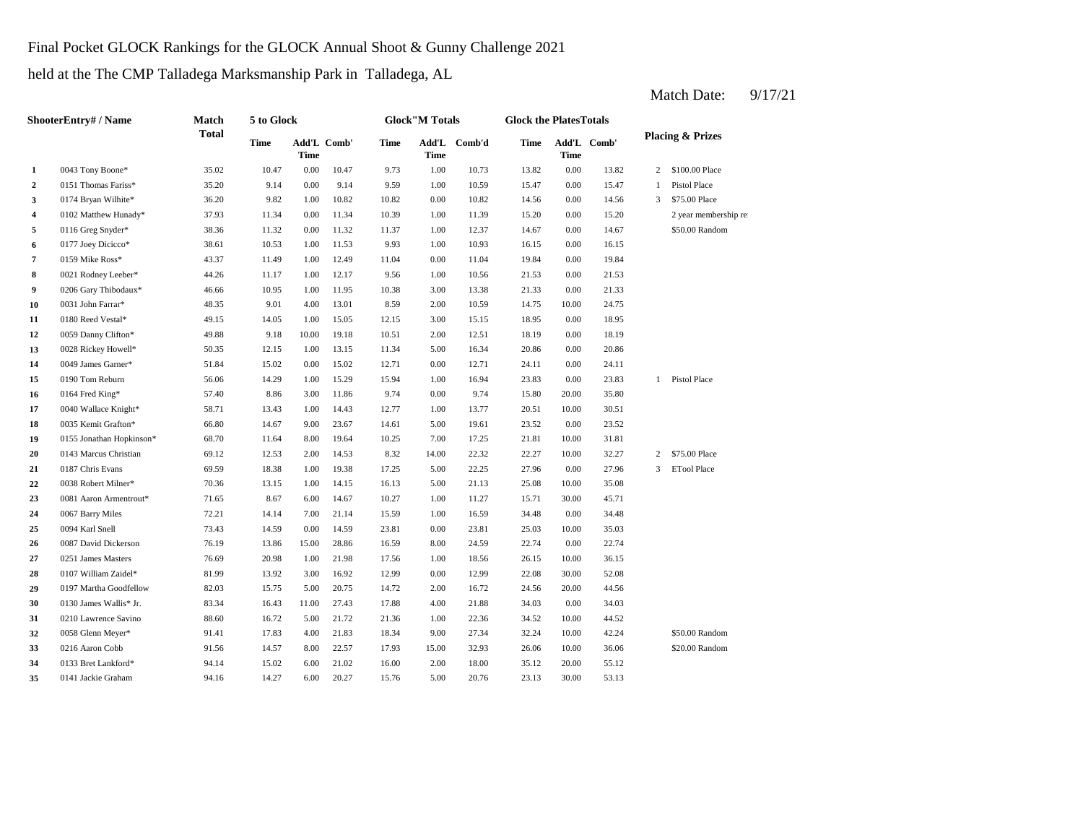## Final Pocket GLOCK Rankings for the GLOCK Annual Shoot & Gunny Challenge 2021

held at the The CMP Talladega Marksmanship Park in Talladega, AL

**2** 0151 Thomas Fariss\* 35.20 9.14 0.00 9.14 9.59 1.00 10.59 15.47 0.00 15.47 **3** 0174 Bryan Wilhite\* 36.20 9.82 1.00 10.82 10.82 0.00 10.82 14.56 0.00 **4** 1.00 15.20 0102 Matthew Hunady\* 37.93 11.34 0.00 11.34 10.39 11.39 **5** 0116 Greg Snyder\* 38.36 11.32 0.00 11.32 11.37 1.00 12.37 14.67 **6** 0177 Joey Dicicco\* 38.61 10.53 1.00 11.53 9.93 1.00 10.93 16.15 **7** 0159 Mike Ross\* **43.37** 11.49 1.00 12.49 11.04 0.00 11.04 19.84 0.00 **8** 0021 Rodney Leeber\* 44.26 11.17 1.00 12.17 9.56 1.00 10.56 21.53 0.00 21.53 **9** 0206 Gary Thibodaux\* **46.66** 10.95 1.00 11.95 10.38 3.00 13.38 21.33 **10** 0031 John Farrar\* **48.35** 9.01 4.00 13.01 8.59 2.00 10.59 14.75 **11**  $\frac{0180 \text{ Reed Vesta}^*}{0.950 \text{ Red Vesta}^*}$   $\frac{49.15}{49.15}$   $\frac{14.05}{14.05}$   $\frac{100}{15.05}$   $\frac{15.05}{12.15}$   $\frac{3.00}{3.00}$   $\frac{15.15}{18.95}$   $\frac{18.95}{18.95}$ **12** 2.00 18.19 0059 Danny Clifton\* 49.88 9.18 10.00 19.18 10.51 12.51 0.00 18.19 **13** 5.00 20.86 0028 Rickey Howell\* 50.35 12.15 1.00 13.15 11.34 **14** 0049 James Garner\* 51.84 15.02 0.00 15.02 12.71 0.00 12.71 24.11 **15** 0190 Tom Reburn 56.06 14.29 1.00 15.29 15.94 1.00 16.94 23.83 0.00 **16** 0164 Fred King\* **6.200 11.86** 5.00 11.86 9.74 9.00 9.74 15.80 **17** 0040 Wallace Knight\* 58.71 13.43 1.00 14.43 12.77 1.00 13.77 20.51 10.00 **18** 0035 Kemit Grafton\* 66.80 14.67 9.00 23.67 14.61 5.00 19.61 23.52 0.00 23.52 19 0155 Jonathan Hopkinson\* 68.70 11.64 8.00 19.64 10.25 7.00 17.25 21.81 **20** 0143 Marcus Christian 69.12 12.53 2.00 14.53 8.32 14.00 22.32 22.27 **21** 0187 Chris Evans 69.59 18.38 1.00 19.38 17.25 5.00 22.25 27.96 **22** 0038 Robert Milner\* 70.36 13.15 1.00 14.15 16.13 5.00 21.13 25.08 **23** 0081 Aaron Armentrout\* 71.65 8.67 6.00 14.67 10.27 1.00 11.27 15.71 **24** 0067 Barry Miles **22.21** 14.14 7.00 21.14 15.59 1.00 16.59 34.48 **25** 0.00 25.03 **26** 8.00 **Dickerson** 76.19 13.86 15.00 28.86 16.59 8.00 24.59 22.74 8.00 22.74 **27** 0251 James Masters **27** 20.98 1.00 21.98 1.7.56 1.00 18.56 26.15 **28** 0107 William Zaidel\* 81.99 13.92 3.00 16.92 12.99 0.00 12.99 22.08 **29** 0197 Martha Goodfellow 82.03 15.75 5.00 20.75 14.72 2.00 16.72 24.56 20.00 **30** 0130 James Wallis\* Jr. 83.34 16.43 11.00 27.43 17.88 4.00 21.88 34.03 0.00 34.03 **31** 0210 Lawrence Savino 88.60 16.72 5.00 21.72 21.36 1.00 22.36 34.52 **32** 9.0058 Glenn Meyer\* 91.41 17.83 4.00 21.83 18.34 9.00 27.34 32.24 **33** 0216 Aaron Cobb 91.56 14.57 8.00 22.57 17.93 15.00 32.93 26.06 **34** 2.00 35.12 0133 Bret Lankford\* 94.14 15.02 6.00 21.02 16.00 18.00 **35** 0141 Jackie Graham **94.16** 14.27 6.00 20.27 15.76 5.00 20.76 23.13 30.00 53.13 20.00 55.12 10.00 36.06 \$20.00 Random 10.00 42.24 \$50.00 Random 22.36 10.00 44.52 44.56 30.00 52.08 18.56 10.00 36.15 35.03 0.00 34.48 0094 Karl Snell 25.03 10.00 14.59 0.00 14.59 23.81 0.00 23.81 25.03 10.00 11.27 30.00 45.71 16.13 5.00 21.13 25.08 10.00 35.08 22.25 27.96 0.00 27.96 3 ETool Place 10.00 32.27 2 \$75.00 Place 17.25 21.81 10.00 31.81 30.51 20.00 35.80 23.83 1 Pistol Place 0.00 24.11 16.34 0.00 20.86 18.95 10.00 24.75 0180 Reed Vestal\* 49.15 14.05 1.00 15.05 12.15 15.15 0.00 13.38 0.00 21.33 19.84 0.00 16.15 0.00 14.67 \$50.00 Random 0.00 15.20 2 year membership re 14.56 3 \$75.00 Place 1 Pistol Place \$100.00 Place 1.00 10.73 13.82 0.00 13.82 2 **Time Add'L Comb' Time 1** 0043 Tony Boone\* 35.02 10.47 0.00 10.47 9.73 **Time Add'L Comb' Time Time Add'L Comb'd Time ShooterEntry# / Name Match Total 5 to Glock Time Glock"M Totals Glock the PlatesTotals Placing & Prizes**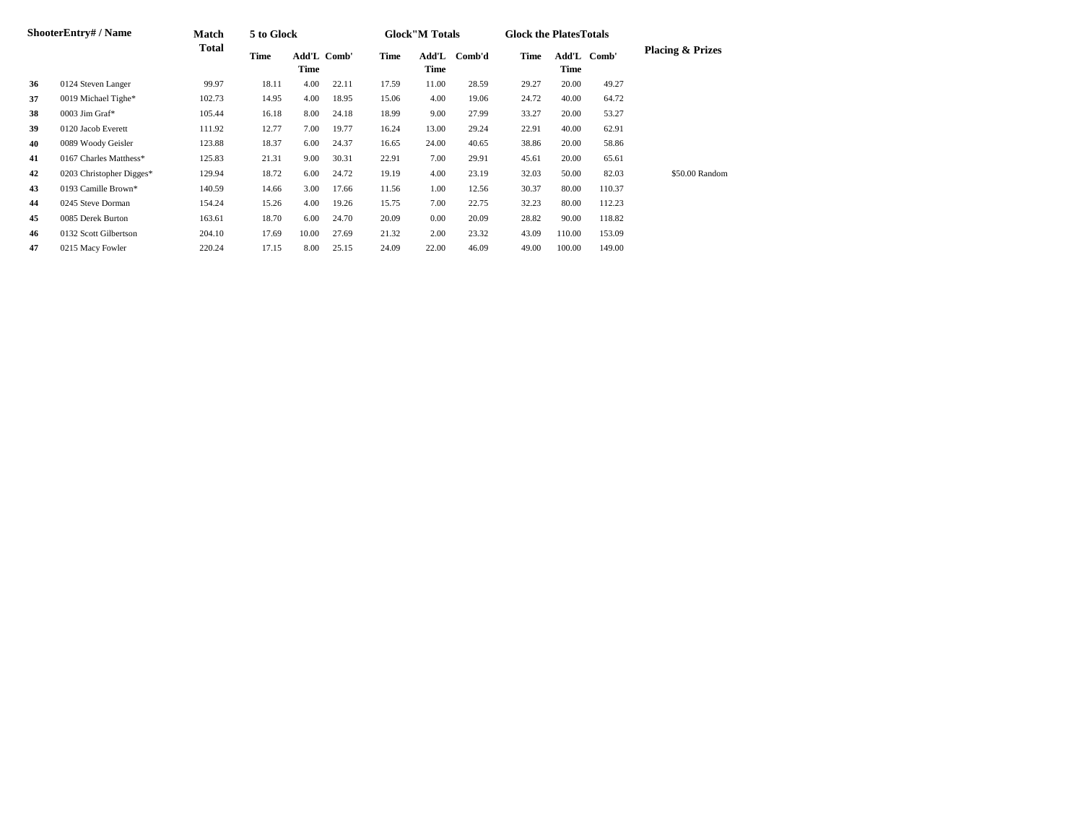|    | <b>ShooterEntry#/Name</b> | <b>Match</b> | 5 to Glock |       |             |       | <b>Glock</b> "M Totals |        | <b>Glock the Plates Totals</b> |        |             |                             |
|----|---------------------------|--------------|------------|-------|-------------|-------|------------------------|--------|--------------------------------|--------|-------------|-----------------------------|
|    |                           | Total        | Time       | Time  | Add'L Comb' | Time  | Add'L<br>Time          | Comb'd | Time                           | Time   | Add'L Comb' | <b>Placing &amp; Prizes</b> |
| 36 | 0124 Steven Langer        | 99.97        | 18.11      | 4.00  | 22.11       | 17.59 | 11.00                  | 28.59  | 29.27                          | 20.00  | 49.27       |                             |
| 37 | 0019 Michael Tighe*       | 102.73       | 14.95      | 4.00  | 18.95       | 15.06 | 4.00                   | 19.06  | 24.72                          | 40.00  | 64.72       |                             |
| 38 | $0003$ Jim Graf*          | 105.44       | 16.18      | 8.00  | 24.18       | 18.99 | 9.00                   | 27.99  | 33.27                          | 20.00  | 53.27       |                             |
| 39 | 0120 Jacob Everett        | 111.92       | 12.77      | 7.00  | 19.77       | 16.24 | 13.00                  | 29.24  | 22.91                          | 40.00  | 62.91       |                             |
| 40 | 0089 Woody Geisler        | 123.88       | 18.37      | 6.00  | 24.37       | 16.65 | 24.00                  | 40.65  | 38.86                          | 20.00  | 58.86       |                             |
| 41 | 0167 Charles Matthess*    | 125.83       | 21.31      | 9.00  | 30.31       | 22.91 | 7.00                   | 29.91  | 45.61                          | 20.00  | 65.61       |                             |
| 42 | 0203 Christopher Digges*  | 129.94       | 18.72      | 6.00  | 24.72       | 19.19 | 4.00                   | 23.19  | 32.03                          | 50.00  | 82.03       | \$50.00 Random              |
| 43 | 0193 Camille Brown*       | 140.59       | 14.66      | 3.00  | 17.66       | 11.56 | 1.00                   | 12.56  | 30.37                          | 80.00  | 110.37      |                             |
| 44 | 0245 Steve Dorman         | 154.24       | 15.26      | 4.00  | 19.26       | 15.75 | 7.00                   | 22.75  | 32.23                          | 80.00  | 112.23      |                             |
| 45 | 0085 Derek Burton         | 163.61       | 18.70      | 6.00  | 24.70       | 20.09 | 0.00                   | 20.09  | 28.82                          | 90.00  | 118.82      |                             |
| 46 | 0132 Scott Gilbertson     | 204.10       | 17.69      | 10.00 | 27.69       | 21.32 | 2.00                   | 23.32  | 43.09                          | 110.00 | 153.09      |                             |
| 47 | 0215 Macy Fowler          | 220.24       | 17.15      | 8.00  | 25.15       | 24.09 | 22.00                  | 46.09  | 49.00                          | 100.00 | 149.00      |                             |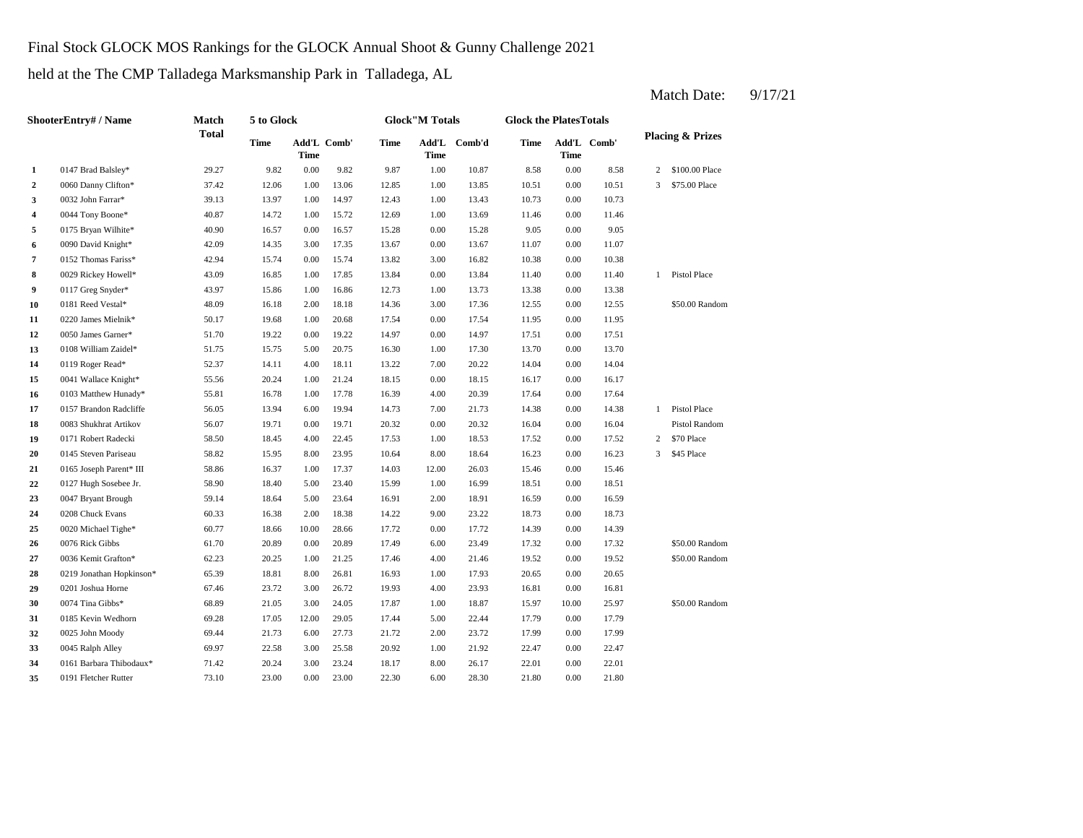### Final Stock GLOCK MOS Rankings for the GLOCK Annual Shoot & Gunny Challenge 2021

held at the The CMP Talladega Marksmanship Park in Talladega, AL

**2** 0060 Danny Clifton\* 37.42 12.06 1.00 13.06 12.85 1.00 13.85 10.51 **3** 1.00 13.43 10.73 13.97 1.00 14.97 12.43 1.00 13.43 10.73 **4** 1.00 11.46 0044 Tony Boone\* 40.87 14.72 1.00 15.72 12.69 13.69 **5** 0.075 Bryan Wilhite\* **40.90** 16.57 0.00 16.57 15.28 0.00 15.28 9.05 0.00 **6** 0090 David Knight\* **42.09** 14.35 3.00 17.35 13.67 0.00 13.67 11.07 0.00 11.07 **7**  $0.152$  Thomas Fariss\*  $42.94$  15.74  $0.00$  15.74 13.82  $3.00$  16.82 10.38 **8** 0.029 Rickey Howell\* 43.09 16.85 1.00 17.85 13.84 0.00 13.84 11.40 **9** 0117 Greg Snyder\* **43.97** 15.86 1.00 16.86 12.73 1.00 13.73 13.38 **10** 0181 Reed Vestal\* **48.09** 16.18 2.00 18.18 14.36 3.00 17.36 12.55 **11** 0.00 11.95 0220 James Mielnik\* 50.17 19.68 1.00 20.68 17.54 17.54 **12** 0.050 James Garner\* 51.70 19.22 0.00 19.22 14.97 0.00 14.97 17.51 0.00 **13** 1.00 13.70 0108 William Zaidel\* 51.75 15.75 5.00 20.75 16.30 17.30 0.00 13.70 **14** 0119 Roger Read\* 52.37 14.11 4.00 18.11 13.22 7.00 20.22 14.04 **15** 0.00 16.17 0041 Wallace Knight\* 55.56 20.24 1.00 21.24 18.15 18.15 **16 10103** Matthew Hunady\* **55.81 16.78 1.00 17.78 16.39 4.00 20.39 17.64 0.00 17** 7.00 14.38 0157 Brandon Radcliffe 56.05 13.94 6.00 19.94 14.73 21.73 0.00 14.38 **18** 0083 Shukhrat Artikov 56.07 19.71 0.00 19.71 20.32 0.00 20.32 16.04 0.00 **19** 0171 Robert Radecki 58.50 18.45 4.00 22.45 17.53 1.00 18.53 17.52 0.00 **20** 0145 Steven Pariseau 58.82 15.95 8.00 23.95 10.64 8.00 18.64 16.23 **21** 0165 Joseph Parent\* III 58.86 16.37 1.00 17.37 14.03 12.00 26.03 15.46 **22** 0127 Hugh Sosebee Jr. 58.90 18.40 5.00 23.40 15.99 1.00 16.99 18.51 **23** 0047 Bryant Brough 59.14 18.64 5.00 23.64 16.91 2.00 18.91 16.59 0.00 **24** 0208 Chuck Evans 60.33 16.38 2.00 18.38 14.22 9.00 23.22 18.73 0.00 18.73 **25** 0.00 14.39 0020 Michael Tighe\* 60.77 18.66 10.00 28.66 17.72 **26** 0076 Rick Gibbs **26.23.49 20.39 20.89 20.89 20.89 20.89 17.49 20.80 23.49 17.32 27** 0036 Kemit Grafton\* 62.23 20.25 1.00 21.25 17.46 4.00 21.46 19.52 **28** 1.00 20.65 0219 Jonathan Hopkinson\* 65.39 18.81 8.00 26.81 16.93 17.93 **29** 0201 Joshua Horne 67.46 23.72 3.00 26.72 19.93 4.00 23.93 16.81 0.00 **30**  $\frac{0.074 \text{ Tina Gibbs*}}{1.00 \text{ Time}}$  **58.89 21.05 3.00 24.05 17.87 1.00 18.87 15.97 31** 0185 Kevin Wedhorn 69.28 17.05 12.00 29.05 17.44 5.00 22.44 17.79 0.00 17.79 **32** 2.00 17.99 0025 John Moody 69.44 21.73 6.00 27.73 21.72 **33** 1.00 22.47 0045 Ralph Alley 69.97 22.58 3.00 25.58 20.92 21.92 **34** 0161 Barbara Thibodaux\* 71.42 20.24 3.00 23.24 18.17 8.00 26.17 22.01 0.00 22.01 0.00 22.47 23.72 0.00 17.99 \$50.00 Random 16.81 0074 Tina Gibbs\* 68.89 21.05 3.00 24.05 17.87 1.00 18.87 15.97 10.00 25.97 0.00 20.65 0.00 19.52 \$50.00 Random 0.00 17.32 \$50.00 Random 17.72 14.39 0.00 14.39 0076 Rick Gibbs 61.70 20.89 0.00 20.89 17.49 6.00 23.49 16.59 0.00 18.51 26.03 0.00 15.46 0.00 16.23 3 \$45 Place 17.52 2 \$70 Place 16.04 Pistol Random 1 Pistol Place 17.64 0.00 16.17 20.22 0.00 14.04 17.51 0.00 11.95 0.00 12.55 \$50.00 Random 13.73 0.00 13.38 0.00 11.40 1 Pistol Place 16.82 0.00 10.38 9.05 0.00 11.46 13.43 0.00 10.73 0.00 10.51 3 \$75.00 Place 8.58 2 \$100.00 Place 9.82 9.87 1.00 10.87 8.58 0.00 **Add'L Comb'd Time Add'L Time Time Comb' 1** 0147 Brad Balsley\* 29.27 9.82 0.00 **ShooterEntry# / Name Match Total 5 to Glock Time Glock"M Totals Glock the PlatesTotals Placing & Prizes Time Add'L Time Comb' Time**

**35** 6.00 21.80 0191 Fletcher Rutter 73.10 23.00 0.00 23.00 22.30 28.30 0.00 21.80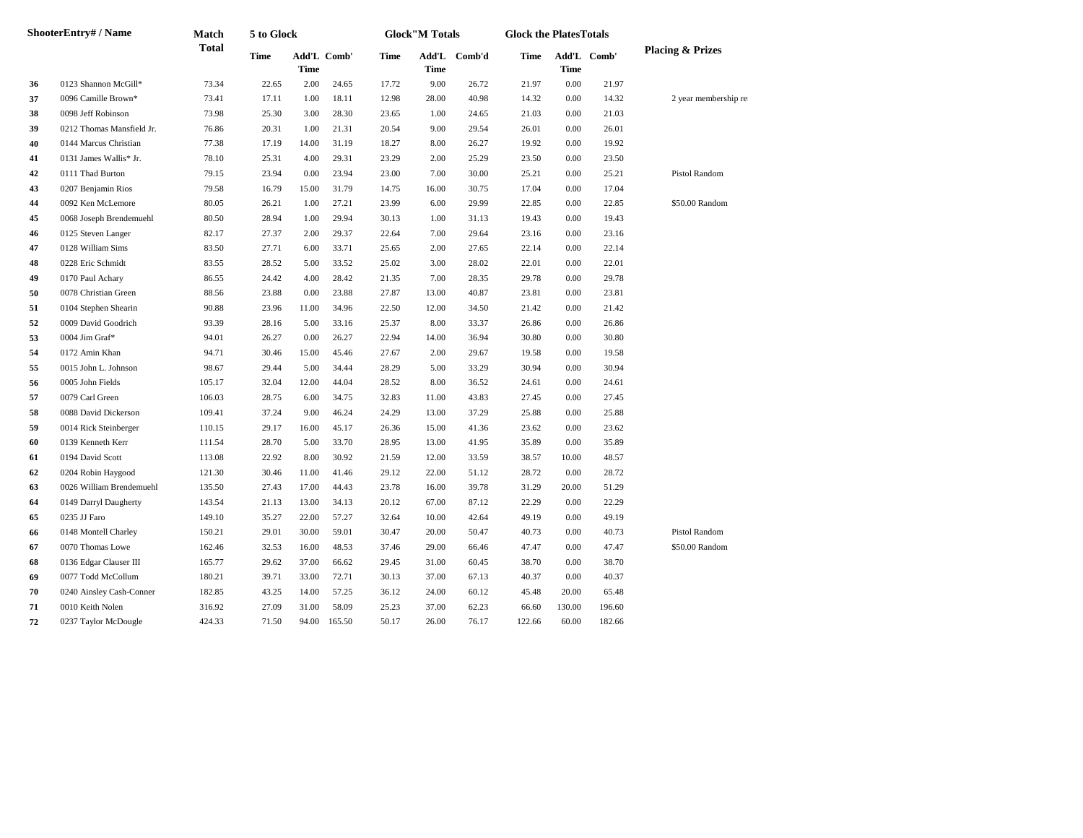|    | ShooterEntry# / Name      | Match        | 5 to Glock  |             |             |       | <b>Glock</b> "M Totals |        | <b>Glock the PlatesTotals</b> |          |             |                             |
|----|---------------------------|--------------|-------------|-------------|-------------|-------|------------------------|--------|-------------------------------|----------|-------------|-----------------------------|
|    |                           | <b>Total</b> | <b>Time</b> | <b>Time</b> | Add'L Comb' | Time  | Add'L<br>Time          | Comb'd | Time                          | Time     | Add'L Comb' | <b>Placing &amp; Prizes</b> |
| 36 | 0123 Shannon McGill*      | 73.34        | 22.65       | 2.00        | 24.65       | 17.72 | 9.00                   | 26.72  | 21.97                         | $0.00\,$ | 21.97       |                             |
| 37 | 0096 Camille Brown*       | 73.41        | 17.11       | 1.00        | 18.11       | 12.98 | 28.00                  | 40.98  | 14.32                         | 0.00     | 14.32       | 2 year membership re        |
| 38 | 0098 Jeff Robinson        | 73.98        | 25.30       | 3.00        | 28.30       | 23.65 | 1.00                   | 24.65  | 21.03                         | 0.00     | 21.03       |                             |
| 39 | 0212 Thomas Mansfield Jr. | 76.86        | 20.31       | 1.00        | 21.31       | 20.54 | 9.00                   | 29.54  | 26.01                         | 0.00     | 26.01       |                             |
| 40 | 0144 Marcus Christian     | 77.38        | 17.19       | 14.00       | 31.19       | 18.27 | 8.00                   | 26.27  | 19.92                         | 0.00     | 19.92       |                             |
| 41 | 0131 James Wallis* Jr.    | 78.10        | 25.31       | 4.00        | 29.31       | 23.29 | 2.00                   | 25.29  | 23.50                         | 0.00     | 23.50       |                             |
| 42 | 0111 Thad Burton          | 79.15        | 23.94       | 0.00        | 23.94       | 23.00 | 7.00                   | 30.00  | 25.21                         | 0.00     | 25.21       | Pistol Random               |
| 43 | 0207 Benjamin Rios        | 79.58        | 16.79       | 15.00       | 31.79       | 14.75 | 16.00                  | 30.75  | 17.04                         | 0.00     | 17.04       |                             |
| 44 | 0092 Ken McLemore         | 80.05        | 26.21       | 1.00        | 27.21       | 23.99 | 6.00                   | 29.99  | 22.85                         | 0.00     | 22.85       | \$50.00 Random              |
| 45 | 0068 Joseph Brendemuehl   | 80.50        | 28.94       | 1.00        | 29.94       | 30.13 | 1.00                   | 31.13  | 19.43                         | 0.00     | 19.43       |                             |
| 46 | 0125 Steven Langer        | 82.17        | 27.37       | 2.00        | 29.37       | 22.64 | 7.00                   | 29.64  | 23.16                         | 0.00     | 23.16       |                             |
| 47 | 0128 William Sims         | 83.50        | 27.71       | 6.00        | 33.71       | 25.65 | 2.00                   | 27.65  | 22.14                         | 0.00     | 22.14       |                             |
| 48 | 0228 Eric Schmidt         | 83.55        | 28.52       | 5.00        | 33.52       | 25.02 | 3.00                   | 28.02  | 22.01                         | 0.00     | 22.01       |                             |
| 49 | 0170 Paul Achary          | 86.55        | 24.42       | 4.00        | 28.42       | 21.35 | 7.00                   | 28.35  | 29.78                         | 0.00     | 29.78       |                             |
| 50 | 0078 Christian Green      | 88.56        | 23.88       | 0.00        | 23.88       | 27.87 | 13.00                  | 40.87  | 23.81                         | 0.00     | 23.81       |                             |
| 51 | 0104 Stephen Shearin      | 90.88        | 23.96       | 11.00       | 34.96       | 22.50 | 12.00                  | 34.50  | 21.42                         | 0.00     | 21.42       |                             |
| 52 | 0009 David Goodrich       | 93.39        | 28.16       | 5.00        | 33.16       | 25.37 | 8.00                   | 33.37  | 26.86                         | 0.00     | 26.86       |                             |
| 53 | 0004 Jim Graf*            | 94.01        | 26.27       | 0.00        | 26.27       | 22.94 | 14.00                  | 36.94  | 30.80                         | 0.00     | 30.80       |                             |
| 54 | 0172 Amin Khan            | 94.71        | 30.46       | 15.00       | 45.46       | 27.67 | 2.00                   | 29.67  | 19.58                         | 0.00     | 19.58       |                             |
| 55 | 0015 John L. Johnson      | 98.67        | 29.44       | 5.00        | 34.44       | 28.29 | 5.00                   | 33.29  | 30.94                         | 0.00     | 30.94       |                             |
| 56 | 0005 John Fields          | 105.17       | 32.04       | 12.00       | 44.04       | 28.52 | 8.00                   | 36.52  | 24.61                         | 0.00     | 24.61       |                             |
| 57 | 0079 Carl Green           | 106.03       | 28.75       | 6.00        | 34.75       | 32.83 | 11.00                  | 43.83  | 27.45                         | 0.00     | 27.45       |                             |
| 58 | 0088 David Dickerson      | 109.41       | 37.24       | 9.00        | 46.24       | 24.29 | 13.00                  | 37.29  | 25.88                         | 0.00     | 25.88       |                             |
| 59 | 0014 Rick Steinberger     | 110.15       | 29.17       | 16.00       | 45.17       | 26.36 | 15.00                  | 41.36  | 23.62                         | 0.00     | 23.62       |                             |
| 60 | 0139 Kenneth Kerr         | 111.54       | 28.70       | 5.00        | 33.70       | 28.95 | 13.00                  | 41.95  | 35.89                         | 0.00     | 35.89       |                             |
| 61 | 0194 David Scott          | 113.08       | 22.92       | 8.00        | 30.92       | 21.59 | 12.00                  | 33.59  | 38.57                         | 10.00    | 48.57       |                             |
| 62 | 0204 Robin Haygood        | 121.30       | 30.46       | 11.00       | 41.46       | 29.12 | 22.00                  | 51.12  | 28.72                         | 0.00     | 28.72       |                             |
| 63 | 0026 William Brendemuehl  | 135.50       | 27.43       | 17.00       | 44.43       | 23.78 | 16.00                  | 39.78  | 31.29                         | 20.00    | 51.29       |                             |
| 64 | 0149 Darryl Daugherty     | 143.54       | 21.13       | 13.00       | 34.13       | 20.12 | 67.00                  | 87.12  | 22.29                         | 0.00     | 22.29       |                             |
| 65 | 0235 JJ Faro              | 149.10       | 35.27       | 22.00       | 57.27       | 32.64 | 10.00                  | 42.64  | 49.19                         | 0.00     | 49.19       |                             |
| 66 | 0148 Montell Charley      | 150.21       | 29.01       | 30.00       | 59.01       | 30.47 | 20.00                  | 50.47  | 40.73                         | 0.00     | 40.73       | Pistol Random               |
| 67 | 0070 Thomas Lowe          | 162.46       | 32.53       | 16.00       | 48.53       | 37.46 | 29.00                  | 66.46  | 47.47                         | 0.00     | 47.47       | \$50.00 Random              |
| 68 | 0136 Edgar Clauser III    | 165.77       | 29.62       | 37.00       | 66.62       | 29.45 | 31.00                  | 60.45  | 38.70                         | 0.00     | 38.70       |                             |
| 69 | 0077 Todd McCollum        | 180.21       | 39.71       | 33.00       | 72.71       | 30.13 | 37.00                  | 67.13  | 40.37                         | 0.00     | 40.37       |                             |
| 70 | 0240 Ainsley Cash-Conner  | 182.85       | 43.25       | 14.00       | 57.25       | 36.12 | 24.00                  | 60.12  | 45.48                         | 20.00    | 65.48       |                             |
| 71 | 0010 Keith Nolen          | 316.92       | 27.09       | 31.00       | 58.09       | 25.23 | 37.00                  | 62.23  | 66.60                         | 130.00   | 196.60      |                             |
| 72 | 0237 Taylor McDougle      | 424.33       | 71.50       | 94.00       | 165.50      | 50.17 | 26.00                  | 76.17  | 122.66                        | 60.00    | 182.66      |                             |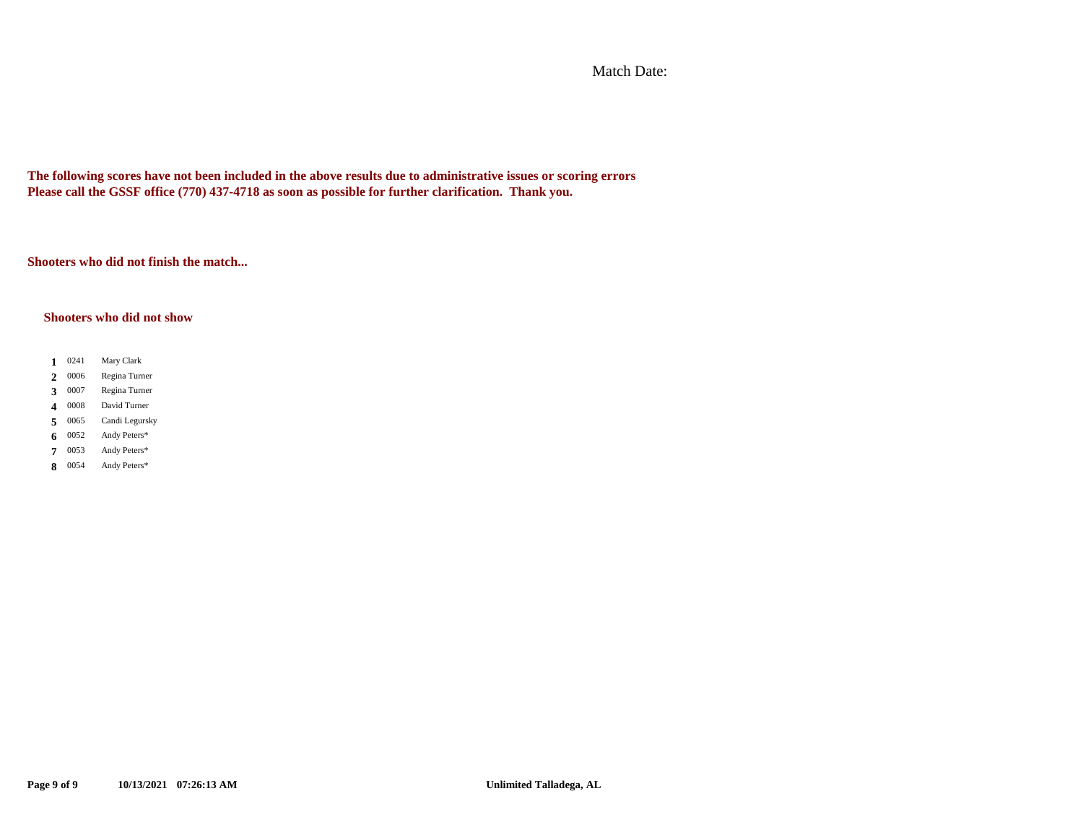Match Date:

**The following scores have not been included in the above results due to administrative issues or scoring errors Please call the GSSF office (770) 437-4718 as soon as possible for further clarification. Thank you.**

**Shooters who did not finish the match...**

### **Shooters who did not show**

1 0241 2 0006 3 0007 4 0008 5 0065 0052 7 0053 8 0054 **7** Andy Peters\* **8** Andy Peters\* **4** David Turner **5** Candi Legursky **6** 0052 Andy Peters\* **1** Mary Clark **2** Regina Turner **3** Regina Turner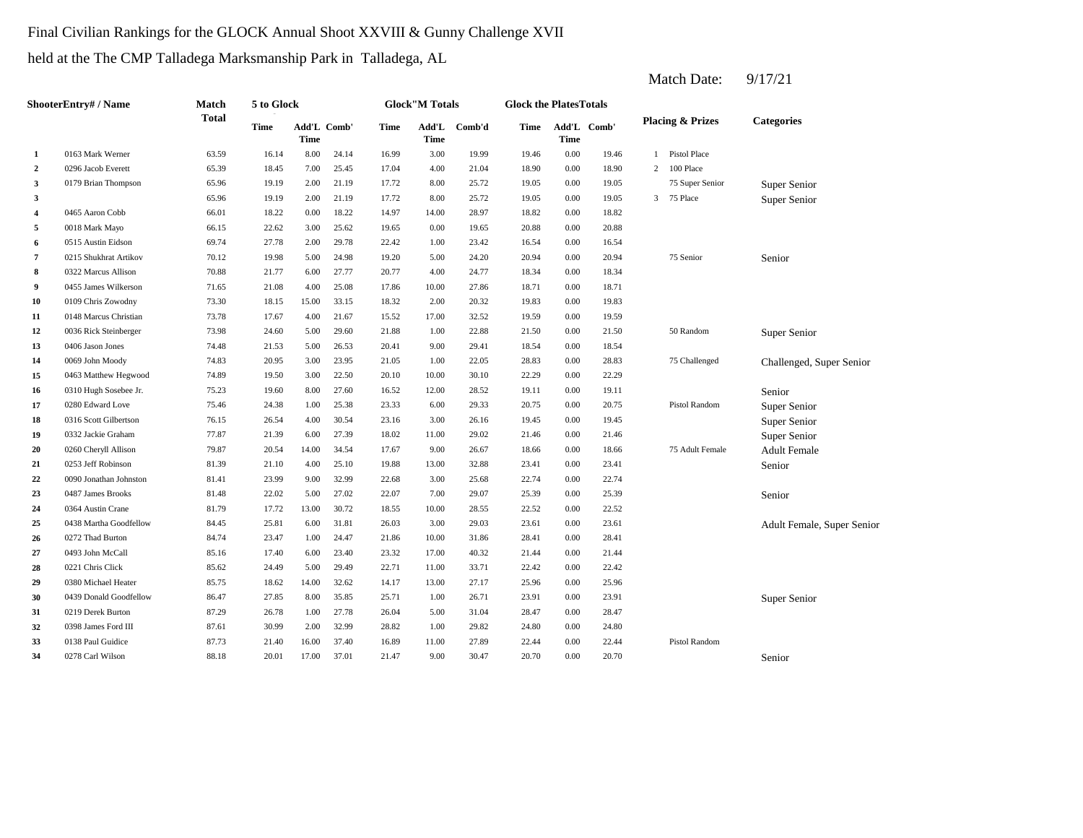# Final Civilian Rankings for the GLOCK Annual Shoot XXVIII & Gunny Challenge XVII

held at the The CMP Talladega Marksmanship Park in Talladega, AL

|                         | ShooterEntrv# / Name   | Match        | 5 to Glock |       |             |       | <b>Glock"M Totals</b> |        | <b>Glock the PlatesTotals</b> |             |             |                |                             |                            |
|-------------------------|------------------------|--------------|------------|-------|-------------|-------|-----------------------|--------|-------------------------------|-------------|-------------|----------------|-----------------------------|----------------------------|
|                         |                        | <b>Total</b> | Time       | Time  | Add'L Comb' | Time  | Add'L<br><b>Time</b>  | Comb'd | Time                          | <b>Time</b> | Add'L Comb' |                | <b>Placing &amp; Prizes</b> | <b>Categories</b>          |
| 1                       | 0163 Mark Werner       | 63.59        | 16.14      | 8.00  | 24.14       | 16.99 | 3.00                  | 19.99  | 19.46                         | 0.00        | 19.46       | 1              | Pistol Place                |                            |
| $\overline{2}$          | 0296 Jacob Everett     | 65.39        | 18.45      | 7.00  | 25.45       | 17.04 | 4.00                  | 21.04  | 18.90                         | 0.00        | 18.90       | 2              | 100 Place                   |                            |
| 3                       | 0179 Brian Thompson    | 65.96        | 19.19      | 2.00  | 21.19       | 17.72 | 8.00                  | 25.72  | 19.05                         | 0.00        | 19.05       |                | 75 Super Senior             | Super Senior               |
| 3                       |                        | 65.96        | 19.19      | 2.00  | 21.19       | 17.72 | 8.00                  | 25.72  | 19.05                         | 0.00        | 19.05       | $\overline{3}$ | 75 Place                    | Super Senior               |
| $\overline{\mathbf{4}}$ | 0465 Aaron Cobb        | 66.01        | 18.22      | 0.00  | 18.22       | 14.97 | 14.00                 | 28.97  | 18.82                         | 0.00        | 18.82       |                |                             |                            |
| 5                       | 0018 Mark Mayo         | 66.15        | 22.62      | 3.00  | 25.62       | 19.65 | 0.00                  | 19.65  | 20.88                         | 0.00        | 20.88       |                |                             |                            |
| 6                       | 0515 Austin Eidson     | 69.74        | 27.78      | 2.00  | 29.78       | 22.42 | 1.00                  | 23.42  | 16.54                         | 0.00        | 16.54       |                |                             |                            |
| 7                       | 0215 Shukhrat Artikov  | 70.12        | 19.98      | 5.00  | 24.98       | 19.20 | 5.00                  | 24.20  | 20.94                         | 0.00        | 20.94       |                | 75 Senior                   | Senior                     |
| 8                       | 0322 Marcus Allison    | 70.88        | 21.77      | 6.00  | 27.77       | 20.77 | 4.00                  | 24.77  | 18.34                         | 0.00        | 18.34       |                |                             |                            |
| 9                       | 0455 James Wilkerson   | 71.65        | 21.08      | 4.00  | 25.08       | 17.86 | 10.00                 | 27.86  | 18.71                         | 0.00        | 18.71       |                |                             |                            |
| 10                      | 0109 Chris Zowodny     | 73.30        | 18.15      | 15.00 | 33.15       | 18.32 | 2.00                  | 20.32  | 19.83                         | 0.00        | 19.83       |                |                             |                            |
| 11                      | 0148 Marcus Christian  | 73.78        | 17.67      | 4.00  | 21.67       | 15.52 | 17.00                 | 32.52  | 19.59                         | 0.00        | 19.59       |                |                             |                            |
| 12                      | 0036 Rick Steinberger  | 73.98        | 24.60      | 5.00  | 29.60       | 21.88 | 1.00                  | 22.88  | 21.50                         | 0.00        | 21.50       |                | 50 Random                   | Super Senior               |
| 13                      | 0406 Jason Jones       | 74.48        | 21.53      | 5.00  | 26.53       | 20.41 | 9.00                  | 29.41  | 18.54                         | 0.00        | 18.54       |                |                             |                            |
| 14                      | 0069 John Moody        | 74.83        | 20.95      | 3.00  | 23.95       | 21.05 | 1.00                  | 22.05  | 28.83                         | 0.00        | 28.83       |                | 75 Challenged               | Challenged, Super Senior   |
| 15                      | 0463 Matthew Hegwood   | 74.89        | 19.50      | 3.00  | 22.50       | 20.10 | 10.00                 | 30.10  | 22.29                         | 0.00        | 22.29       |                |                             |                            |
| 16                      | 0310 Hugh Sosebee Jr.  | 75.23        | 19.60      | 8.00  | 27.60       | 16.52 | 12.00                 | 28.52  | 19.11                         | 0.00        | 19.11       |                |                             | Senior                     |
| 17                      | 0280 Edward Love       | 75.46        | 24.38      | 1.00  | 25.38       | 23.33 | 6.00                  | 29.33  | 20.75                         | 0.00        | 20.75       |                | Pistol Random               | Super Senior               |
| 18                      | 0316 Scott Gilbertson  | 76.15        | 26.54      | 4.00  | 30.54       | 23.16 | 3.00                  | 26.16  | 19.45                         | 0.00        | 19.45       |                |                             | Super Senior               |
| 19                      | 0332 Jackie Graham     | 77.87        | 21.39      | 6.00  | 27.39       | 18.02 | 11.00                 | 29.02  | 21.46                         | 0.00        | 21.46       |                |                             | Super Senior               |
| 20                      | 0260 Cheryll Allison   | 79.87        | 20.54      | 14.00 | 34.54       | 17.67 | 9.00                  | 26.67  | 18.66                         | 0.00        | 18.66       |                | 75 Adult Female             | <b>Adult Female</b>        |
| 21                      | 0253 Jeff Robinson     | 81.39        | 21.10      | 4.00  | 25.10       | 19.88 | 13.00                 | 32.88  | 23.41                         | 0.00        | 23.41       |                |                             | Senior                     |
| 22                      | 0090 Jonathan Johnston | 81.41        | 23.99      | 9.00  | 32.99       | 22.68 | 3.00                  | 25.68  | 22.74                         | 0.00        | 22.74       |                |                             |                            |
| 23                      | 0487 James Brooks      | 81.48        | 22.02      | 5.00  | 27.02       | 22.07 | 7.00                  | 29.07  | 25.39                         | 0.00        | 25.39       |                |                             | Senior                     |
| 24                      | 0364 Austin Crane      | 81.79        | 17.72      | 13.00 | 30.72       | 18.55 | 10.00                 | 28.55  | 22.52                         | 0.00        | 22.52       |                |                             |                            |
| 25                      | 0438 Martha Goodfellow | 84.45        | 25.81      | 6.00  | 31.81       | 26.03 | 3.00                  | 29.03  | 23.61                         | 0.00        | 23.61       |                |                             | Adult Female, Super Senior |
| 26                      | 0272 Thad Burton       | 84.74        | 23.47      | 1.00  | 24.47       | 21.86 | 10.00                 | 31.86  | 28.41                         | 0.00        | 28.41       |                |                             |                            |
| 27                      | 0493 John McCall       | 85.16        | 17.40      | 6.00  | 23.40       | 23.32 | 17.00                 | 40.32  | 21.44                         | 0.00        | 21.44       |                |                             |                            |
| 28                      | 0221 Chris Click       | 85.62        | 24.49      | 5.00  | 29.49       | 22.71 | 11.00                 | 33.71  | 22.42                         | 0.00        | 22.42       |                |                             |                            |
| 29                      | 0380 Michael Heater    | 85.75        | 18.62      | 14.00 | 32.62       | 14.17 | 13.00                 | 27.17  | 25.96                         | 0.00        | 25.96       |                |                             |                            |
| 30                      | 0439 Donald Goodfellow | 86.47        | 27.85      | 8.00  | 35.85       | 25.71 | 1.00                  | 26.71  | 23.91                         | 0.00        | 23.91       |                |                             | Super Senior               |
| 31                      | 0219 Derek Burton      | 87.29        | 26.78      | 1.00  | 27.78       | 26.04 | 5.00                  | 31.04  | 28.47                         | 0.00        | 28.47       |                |                             |                            |
| 32                      | 0398 James Ford III    | 87.61        | 30.99      | 2.00  | 32.99       | 28.82 | 1.00                  | 29.82  | 24.80                         | 0.00        | 24.80       |                |                             |                            |
| 33                      | 0138 Paul Guidice      | 87.73        | 21.40      | 16.00 | 37.40       | 16.89 | 11.00                 | 27.89  | 22.44                         | 0.00        | 22.44       |                | Pistol Random               |                            |
| 34                      | 0278 Carl Wilson       | 88.18        | 20.01      | 17.00 | 37.01       | 21.47 | 9.00                  | 30.47  | 20.70                         | 0.00        | 20.70       |                |                             | Senior                     |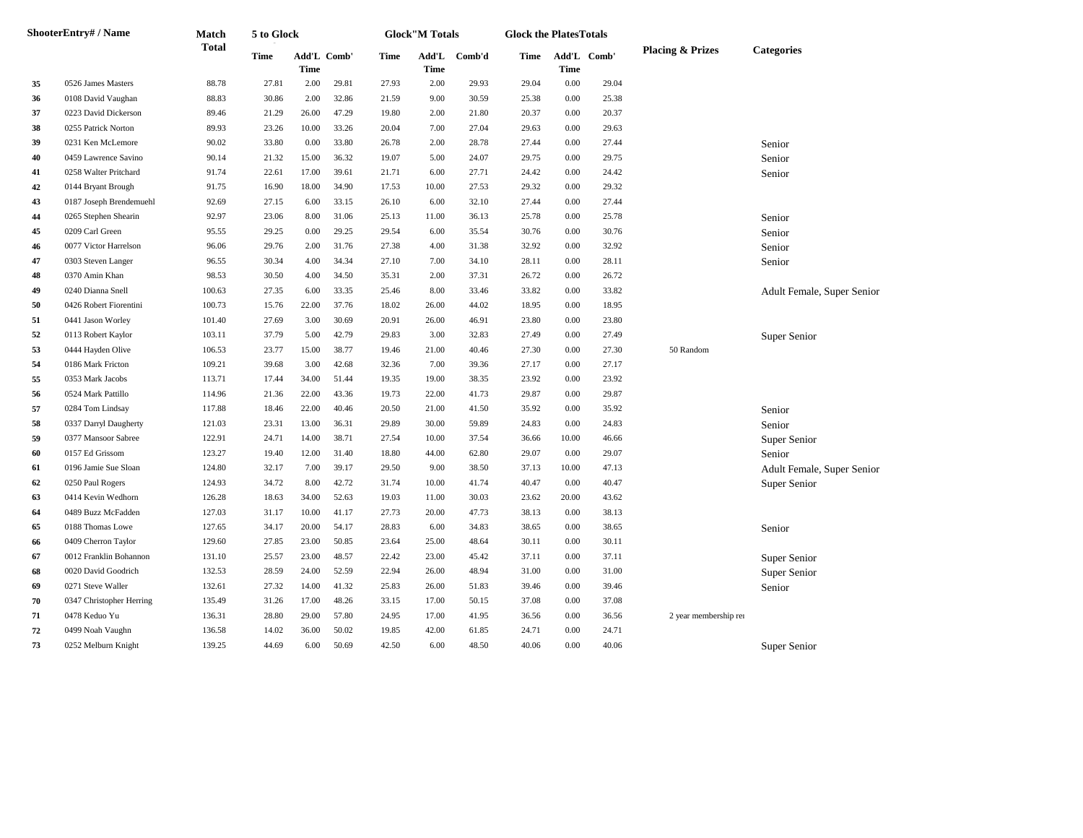|    | <b>ShooterEntry# / Name</b> | Match        | 5 to Glock  |                            |       |       | <b>Glock"M Totals</b> |        | <b>Glock the PlatesTotals</b> |       |             |                             |                            |
|----|-----------------------------|--------------|-------------|----------------------------|-------|-------|-----------------------|--------|-------------------------------|-------|-------------|-----------------------------|----------------------------|
|    |                             | <b>Total</b> | <b>Time</b> | Add'L Comb'<br><b>Time</b> |       | Time  | Add'L<br>Time         | Comb'd | Time                          | Time  | Add'L Comb' | <b>Placing &amp; Prizes</b> | <b>Categories</b>          |
| 35 | 0526 James Masters          | 88.78        | 27.81       | 2.00                       | 29.81 | 27.93 | 2.00                  | 29.93  | 29.04                         | 0.00  | 29.04       |                             |                            |
| 36 | 0108 David Vaughan          | 88.83        | 30.86       | 2.00                       | 32.86 | 21.59 | 9.00                  | 30.59  | 25.38                         | 0.00  | 25.38       |                             |                            |
| 37 | 0223 David Dickerson        | 89.46        | 21.29       | 26.00                      | 47.29 | 19.80 | 2.00                  | 21.80  | 20.37                         | 0.00  | 20.37       |                             |                            |
| 38 | 0255 Patrick Norton         | 89.93        | 23.26       | 10.00                      | 33.26 | 20.04 | 7.00                  | 27.04  | 29.63                         | 0.00  | 29.63       |                             |                            |
| 39 | 0231 Ken McLemore           | 90.02        | 33.80       | 0.00                       | 33.80 | 26.78 | 2.00                  | 28.78  | 27.44                         | 0.00  | 27.44       |                             | Senior                     |
| 40 | 0459 Lawrence Savino        | 90.14        | 21.32       | 15.00                      | 36.32 | 19.07 | 5.00                  | 24.07  | 29.75                         | 0.00  | 29.75       |                             | Senior                     |
| 41 | 0258 Walter Pritchard       | 91.74        | 22.61       | 17.00                      | 39.61 | 21.71 | 6.00                  | 27.71  | 24.42                         | 0.00  | 24.42       |                             | Senior                     |
| 42 | 0144 Bryant Brough          | 91.75        | 16.90       | 18.00                      | 34.90 | 17.53 | 10.00                 | 27.53  | 29.32                         | 0.00  | 29.32       |                             |                            |
| 43 | 0187 Joseph Brendemuehl     | 92.69        | 27.15       | 6.00                       | 33.15 | 26.10 | 6.00                  | 32.10  | 27.44                         | 0.00  | 27.44       |                             |                            |
| 44 | 0265 Stephen Shearin        | 92.97        | 23.06       | 8.00                       | 31.06 | 25.13 | 11.00                 | 36.13  | 25.78                         | 0.00  | 25.78       |                             | Senior                     |
| 45 | 0209 Carl Green             | 95.55        | 29.25       | 0.00                       | 29.25 | 29.54 | 6.00                  | 35.54  | 30.76                         | 0.00  | 30.76       |                             | Senior                     |
| 46 | 0077 Victor Harrelson       | 96.06        | 29.76       | 2.00                       | 31.76 | 27.38 | 4.00                  | 31.38  | 32.92                         | 0.00  | 32.92       |                             | Senior                     |
| 47 | 0303 Steven Langer          | 96.55        | 30.34       | 4.00                       | 34.34 | 27.10 | 7.00                  | 34.10  | 28.11                         | 0.00  | 28.11       |                             | Senior                     |
| 48 | 0370 Amin Khan              | 98.53        | 30.50       | 4.00                       | 34.50 | 35.31 | 2.00                  | 37.31  | 26.72                         | 0.00  | 26.72       |                             |                            |
| 49 | 0240 Dianna Snell           | 100.63       | 27.35       | 6.00                       | 33.35 | 25.46 | 8.00                  | 33.46  | 33.82                         | 0.00  | 33.82       |                             | Adult Female, Super Senior |
| 50 | 0426 Robert Fiorentini      | 100.73       | 15.76       | 22.00                      | 37.76 | 18.02 | 26.00                 | 44.02  | 18.95                         | 0.00  | 18.95       |                             |                            |
| 51 | 0441 Jason Worley           | 101.40       | 27.69       | 3.00                       | 30.69 | 20.91 | 26.00                 | 46.91  | 23.80                         | 0.00  | 23.80       |                             |                            |
| 52 | 0113 Robert Kaylor          | 103.11       | 37.79       | 5.00                       | 42.79 | 29.83 | 3.00                  | 32.83  | 27.49                         | 0.00  | 27.49       |                             | Super Senior               |
| 53 | 0444 Hayden Olive           | 106.53       | 23.77       | 15.00                      | 38.77 | 19.46 | 21.00                 | 40.46  | 27.30                         | 0.00  | 27.30       | 50 Random                   |                            |
| 54 | 0186 Mark Fricton           | 109.21       | 39.68       | 3.00                       | 42.68 | 32.36 | 7.00                  | 39.36  | 27.17                         | 0.00  | 27.17       |                             |                            |
| 55 | 0353 Mark Jacobs            | 113.71       | 17.44       | 34.00                      | 51.44 | 19.35 | 19.00                 | 38.35  | 23.92                         | 0.00  | 23.92       |                             |                            |
| 56 | 0524 Mark Pattillo          | 114.96       | 21.36       | 22.00                      | 43.36 | 19.73 | 22.00                 | 41.73  | 29.87                         | 0.00  | 29.87       |                             |                            |
| 57 | 0284 Tom Lindsay            | 117.88       | 18.46       | 22.00                      | 40.46 | 20.50 | 21.00                 | 41.50  | 35.92                         | 0.00  | 35.92       |                             | Senior                     |
| 58 | 0337 Darryl Daugherty       | 121.03       | 23.31       | 13.00                      | 36.31 | 29.89 | 30.00                 | 59.89  | 24.83                         | 0.00  | 24.83       |                             | Senior                     |
| 59 | 0377 Mansoor Sabree         | 122.91       | 24.71       | 14.00                      | 38.71 | 27.54 | 10.00                 | 37.54  | 36.66                         | 10.00 | 46.66       |                             | Super Senior               |
| 60 | 0157 Ed Grissom             | 123.27       | 19.40       | 12.00                      | 31.40 | 18.80 | 44.00                 | 62.80  | 29.07                         | 0.00  | 29.07       |                             | Senior                     |
| 61 | 0196 Jamie Sue Sloan        | 124.80       | 32.17       | 7.00                       | 39.17 | 29.50 | 9.00                  | 38.50  | 37.13                         | 10.00 | 47.13       |                             | Adult Female, Super Senior |
| 62 | 0250 Paul Rogers            | 124.93       | 34.72       | 8.00                       | 42.72 | 31.74 | 10.00                 | 41.74  | 40.47                         | 0.00  | 40.47       |                             | Super Senior               |
| 63 | 0414 Kevin Wedhorn          | 126.28       | 18.63       | 34.00                      | 52.63 | 19.03 | 11.00                 | 30.03  | 23.62                         | 20.00 | 43.62       |                             |                            |
| 64 | 0489 Buzz McFadden          | 127.03       | 31.17       | 10.00                      | 41.17 | 27.73 | 20.00                 | 47.73  | 38.13                         | 0.00  | 38.13       |                             |                            |
| 65 | 0188 Thomas Lowe            | 127.65       | 34.17       | 20.00                      | 54.17 | 28.83 | 6.00                  | 34.83  | 38.65                         | 0.00  | 38.65       |                             | Senior                     |
| 66 | 0409 Cherron Taylor         | 129.60       | 27.85       | 23.00                      | 50.85 | 23.64 | 25.00                 | 48.64  | 30.11                         | 0.00  | 30.11       |                             |                            |
| 67 | 0012 Franklin Bohannon      | 131.10       | 25.57       | 23.00                      | 48.57 | 22.42 | 23.00                 | 45.42  | 37.11                         | 0.00  | 37.11       |                             | Super Senior               |
| 68 | 0020 David Goodrich         | 132.53       | 28.59       | 24.00                      | 52.59 | 22.94 | 26.00                 | 48.94  | 31.00                         | 0.00  | 31.00       |                             | Super Senior               |
| 69 | 0271 Steve Waller           | 132.61       | 27.32       | 14.00                      | 41.32 | 25.83 | 26.00                 | 51.83  | 39.46                         | 0.00  | 39.46       |                             | Senior                     |
| 70 | 0347 Christopher Herring    | 135.49       | 31.26       | 17.00                      | 48.26 | 33.15 | 17.00                 | 50.15  | 37.08                         | 0.00  | 37.08       |                             |                            |
| 71 | 0478 Keduo Yu               | 136.31       | 28.80       | 29.00                      | 57.80 | 24.95 | 17.00                 | 41.95  | 36.56                         | 0.00  | 36.56       | 2 year membership rer       |                            |
| 72 | 0499 Noah Vaughn            | 136.58       | 14.02       | 36.00                      | 50.02 | 19.85 | 42.00                 | 61.85  | 24.71                         | 0.00  | 24.71       |                             |                            |
| 73 | 0252 Melburn Knight         | 139.25       | 44.69       | 6.00                       | 50.69 | 42.50 | 6.00                  | 48.50  | 40.06                         | 0.00  | 40.06       |                             | Super Senior               |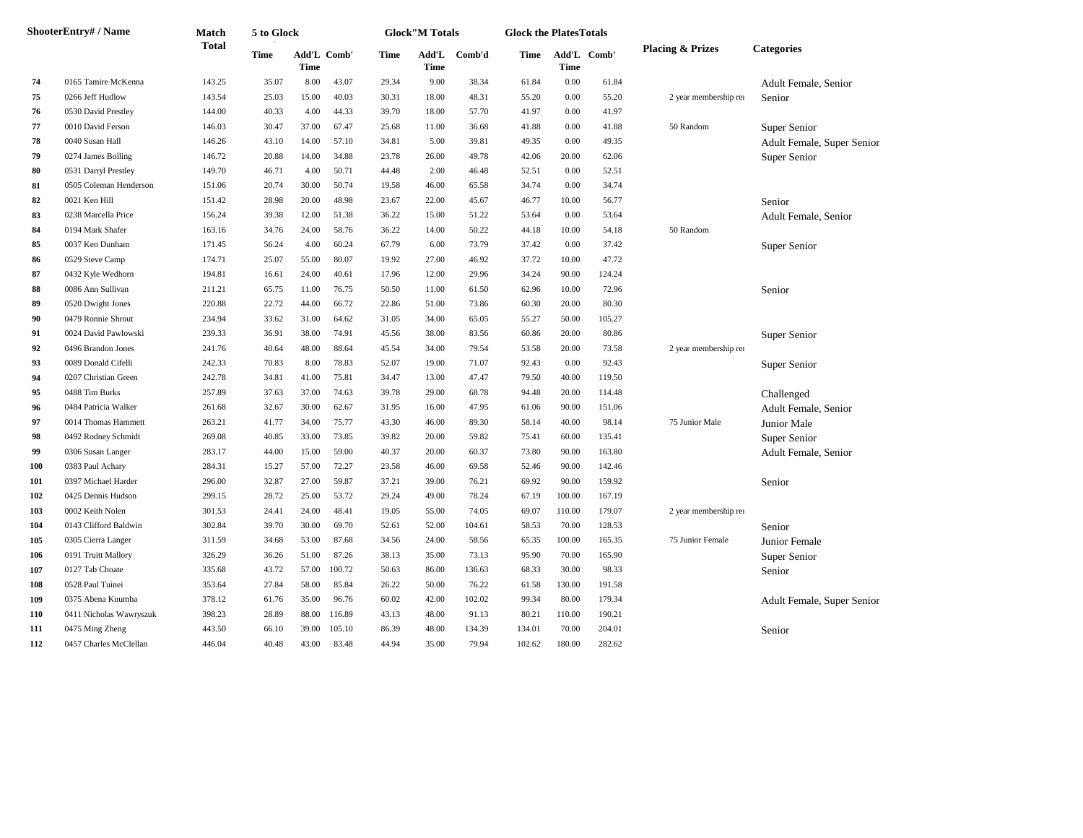|     | <b>ShooterEntry# / Name</b> | Match        | 5 to Glock |                            |        |       | <b>Glock"M Totals</b> |        | <b>Glock the PlatesTotals</b> |        |             |                             |                            |
|-----|-----------------------------|--------------|------------|----------------------------|--------|-------|-----------------------|--------|-------------------------------|--------|-------------|-----------------------------|----------------------------|
|     |                             | <b>Total</b> | Time       | Add'L Comb'<br><b>Time</b> |        | Time  | Add'L<br>Time         | Comb'd | Time                          | Time   | Add'L Comb' | <b>Placing &amp; Prizes</b> | <b>Categories</b>          |
| 74  | 0165 Tamire McKenna         | 143.25       | 35.07      | 8.00                       | 43.07  | 29.34 | 9.00                  | 38.34  | 61.84                         | 0.00   | 61.84       |                             | Adult Female, Senior       |
| 75  | 0266 Jeff Hudlow            | 143.54       | 25.03      | 15.00                      | 40.03  | 30.31 | 18.00                 | 48.31  | 55.20                         | 0.00   | 55.20       | 2 year membership rer       | Senior                     |
| 76  | 0530 David Prestley         | 144.00       | 40.33      | 4.00                       | 44.33  | 39.70 | 18.00                 | 57.70  | 41.97                         | 0.00   | 41.97       |                             |                            |
| 77  | 0010 David Ferson           | 146.03       | 30.47      | 37.00                      | 67.47  | 25.68 | 11.00                 | 36.68  | 41.88                         | 0.00   | 41.88       | 50 Random                   | Super Senior               |
| 78  | 0040 Susan Hall             | 146.26       | 43.10      | 14.00                      | 57.10  | 34.81 | 5.00                  | 39.81  | 49.35                         | 0.00   | 49.35       |                             | Adult Female, Super Senior |
| 79  | 0274 James Bolling          | 146.72       | 20.88      | 14.00                      | 34.88  | 23.78 | 26.00                 | 49.78  | 42.06                         | 20.00  | 62.06       |                             | Super Senior               |
| 80  | 0531 Darryl Prestley        | 149.70       | 46.71      | 4.00                       | 50.71  | 44.48 | 2.00                  | 46.48  | 52.51                         | 0.00   | 52.51       |                             |                            |
| 81  | 0505 Coleman Henderson      | 151.06       | 20.74      | 30.00                      | 50.74  | 19.58 | 46.00                 | 65.58  | 34.74                         | 0.00   | 34.74       |                             |                            |
| 82  | 0021 Ken Hill               | 151.42       | 28.98      | 20.00                      | 48.98  | 23.67 | 22.00                 | 45.67  | 46.77                         | 10.00  | 56.77       |                             | Senior                     |
| 83  | 0238 Marcella Price         | 156.24       | 39.38      | 12.00                      | 51.38  | 36.22 | 15.00                 | 51.22  | 53.64                         | 0.00   | 53.64       |                             | Adult Female, Senior       |
| 84  | 0194 Mark Shafer            | 163.16       | 34.76      | 24.00                      | 58.76  | 36.22 | 14.00                 | 50.22  | 44.18                         | 10.00  | 54.18       | 50 Random                   |                            |
| 85  | 0037 Ken Dunham             | 171.45       | 56.24      | 4.00                       | 60.24  | 67.79 | 6.00                  | 73.79  | 37.42                         | 0.00   | 37.42       |                             | Super Senior               |
| 86  | 0529 Steve Camp             | 174.71       | 25.07      | 55.00                      | 80.07  | 19.92 | 27.00                 | 46.92  | 37.72                         | 10.00  | 47.72       |                             |                            |
| 87  | 0432 Kyle Wedhorn           | 194.81       | 16.61      | 24.00                      | 40.61  | 17.96 | 12.00                 | 29.96  | 34.24                         | 90.00  | 124.24      |                             |                            |
| 88  | 0086 Ann Sullivan           | 211.21       | 65.75      | 11.00                      | 76.75  | 50.50 | 11.00                 | 61.50  | 62.96                         | 10.00  | 72.96       |                             | Senior                     |
| 89  | 0520 Dwight Jones           | 220.88       | 22.72      | 44.00                      | 66.72  | 22.86 | 51.00                 | 73.86  | 60.30                         | 20.00  | 80.30       |                             |                            |
| 90  | 0479 Ronnie Shrout          | 234.94       | 33.62      | 31.00                      | 64.62  | 31.05 | 34.00                 | 65.05  | 55.27                         | 50.00  | 105.27      |                             |                            |
| 91  | 0024 David Pawlowski        | 239.33       | 36.91      | 38.00                      | 74.91  | 45.56 | 38.00                 | 83.56  | 60.86                         | 20.00  | 80.86       |                             | Super Senior               |
| 92  | 0496 Brandon Jones          | 241.76       | 40.64      | 48.00                      | 88.64  | 45.54 | 34.00                 | 79.54  | 53.58                         | 20.00  | 73.58       | 2 year membership rer       |                            |
| 93  | 0089 Donald Cifelli         | 242.33       | 70.83      | 8.00                       | 78.83  | 52.07 | 19.00                 | 71.07  | 92.43                         | 0.00   | 92.43       |                             | Super Senior               |
| 94  | 0207 Christian Green        | 242.78       | 34.81      | 41.00                      | 75.81  | 34.47 | 13.00                 | 47.47  | 79.50                         | 40.00  | 119.50      |                             |                            |
| 95  | 0488 Tim Burks              | 257.89       | 37.63      | 37.00                      | 74.63  | 39.78 | 29.00                 | 68.78  | 94.48                         | 20.00  | 114.48      |                             | Challenged                 |
| 96  | 0484 Patricia Walker        | 261.68       | 32.67      | 30.00                      | 62.67  | 31.95 | 16.00                 | 47.95  | 61.06                         | 90.00  | 151.06      |                             | Adult Female, Senior       |
| 97  | 0014 Thomas Hammett         | 263.21       | 41.77      | 34.00                      | 75.77  | 43.30 | 46.00                 | 89.30  | 58.14                         | 40.00  | 98.14       | 75 Junior Male              | Junior Male                |
| 98  | 0492 Rodney Schmidt         | 269.08       | 40.85      | 33.00                      | 73.85  | 39.82 | 20.00                 | 59.82  | 75.41                         | 60.00  | 135.41      |                             | Super Senior               |
| 99  | 0306 Susan Langer           | 283.17       | 44.00      | 15.00                      | 59.00  | 40.37 | 20.00                 | 60.37  | 73.80                         | 90.00  | 163.80      |                             | Adult Female, Senior       |
| 100 | 0383 Paul Achary            | 284.31       | 15.27      | 57.00                      | 72.27  | 23.58 | 46.00                 | 69.58  | 52.46                         | 90.00  | 142.46      |                             |                            |
| 101 | 0397 Michael Harder         | 296.00       | 32.87      | 27.00                      | 59.87  | 37.21 | 39.00                 | 76.21  | 69.92                         | 90.00  | 159.92      |                             | Senior                     |
| 102 | 0425 Dennis Hudson          | 299.15       | 28.72      | 25.00                      | 53.72  | 29.24 | 49.00                 | 78.24  | 67.19                         | 100.00 | 167.19      |                             |                            |
| 103 | 0002 Keith Nolen            | 301.53       | 24.41      | 24.00                      | 48.41  | 19.05 | 55.00                 | 74.05  | 69.07                         | 110.00 | 179.07      | 2 year membership rer       |                            |
| 104 | 0143 Clifford Baldwin       | 302.84       | 39.70      | 30.00                      | 69.70  | 52.61 | 52.00                 | 104.61 | 58.53                         | 70.00  | 128.53      |                             | Senior                     |
| 105 | 0305 Cierra Langer          | 311.59       | 34.68      | 53.00                      | 87.68  | 34.56 | 24.00                 | 58.56  | 65.35                         | 100.00 | 165.35      | 75 Junior Female            | <b>Junior Female</b>       |
| 106 | 0191 Truitt Mallory         | 326.29       | 36.26      | 51.00                      | 87.26  | 38.13 | 35.00                 | 73.13  | 95.90                         | 70.00  | 165.90      |                             | Super Senior               |
| 107 | 0127 Tab Choate             | 335.68       | 43.72      | 57.00                      | 100.72 | 50.63 | 86.00                 | 136.63 | 68.33                         | 30.00  | 98.33       |                             | Senior                     |
| 108 | 0528 Paul Tuinei            | 353.64       | 27.84      | 58.00                      | 85.84  | 26.22 | 50.00                 | 76.22  | 61.58                         | 130.00 | 191.58      |                             |                            |
| 109 | 0375 Abena Kuumba           | 378.12       | 61.76      | 35.00                      | 96.76  | 60.02 | 42.00                 | 102.02 | 99.34                         | 80.00  | 179.34      |                             | Adult Female, Super Senior |
| 110 | 0411 Nicholas Wawryszuk     | 398.23       | 28.89      | 88.00                      | 116.89 | 43.13 | 48.00                 | 91.13  | 80.21                         | 110.00 | 190.21      |                             |                            |
| 111 | 0475 Ming Zheng             | 443.50       | 66.10      | 39.00                      | 105.10 | 86.39 | 48.00                 | 134.39 | 134.01                        | 70.00  | 204.01      |                             | Senior                     |
| 112 | 0457 Charles McClellan      | 446.04       | 40.48      | 43.00                      | 83.48  | 44.94 | 35.00                 | 79.94  | 102.62                        | 180.00 | 282.62      |                             |                            |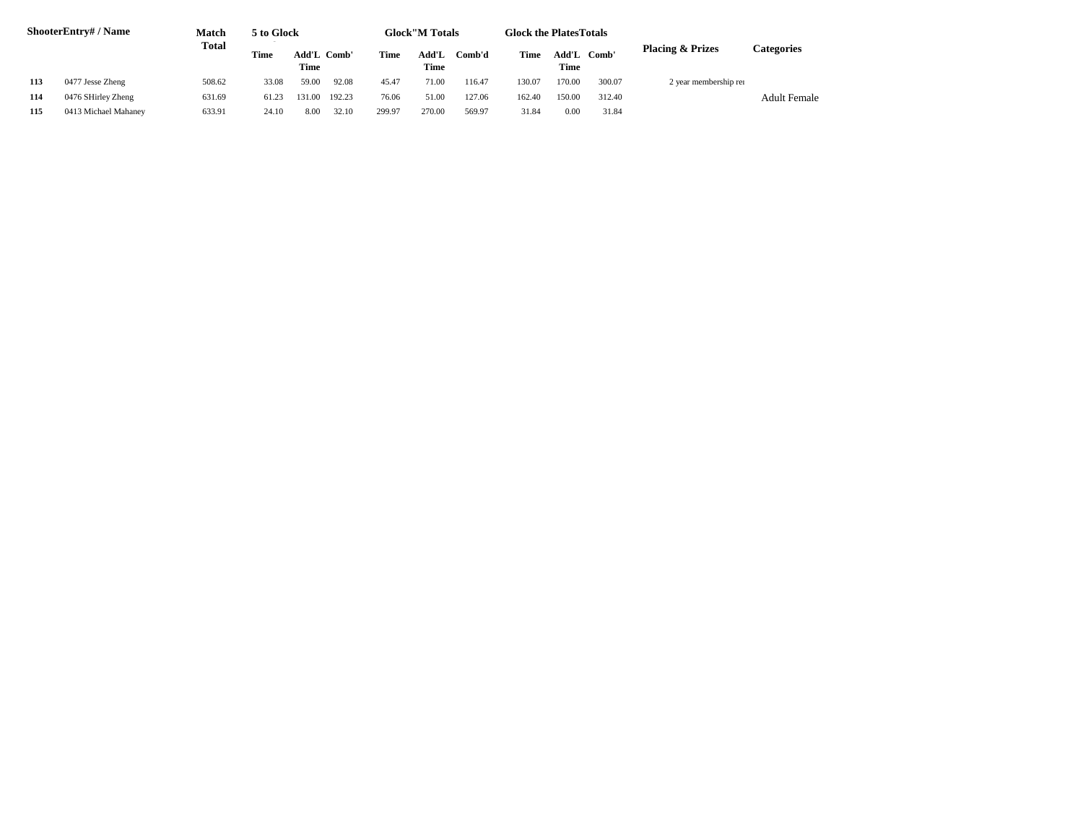|     | ShooterEntry# / Name | Match  | 5 to Glock |                     |        |             | <b>Glock</b> "M Totals |        | <b>Glock the PlatesTotals</b> |               |        |                             |                     |
|-----|----------------------|--------|------------|---------------------|--------|-------------|------------------------|--------|-------------------------------|---------------|--------|-----------------------------|---------------------|
|     |                      | Total  | Time       | Add'L Comb'<br>Time |        | <b>Time</b> | Add'L<br>Time          | Comb'd | Time                          | Add'L<br>Time | Comb'  | <b>Placing &amp; Prizes</b> | Categories          |
| 113 | 0477 Jesse Zheng     | 508.62 | 33.08      | 59.00               | 92.08  | 45.47       | 71.00                  | 116.47 | 130.07                        | 170.00        | 300.07 | 2 year membership rer       |                     |
| 114 | 0476 SHirley Zheng   | 631.69 | 61.23      | 131.00              | 192.23 | 76.06       | 51.00                  | 127.06 | 162.40                        | 150.00        | 312.40 |                             | <b>Adult Female</b> |
| 115 | 0413 Michael Mahaney | 633.91 | 24.10      | 8.00                | 32.10  | 299.97      | 270.00                 | 569.97 | 31.84                         | 0.00          | 31.84  |                             |                     |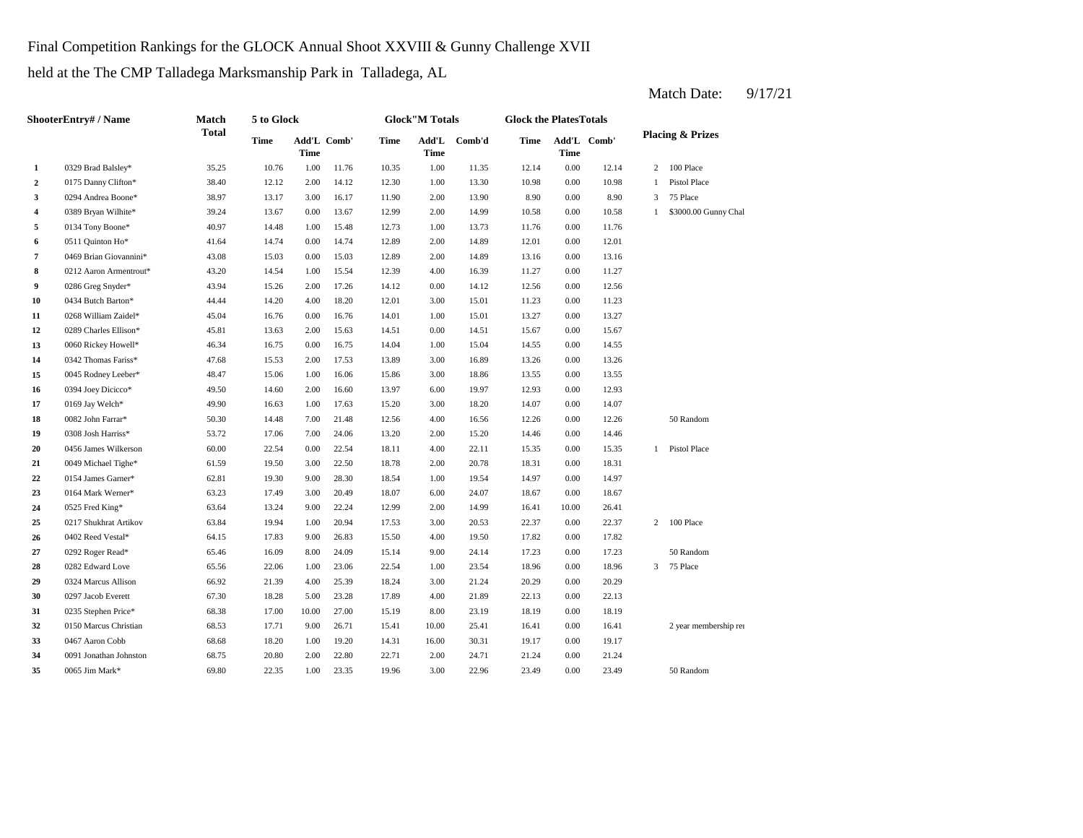Final Competition Rankings for the GLOCK Annual Shoot XXVIII & Gunny Challenge XVII

held at the The CMP Talladega Marksmanship Park in Talladega, AL

|                | <b>ShooterEntry#/Name</b> | Match        | 5 to Glock |                            |       |       | <b>Glock"M Totals</b> |        | <b>Glock the PlatesTotals</b> |             |             |                |                             |
|----------------|---------------------------|--------------|------------|----------------------------|-------|-------|-----------------------|--------|-------------------------------|-------------|-------------|----------------|-----------------------------|
|                |                           | <b>Total</b> | Time       | Add'L Comb'<br><b>Time</b> |       | Time  | Add'L<br>Time         | Comb'd | Time                          | <b>Time</b> | Add'L Comb' |                | <b>Placing &amp; Prizes</b> |
| 1              | 0329 Brad Balsley*        | 35.25        | 10.76      | 1.00                       | 11.76 | 10.35 | 1.00                  | 11.35  | 12.14                         | $0.00\,$    | 12.14       | $\overline{c}$ | 100 Place                   |
| $\overline{2}$ | 0175 Danny Clifton*       | 38.40        | 12.12      | 2.00                       | 14.12 | 12.30 | 1.00                  | 13.30  | 10.98                         | 0.00        | 10.98       | 1              | Pistol Place                |
| 3              | 0294 Andrea Boone*        | 38.97        | 13.17      | 3.00                       | 16.17 | 11.90 | 2.00                  | 13.90  | 8.90                          | 0.00        | 8.90        | 3              | 75 Place                    |
| $\overline{4}$ | 0389 Bryan Wilhite*       | 39.24        | 13.67      | 0.00                       | 13.67 | 12.99 | 2.00                  | 14.99  | 10.58                         | 0.00        | 10.58       | $\mathbf{1}$   | \$3000.00 Gunny Chal        |
| 5              | 0134 Tony Boone*          | 40.97        | 14.48      | 1.00                       | 15.48 | 12.73 | 1.00                  | 13.73  | 11.76                         | 0.00        | 11.76       |                |                             |
| 6              | 0511 Quinton Ho*          | 41.64        | 14.74      | 0.00                       | 14.74 | 12.89 | 2.00                  | 14.89  | 12.01                         | 0.00        | 12.01       |                |                             |
| $\overline{7}$ | 0469 Brian Giovannini*    | 43.08        | 15.03      | 0.00                       | 15.03 | 12.89 | 2.00                  | 14.89  | 13.16                         | 0.00        | 13.16       |                |                             |
| 8              | 0212 Aaron Armentrout*    | 43.20        | 14.54      | 1.00                       | 15.54 | 12.39 | 4.00                  | 16.39  | 11.27                         | 0.00        | 11.27       |                |                             |
| 9              | 0286 Greg Snyder*         | 43.94        | 15.26      | 2.00                       | 17.26 | 14.12 | 0.00                  | 14.12  | 12.56                         | 0.00        | 12.56       |                |                             |
| 10             | 0434 Butch Barton*        | 44.44        | 14.20      | 4.00                       | 18.20 | 12.01 | 3.00                  | 15.01  | 11.23                         | 0.00        | 11.23       |                |                             |
| 11             | 0268 William Zaidel*      | 45.04        | 16.76      | 0.00                       | 16.76 | 14.01 | 1.00                  | 15.01  | 13.27                         | 0.00        | 13.27       |                |                             |
| 12             | 0289 Charles Ellison*     | 45.81        | 13.63      | 2.00                       | 15.63 | 14.51 | 0.00                  | 14.51  | 15.67                         | 0.00        | 15.67       |                |                             |
| 13             | 0060 Rickey Howell*       | 46.34        | 16.75      | 0.00                       | 16.75 | 14.04 | 1.00                  | 15.04  | 14.55                         | 0.00        | 14.55       |                |                             |
| 14             | 0342 Thomas Fariss*       | 47.68        | 15.53      | 2.00                       | 17.53 | 13.89 | 3.00                  | 16.89  | 13.26                         | 0.00        | 13.26       |                |                             |
| 15             | 0045 Rodney Leeber*       | 48.47        | 15.06      | 1.00                       | 16.06 | 15.86 | 3.00                  | 18.86  | 13.55                         | 0.00        | 13.55       |                |                             |
| 16             | 0394 Joey Dicicco*        | 49.50        | 14.60      | 2.00                       | 16.60 | 13.97 | 6.00                  | 19.97  | 12.93                         | 0.00        | 12.93       |                |                             |
| 17             | 0169 Jay Welch*           | 49.90        | 16.63      | 1.00                       | 17.63 | 15.20 | 3.00                  | 18.20  | 14.07                         | 0.00        | 14.07       |                |                             |
| 18             | 0082 John Farrar*         | 50.30        | 14.48      | 7.00                       | 21.48 | 12.56 | 4.00                  | 16.56  | 12.26                         | 0.00        | 12.26       |                | 50 Random                   |
| 19             | 0308 Josh Harriss*        | 53.72        | 17.06      | 7.00                       | 24.06 | 13.20 | 2.00                  | 15.20  | 14.46                         | 0.00        | 14.46       |                |                             |
| 20             | 0456 James Wilkerson      | 60.00        | 22.54      | 0.00                       | 22.54 | 18.11 | 4.00                  | 22.11  | 15.35                         | 0.00        | 15.35       | $\mathbf{1}$   | Pistol Place                |
| 21             | 0049 Michael Tighe*       | 61.59        | 19.50      | 3.00                       | 22.50 | 18.78 | 2.00                  | 20.78  | 18.31                         | 0.00        | 18.31       |                |                             |
| 22             | 0154 James Garner*        | 62.81        | 19.30      | 9.00                       | 28.30 | 18.54 | 1.00                  | 19.54  | 14.97                         | 0.00        | 14.97       |                |                             |
| 23             | 0164 Mark Werner*         | 63.23        | 17.49      | 3.00                       | 20.49 | 18.07 | 6.00                  | 24.07  | 18.67                         | 0.00        | 18.67       |                |                             |
| 24             | 0525 Fred King*           | 63.64        | 13.24      | 9.00                       | 22.24 | 12.99 | 2.00                  | 14.99  | 16.41                         | 10.00       | 26.41       |                |                             |
| 25             | 0217 Shukhrat Artikov     | 63.84        | 19.94      | 1.00                       | 20.94 | 17.53 | 3.00                  | 20.53  | 22.37                         | 0.00        | 22.37       | 2              | 100 Place                   |
| 26             | 0402 Reed Vestal*         | 64.15        | 17.83      | 9.00                       | 26.83 | 15.50 | 4.00                  | 19.50  | 17.82                         | 0.00        | 17.82       |                |                             |
| 27             | 0292 Roger Read*          | 65.46        | 16.09      | 8.00                       | 24.09 | 15.14 | 9.00                  | 24.14  | 17.23                         | 0.00        | 17.23       |                | 50 Random                   |
| 28             | 0282 Edward Love          | 65.56        | 22.06      | 1.00                       | 23.06 | 22.54 | 1.00                  | 23.54  | 18.96                         | 0.00        | 18.96       | 3              | 75 Place                    |
| 29             | 0324 Marcus Allison       | 66.92        | 21.39      | 4.00                       | 25.39 | 18.24 | 3.00                  | 21.24  | 20.29                         | 0.00        | 20.29       |                |                             |
| 30             | 0297 Jacob Everett        | 67.30        | 18.28      | 5.00                       | 23.28 | 17.89 | 4.00                  | 21.89  | 22.13                         | 0.00        | 22.13       |                |                             |
| 31             | 0235 Stephen Price*       | 68.38        | 17.00      | 10.00                      | 27.00 | 15.19 | 8.00                  | 23.19  | 18.19                         | 0.00        | 18.19       |                |                             |
| 32             | 0150 Marcus Christian     | 68.53        | 17.71      | 9.00                       | 26.71 | 15.41 | 10.00                 | 25.41  | 16.41                         | 0.00        | 16.41       |                | 2 year membership rer       |
| 33             | 0467 Aaron Cobb           | 68.68        | 18.20      | 1.00                       | 19.20 | 14.31 | 16.00                 | 30.31  | 19.17                         | 0.00        | 19.17       |                |                             |
| 34             | 0091 Jonathan Johnston    | 68.75        | 20.80      | 2.00                       | 22.80 | 22.71 | 2.00                  | 24.71  | 21.24                         | 0.00        | 21.24       |                |                             |
| 35             | 0065 Jim Mark*            | 69.80        | 22.35      | 1.00                       | 23.35 | 19.96 | 3.00                  | 22.96  | 23.49                         | 0.00        | 23.49       |                | 50 Random                   |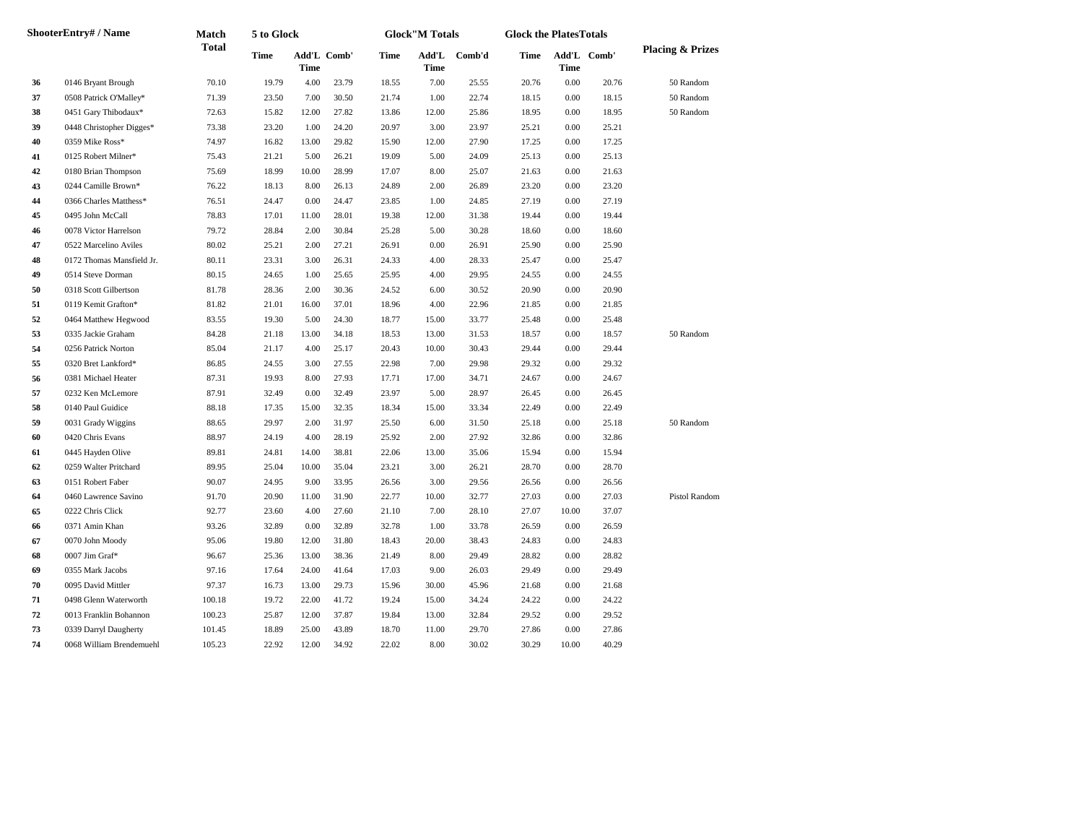|    | <b>ShooterEntry#/Name</b> | Match        | 5 to Glock  |             |             |       | <b>Glock"M Totals</b> |        | <b>Glock the PlatesTotals</b> |                     |       |                             |
|----|---------------------------|--------------|-------------|-------------|-------------|-------|-----------------------|--------|-------------------------------|---------------------|-------|-----------------------------|
|    |                           | <b>Total</b> | <b>Time</b> | <b>Time</b> | Add'L Comb' | Time  | Add'L<br>Time         | Comb'd | Time                          | Add'L Comb'<br>Time |       | <b>Placing &amp; Prizes</b> |
| 36 | 0146 Bryant Brough        | 70.10        | 19.79       | 4.00        | 23.79       | 18.55 | 7.00                  | 25.55  | 20.76                         | 0.00                | 20.76 | 50 Random                   |
| 37 | 0508 Patrick O'Malley*    | 71.39        | 23.50       | 7.00        | 30.50       | 21.74 | 1.00                  | 22.74  | 18.15                         | 0.00                | 18.15 | 50 Random                   |
| 38 | 0451 Gary Thibodaux*      | 72.63        | 15.82       | 12.00       | 27.82       | 13.86 | 12.00                 | 25.86  | 18.95                         | 0.00                | 18.95 | 50 Random                   |
| 39 | 0448 Christopher Digges*  | 73.38        | 23.20       | 1.00        | 24.20       | 20.97 | 3.00                  | 23.97  | 25.21                         | 0.00                | 25.21 |                             |
| 40 | 0359 Mike Ross*           | 74.97        | 16.82       | 13.00       | 29.82       | 15.90 | 12.00                 | 27.90  | 17.25                         | 0.00                | 17.25 |                             |
| 41 | 0125 Robert Milner*       | 75.43        | 21.21       | 5.00        | 26.21       | 19.09 | 5.00                  | 24.09  | 25.13                         | 0.00                | 25.13 |                             |
| 42 | 0180 Brian Thompson       | 75.69        | 18.99       | 10.00       | 28.99       | 17.07 | 8.00                  | 25.07  | 21.63                         | 0.00                | 21.63 |                             |
| 43 | 0244 Camille Brown*       | 76.22        | 18.13       | 8.00        | 26.13       | 24.89 | 2.00                  | 26.89  | 23.20                         | 0.00                | 23.20 |                             |
| 44 | 0366 Charles Matthess*    | 76.51        | 24.47       | 0.00        | 24.47       | 23.85 | 1.00                  | 24.85  | 27.19                         | 0.00                | 27.19 |                             |
| 45 | 0495 John McCall          | 78.83        | 17.01       | 11.00       | 28.01       | 19.38 | 12.00                 | 31.38  | 19.44                         | 0.00                | 19.44 |                             |
| 46 | 0078 Victor Harrelson     | 79.72        | 28.84       | 2.00        | 30.84       | 25.28 | 5.00                  | 30.28  | 18.60                         | 0.00                | 18.60 |                             |
| 47 | 0522 Marcelino Aviles     | 80.02        | 25.21       | 2.00        | 27.21       | 26.91 | 0.00                  | 26.91  | 25.90                         | 0.00                | 25.90 |                             |
| 48 | 0172 Thomas Mansfield Jr. | 80.11        | 23.31       | 3.00        | 26.31       | 24.33 | 4.00                  | 28.33  | 25.47                         | 0.00                | 25.47 |                             |
| 49 | 0514 Steve Dorman         | 80.15        | 24.65       | 1.00        | 25.65       | 25.95 | 4.00                  | 29.95  | 24.55                         | 0.00                | 24.55 |                             |
| 50 | 0318 Scott Gilbertson     | 81.78        | 28.36       | 2.00        | 30.36       | 24.52 | 6.00                  | 30.52  | 20.90                         | 0.00                | 20.90 |                             |
| 51 | 0119 Kemit Grafton*       | 81.82        | 21.01       | 16.00       | 37.01       | 18.96 | 4.00                  | 22.96  | 21.85                         | 0.00                | 21.85 |                             |
| 52 | 0464 Matthew Hegwood      | 83.55        | 19.30       | 5.00        | 24.30       | 18.77 | 15.00                 | 33.77  | 25.48                         | 0.00                | 25.48 |                             |
| 53 | 0335 Jackie Graham        | 84.28        | 21.18       | 13.00       | 34.18       | 18.53 | 13.00                 | 31.53  | 18.57                         | 0.00                | 18.57 | 50 Random                   |
| 54 | 0256 Patrick Norton       | 85.04        | 21.17       | 4.00        | 25.17       | 20.43 | 10.00                 | 30.43  | 29.44                         | 0.00                | 29.44 |                             |
| 55 | 0320 Bret Lankford*       | 86.85        | 24.55       | 3.00        | 27.55       | 22.98 | 7.00                  | 29.98  | 29.32                         | 0.00                | 29.32 |                             |
| 56 | 0381 Michael Heater       | 87.31        | 19.93       | 8.00        | 27.93       | 17.71 | 17.00                 | 34.71  | 24.67                         | 0.00                | 24.67 |                             |
| 57 | 0232 Ken McLemore         | 87.91        | 32.49       | 0.00        | 32.49       | 23.97 | 5.00                  | 28.97  | 26.45                         | 0.00                | 26.45 |                             |
| 58 | 0140 Paul Guidice         | 88.18        | 17.35       | 15.00       | 32.35       | 18.34 | 15.00                 | 33.34  | 22.49                         | 0.00                | 22.49 |                             |
| 59 | 0031 Grady Wiggins        | 88.65        | 29.97       | 2.00        | 31.97       | 25.50 | 6.00                  | 31.50  | 25.18                         | 0.00                | 25.18 | 50 Random                   |
| 60 | 0420 Chris Evans          | 88.97        | 24.19       | 4.00        | 28.19       | 25.92 | 2.00                  | 27.92  | 32.86                         | 0.00                | 32.86 |                             |
| 61 | 0445 Hayden Olive         | 89.81        | 24.81       | 14.00       | 38.81       | 22.06 | 13.00                 | 35.06  | 15.94                         | 0.00                | 15.94 |                             |
| 62 | 0259 Walter Pritchard     | 89.95        | 25.04       | 10.00       | 35.04       | 23.21 | 3.00                  | 26.21  | 28.70                         | 0.00                | 28.70 |                             |
| 63 | 0151 Robert Faber         | 90.07        | 24.95       | 9.00        | 33.95       | 26.56 | 3.00                  | 29.56  | 26.56                         | 0.00                | 26.56 |                             |
| 64 | 0460 Lawrence Savino      | 91.70        | 20.90       | 11.00       | 31.90       | 22.77 | 10.00                 | 32.77  | 27.03                         | 0.00                | 27.03 | Pistol Random               |
| 65 | 0222 Chris Click          | 92.77        | 23.60       | 4.00        | 27.60       | 21.10 | 7.00                  | 28.10  | 27.07                         | 10.00               | 37.07 |                             |
| 66 | 0371 Amin Khan            | 93.26        | 32.89       | 0.00        | 32.89       | 32.78 | 1.00                  | 33.78  | 26.59                         | 0.00                | 26.59 |                             |
| 67 | 0070 John Moody           | 95.06        | 19.80       | 12.00       | 31.80       | 18.43 | 20.00                 | 38.43  | 24.83                         | 0.00                | 24.83 |                             |
| 68 | 0007 Jim Graf*            | 96.67        | 25.36       | 13.00       | 38.36       | 21.49 | 8.00                  | 29.49  | 28.82                         | 0.00                | 28.82 |                             |
| 69 | 0355 Mark Jacobs          | 97.16        | 17.64       | 24.00       | 41.64       | 17.03 | 9.00                  | 26.03  | 29.49                         | 0.00                | 29.49 |                             |
| 70 | 0095 David Mittler        | 97.37        | 16.73       | 13.00       | 29.73       | 15.96 | 30.00                 | 45.96  | 21.68                         | 0.00                | 21.68 |                             |
| 71 | 0498 Glenn Waterworth     | 100.18       | 19.72       | 22.00       | 41.72       | 19.24 | 15.00                 | 34.24  | 24.22                         | 0.00                | 24.22 |                             |
| 72 | 0013 Franklin Bohannon    | 100.23       | 25.87       | 12.00       | 37.87       | 19.84 | 13.00                 | 32.84  | 29.52                         | 0.00                | 29.52 |                             |
| 73 | 0339 Darryl Daugherty     | 101.45       | 18.89       | 25.00       | 43.89       | 18.70 | 11.00                 | 29.70  | 27.86                         | 0.00                | 27.86 |                             |
| 74 | 0068 William Brendemuehl  | 105.23       | 22.92       | 12.00       | 34.92       | 22.02 | 8.00                  | 30.02  | 30.29                         | 10.00               | 40.29 |                             |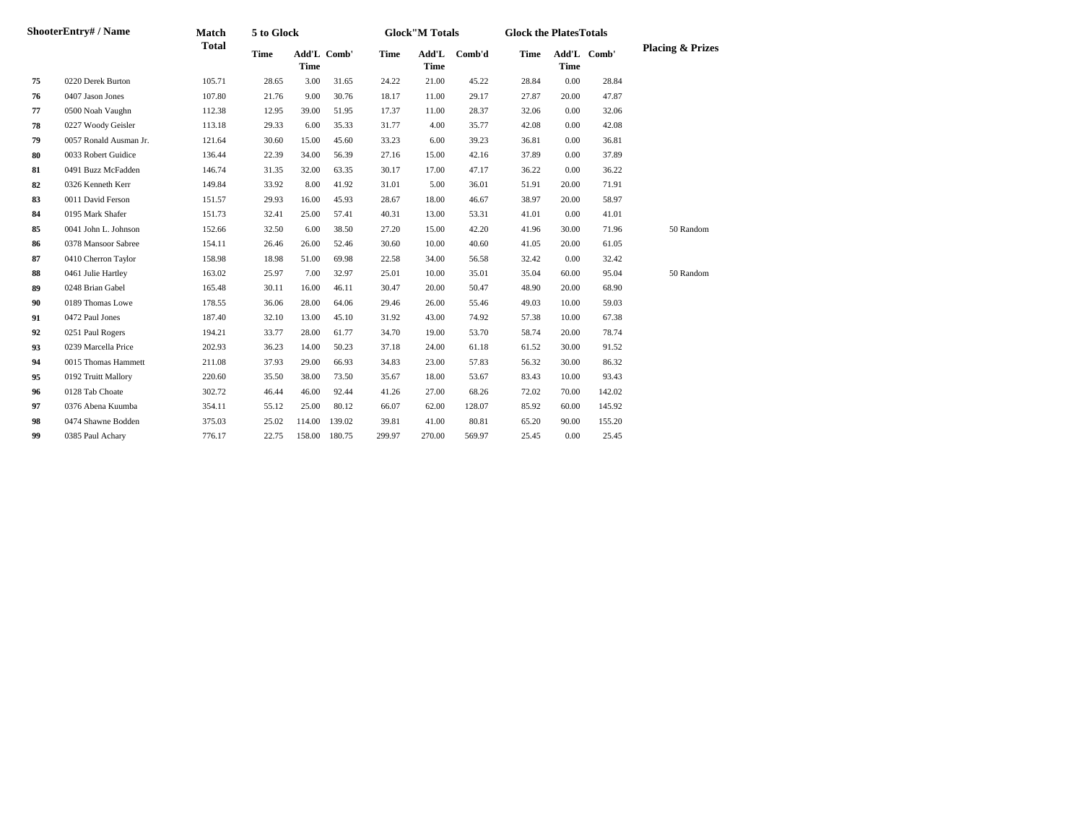|    | ShooterEntry# / Name   | Match        | 5 to Glock  |                            |               |             | <b>Glock"M Totals</b> |        | <b>Glock the PlatesTotals</b> |             |             |                             |
|----|------------------------|--------------|-------------|----------------------------|---------------|-------------|-----------------------|--------|-------------------------------|-------------|-------------|-----------------------------|
|    |                        | <b>Total</b> | <b>Time</b> | Add'L Comb'<br><b>Time</b> |               | <b>Time</b> | Add'L<br><b>Time</b>  | Comb'd | <b>Time</b>                   | <b>Time</b> | Add'L Comb' | <b>Placing &amp; Prizes</b> |
| 75 | 0220 Derek Burton      | 105.71       | 28.65       | 3.00                       | 31.65         | 24.22       | 21.00                 | 45.22  | 28.84                         | 0.00        | 28.84       |                             |
| 76 | 0407 Jason Jones       | 107.80       | 21.76       | 9.00                       | 30.76         | 18.17       | 11.00                 | 29.17  | 27.87                         | 20.00       | 47.87       |                             |
| 77 | 0500 Noah Vaughn       | 112.38       | 12.95       | 39.00                      | 51.95         | 17.37       | 11.00                 | 28.37  | 32.06                         | $0.00\,$    | 32.06       |                             |
| 78 | 0227 Woody Geisler     | 113.18       | 29.33       | 6.00                       | 35.33         | 31.77       | 4.00                  | 35.77  | 42.08                         | 0.00        | 42.08       |                             |
| 79 | 0057 Ronald Ausman Jr. | 121.64       | 30.60       | 15.00                      | 45.60         | 33.23       | 6.00                  | 39.23  | 36.81                         | 0.00        | 36.81       |                             |
| 80 | 0033 Robert Guidice    | 136.44       | 22.39       | 34.00                      | 56.39         | 27.16       | 15.00                 | 42.16  | 37.89                         | 0.00        | 37.89       |                             |
| 81 | 0491 Buzz McFadden     | 146.74       | 31.35       | 32.00                      | 63.35         | 30.17       | 17.00                 | 47.17  | 36.22                         | 0.00        | 36.22       |                             |
| 82 | 0326 Kenneth Kerr      | 149.84       | 33.92       | 8.00                       | 41.92         | 31.01       | 5.00                  | 36.01  | 51.91                         | 20.00       | 71.91       |                             |
| 83 | 0011 David Ferson      | 151.57       | 29.93       | 16.00                      | 45.93         | 28.67       | 18.00                 | 46.67  | 38.97                         | 20.00       | 58.97       |                             |
| 84 | 0195 Mark Shafer       | 151.73       | 32.41       | 25.00                      | 57.41         | 40.31       | 13.00                 | 53.31  | 41.01                         | 0.00        | 41.01       |                             |
| 85 | 0041 John L. Johnson   | 152.66       | 32.50       | 6.00                       | 38.50         | 27.20       | 15.00                 | 42.20  | 41.96                         | 30.00       | 71.96       | 50 Random                   |
| 86 | 0378 Mansoor Sabree    | 154.11       | 26.46       | 26.00                      | 52.46         | 30.60       | 10.00                 | 40.60  | 41.05                         | 20.00       | 61.05       |                             |
| 87 | 0410 Cherron Taylor    | 158.98       | 18.98       | 51.00                      | 69.98         | 22.58       | 34.00                 | 56.58  | 32.42                         | 0.00        | 32.42       |                             |
| 88 | 0461 Julie Hartley     | 163.02       | 25.97       | 7.00                       | 32.97         | 25.01       | 10.00                 | 35.01  | 35.04                         | 60.00       | 95.04       | 50 Random                   |
| 89 | 0248 Brian Gabel       | 165.48       | 30.11       | 16.00                      | 46.11         | 30.47       | 20.00                 | 50.47  | 48.90                         | 20.00       | 68.90       |                             |
| 90 | 0189 Thomas Lowe       | 178.55       | 36.06       | 28.00                      | 64.06         | 29.46       | 26.00                 | 55.46  | 49.03                         | 10.00       | 59.03       |                             |
| 91 | 0472 Paul Jones        | 187.40       | 32.10       | 13.00                      | 45.10         | 31.92       | 43.00                 | 74.92  | 57.38                         | 10.00       | 67.38       |                             |
| 92 | 0251 Paul Rogers       | 194.21       | 33.77       | 28.00                      | 61.77         | 34.70       | 19.00                 | 53.70  | 58.74                         | 20.00       | 78.74       |                             |
| 93 | 0239 Marcella Price    | 202.93       | 36.23       | 14.00                      | 50.23         | 37.18       | 24.00                 | 61.18  | 61.52                         | 30.00       | 91.52       |                             |
| 94 | 0015 Thomas Hammett    | 211.08       | 37.93       | 29.00                      | 66.93         | 34.83       | 23.00                 | 57.83  | 56.32                         | 30.00       | 86.32       |                             |
| 95 | 0192 Truitt Mallory    | 220.60       | 35.50       | 38.00                      | 73.50         | 35.67       | 18.00                 | 53.67  | 83.43                         | 10.00       | 93.43       |                             |
| 96 | 0128 Tab Choate        | 302.72       | 46.44       | 46.00                      | 92.44         | 41.26       | 27.00                 | 68.26  | 72.02                         | 70.00       | 142.02      |                             |
| 97 | 0376 Abena Kuumba      | 354.11       | 55.12       | 25.00                      | 80.12         | 66.07       | 62.00                 | 128.07 | 85.92                         | 60.00       | 145.92      |                             |
| 98 | 0474 Shawne Bodden     | 375.03       | 25.02       | 114.00                     | 139.02        | 39.81       | 41.00                 | 80.81  | 65.20                         | 90.00       | 155.20      |                             |
| 99 | 0385 Paul Achary       | 776.17       | 22.75       |                            | 158.00 180.75 | 299.97      | 270.00                | 569.97 | 25.45                         | 0.00        | 25.45       |                             |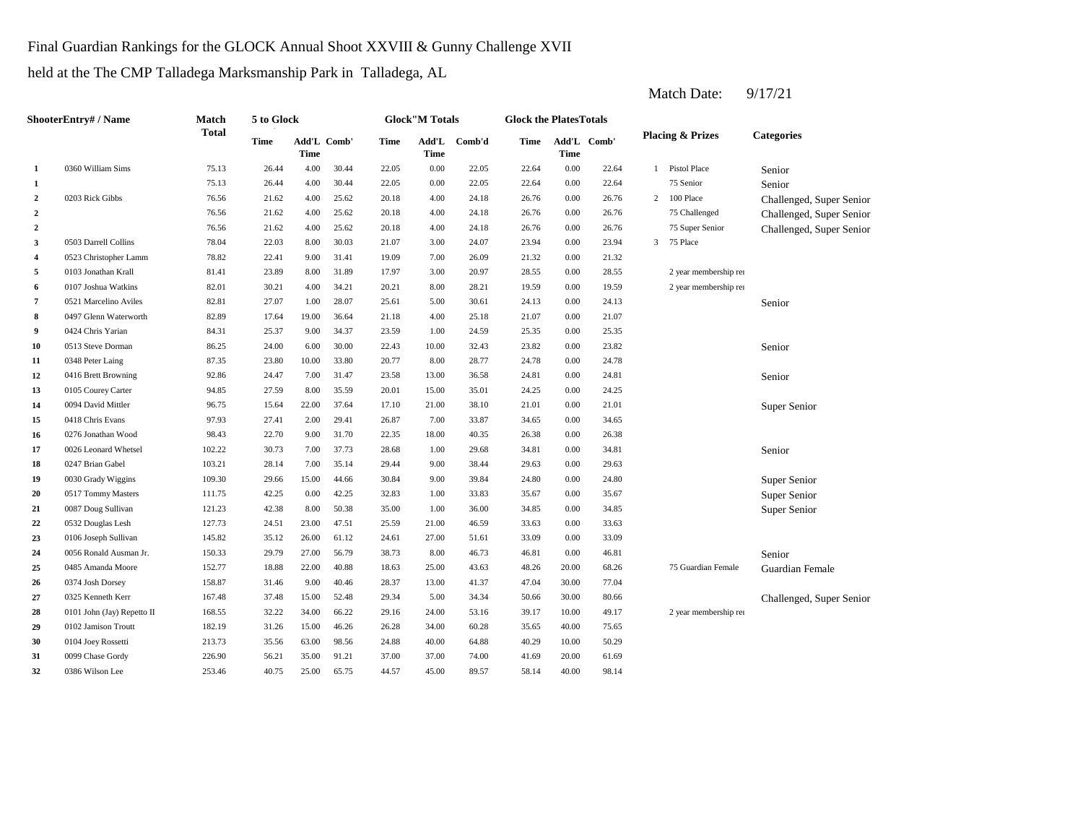## Final Guardian Rankings for the GLOCK Annual Shoot XXVIII & Gunny Challenge XVII

held at the The CMP Talladega Marksmanship Park in Talladega, AL

**1 1 1.000 22.05 1.000 22.04 1.000 30.44 22.05 22.05 22.04 1.000 22.04 1.000 22.04 1.000 22.04 2** 4.00 26.76 0203 Rick Gibbs 76.56 21.62 4.00 25.62 20.18 24.18 **2 2 2 2 2 2 20.76 21.62 20.62 20.18 20.76 24.18 26.76 2 2 2 2 2 2 20.76 21.62 20.62 20.18 20.76 24.18 26.76 3** 3.00 23.94 0503 Darrell Collins 78.04 22.03 8.00 30.03 **4** 7.00 21.32 0523 Christopher Lamm 78.82 22.41 9.00 31.41 19.09 **5**  $0.03$  Jonathan Krall **81.41** 23.89 8.00 31.89 17.97 3.00 20.97 28.55 **6** 0107 Joshua Watkins 82.01 30.21 4.00 34.21 20.21 8.00 28.21 19.59 **7** 5.00 24.13 0521 Marcelino Aviles 82.81 27.07 1.00 28.07 25.61 30.61 **8** 0497 Glenn Waterworth 82.89 17.64 19.00 36.64 21.18 4.00 25.18 21.07 **9** 1.00 25.35 0424 Chris Yarian 84.31 25.37 9.00 34.37 23.59 24.59 0.00 **10** 0513 Steve Dorman 86.25 24.00 6.00 30.00 22.43 10.00 32.43 23.82 0.00 23.82 **11** 0348 Peter Laing **87.35** 23.80 10.00 33.80 20.77 8.00 28.77 24.78 **12** 13.00 24.81 0416 Brett Browning 92.86 24.47 7.00 31.47 23.58 **13** 15.00 24.25 0105 Courey Carter 94.85 27.59 8.00 35.59 20.01 **14** 21.00 21.01 0094 David Mittler 96.75 15.64 22.00 37.64 17.10 38.10 **15** 0418 Chris Evans **15** 97.93 27.41 2.00 29.41 26.87 7.00 33.87 34.65 **16** 0276 Jonathan Wood 98.43 22.70 9.00 31.70 22.35 18.00 40.35 26.38 0.00 **17** 0026 Leonard Whetsel **102.22** 30.73 7.00 37.73 28.68 1.00 29.68 34.81 0.00 34.81 **18** 9.00 38.44 **188** 9.00 247 Brian Gabel **19.63** 19.21 28.14 7.00 35.14 29.44 9.00 38.44 29.63 **19** 0030 Grady Wiggins 109.30 29.66 15.00 44.66 30.84 9.00 39.84 24.80 **20** 0517 Tommy Masters 111.75 42.25 0.00 42.25 32.83 1.00 33.83 35.67 **21** 0087 Doug Sullivan 121.23 42.38 8.00 50.38 35.00 1.00 36.00 34.85 **22** 21.00 33.63 0532 Douglas Lesh 127.73 24.51 23.00 47.51 25.59 **23** 0106 Joseph Sullivan 145.82 35.12 26.00 61.12 24.61 27.00 51.61 33.09 **24** 8056 Ronald Ausman Jr. 150.33 29.79 27.00 56.79 38.73 8.00 46.73 46.81 0.00 25 0485 Amanda Moore 152.77 18.88 22.00 40.88 18.63 25.00 43.63 48.26 20.00 **26** 13.00 47.04 0374 Josh Dorsey 158.87 31.46 9.00 40.46 28.37 41.37 **27** 0325 Kenneth Kerr 167.48 37.48 15.00 52.48 29.34 5.00 34.34 50.66 30.00 **28** 0101 John (Jay) Repetto II 168.55 32.22 34.00 66.22 29.16 24.00 53.16 39.17 10.00 **29** 0102 Jamison Troutt 182.19 31.26 15.00 46.26 26.28 34.00 60.28 35.65 40.00 **30** 0104 Joey Rossetti 213.73 35.56 63.00 98.56 24.88 40.00 64.88 40.29 10.00 50.29 **31** 0099 Chase Gordy 226.90 56.21 35.00 91.21 37.00 37.00 74.00 41.69 **32 43.00 58.14 40.00 58.14 40.00 53.14 40.75 40.75 55.75 44.57 45.00 58.57 58.14 40.00 98.14** 74.00 20.00 61.69 0386 Wilson Lee 253.46 40.75 25.00 65.75 44.57 45.00 89.57 75.65 49.17 2 year membership ren 80.66 Challenged, Super Senior 30.00 77.04 68.26 75 Guardian Female Guardian Female 46.81 Senior 0.00 33.09 46.59 0.00 33.63 36.00 0.00 34.85 Super Senior 33.83 0.00 35.67 Super Senior 39.84 0.00 24.80 Super Senior Senior 0247 Brian Gabel 103.21 28.14 7.00 35.14 29.44 9.00 38.44 29.63 0.00 29.63 26.38 0.00 34.65 0.00 21.01 Super Senior 0418 Chris Evans **97.93** 27.41 2.00 29.41 2.6.87 7.00 33.87 35.01 0.00 24.25 36.58 0.00 24.81 Senior Senior 0348 Peter Laing 2014 87.35 23.80 10.00 33.80 20.77 8.00 28.77 24.78 0.00 24.78 25.35 0.00 21.07 0.00 24.13 Senior 0.00 19.59 2 year membership renewal Random 0.00 28.55 2 year membership renewal Random 26.09 0.00 21.32 21.07 3.00 24.07 23.94 0.00 23.94 3 75 Place 24.18 0.00 26.76 75 Super Senior Challenged, Super Senior 24.18 0.00 26.76 75 Challenged Challenged, Super Senior 76.56 21.62 4.00 25.62 20.18 0.00 26.76 2 100 Place Challenged, Super Senior 76.56 21.62 4.00 25.62 20.18 22.64 75 Senior Senior 1 Pistol Place Senior 75.13 26.44 4.00 30.44 22.05 22.05 0.00 **1** 0360 William Sims 75.13 26.44 4.00 30.44 22.05 0.00 22.05 22.64 0.00 22.64 **Categories Time Add'L Time** Add'L Comb' **Time Add'L Time Comb'd Time Add'L Comb' Time ShooterEntry# / Name Match Total 5 to Glock Time Glock"M Totals Glock the PlatesTotals Placing & Prizes**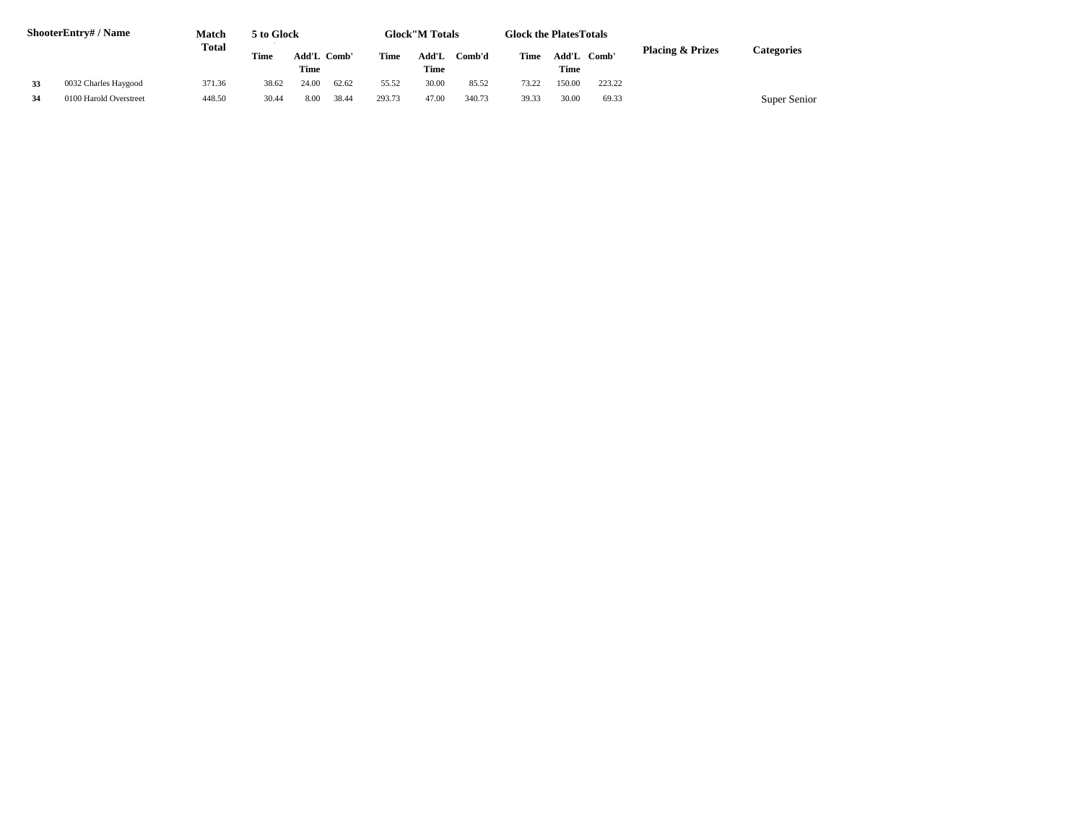| <b>ShooterEntry#/Name</b> |                        | Match<br>Total | 5 to Glock<br><b>Glock</b> "M Totals<br><b>Glock the Plates Totals</b> |                     |       |        |               |        |       |             |             |                             |              |
|---------------------------|------------------------|----------------|------------------------------------------------------------------------|---------------------|-------|--------|---------------|--------|-------|-------------|-------------|-----------------------------|--------------|
|                           |                        |                | <b>Time</b>                                                            | Add'L Comb'<br>Time |       | Time   | Add'L<br>Time | Comb'd | Time  | <b>Time</b> | Add'L Comb' | <b>Placing &amp; Prizes</b> | Categories   |
| 33                        | 0032 Charles Haygood   | 371.36         | 38.62                                                                  | 24.00               | 62.62 | 55.52  | 30.00         | 85.52  | 73.22 | 150.00      | 223.22      |                             |              |
| 34                        | 0100 Harold Overstreet | 448.50         | 30.44                                                                  | 8.00                | 38.44 | 293.73 | 47.00         | 340.73 | 39.33 | 30.00       | 69.33       |                             | Super Senior |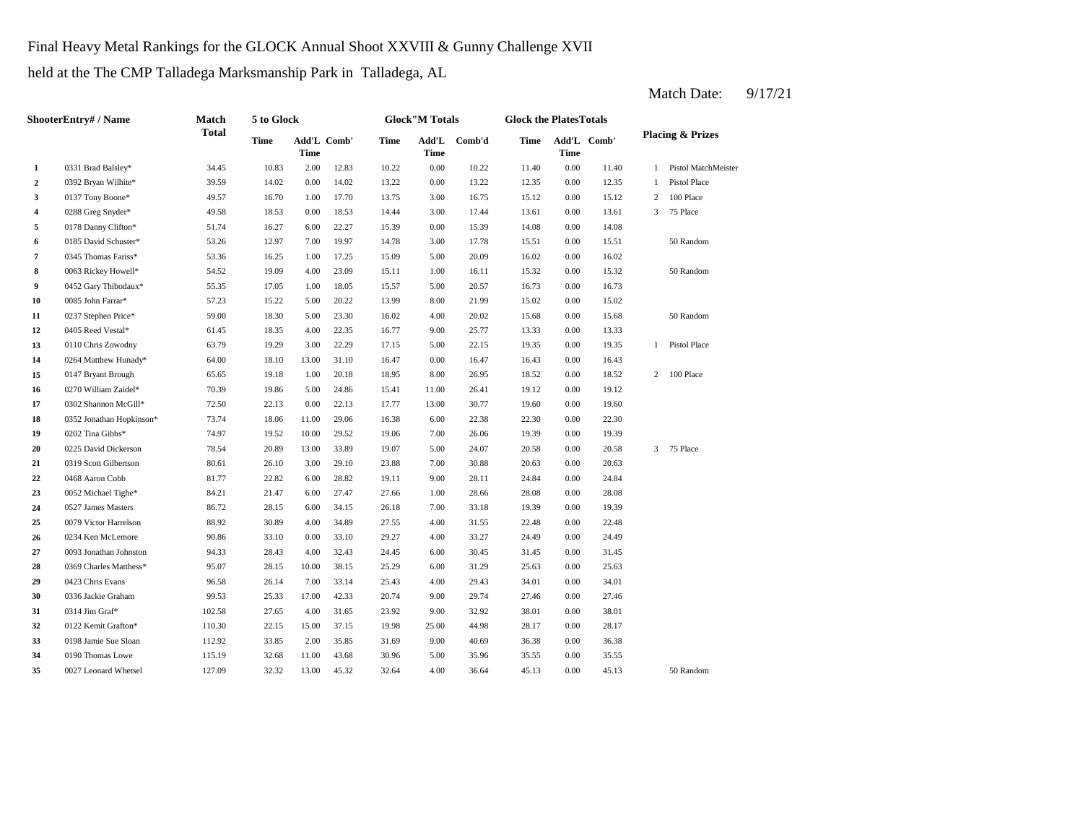Final Heavy Metal Rankings for the GLOCK Annual Shoot XXVIII & Gunny Challenge XVII

held at the The CMP Talladega Marksmanship Park in Talladega, AL

**2** 0392 Bryan Wilhite\* 39.59 14.02 0.00 14.02 13.22 0.00 13.22 12.35 **3** 0137 Tony Boone\* 49.57 16.70 1.00 17.70 13.75 3.00 16.75 15.12 **4** 3.00 13.61 0288 Greg Snyder\* 49.58 18.53 0.00 18.53 **5** 0.00 14.08 0178 Danny Clifton\* 51.74 16.27 6.00 22.27 15.39 **6** 0185 David Schuster\* **53.26** 12.97 7.00 19.97 14.78 3.00 17.78 15.51 **7** 5.00 16.02 0345 Thomas Fariss\* 53.36 16.25 1.00 17.25 15.09 20.09 **8** 0063 Rickey Howell\* 54.52 19.09 4.00 23.09 15.11 1.00 16.11 15.32 0.00 **9**  $0.452$  Gary Thibodaux\* 55.35 17.05 1.00 18.05 15.57 5.00 20.57 16.73 0.00 **10** 0085 John Farrar\* **57.23** 15.22 5.00 20.22 13.99 8.00 21.99 15.02 0.00 15.02 **11** 0237 Stephen Price\* 59.00 18.30 5.00 23.30 16.02 4.00 20.02 15.68 **12** 0405 Reed Vestal\* 61.45 18.35 4.00 22.35 16.77 9.00 25.77 13.33 **13** 0110 Chris Zowodny 63.79 19.29 3.00 22.29 17.15 5.00 22.15 19.35 **14** 0.00 16.43 0264 Matthew Hunady\* 64.00 18.10 13.00 31.10 16.47 **15** 0147 Bryant Brough 65.65 19.18 1.00 20.18 18.95 8.00 26.95 18.52 **16** 0270 William Zaidel\* **19.39** 19.86 5.00 24.86 15.41 11.00 26.41 19.12 **17** 0302 Shannon McGill\* 72.50 22.13 0.00 22.13 17.77 13.00 30.77 19.60 **18 0352 Jonathan Hopkinson\*** 73.74 **18.06 11.00 29.06 16.38 6.00 22.38 22.30 0.00 19** 0202 Tina Gibbs\* **19.39 19.39 19.39 19.39 19.39 19.00 19.39 19.39 19.39 19.39 19.39 19.39 19.39 20** 5.00 20.58 0225 David Dickerson 78.54 20.89 13.00 33.89 19.07 **21** 0319 Scott Gilbertson 80.61 26.10 3.00 29.10 23.88 7.00 30.88 20.63 **22** 0468 Aaron Cobb 81.77 22.82 6.00 28.82 19.11 9.00 28.11 24.84 **23** 1.00 28.08 0052 Michael Tighe\* 84.21 21.47 6.00 27.47 27.66 28.66 **24** 0527 James Masters 86.72 28.15 6.00 34.15 26.18 7.00 33.18 19.39 0.00 **25** 0079 Victor Harrelson 88.92 30.89 4.00 34.89 27.55 4.00 31.55 22.48 0.00 22.48 **26** 0234 Ken McLemore **20.86** 33.10 0.00 33.10 29.27 4.00 33.27 24.49 **27** 6.00 31.45 0093 Jonathan Johnston 94.33 28.43 4.00 32.43 24.45 30.45 **28** 0369 Charles Matthess\* 95.07 28.15 10.00 38.15 25.29 6.00 31.29 25.63 0.00 **29** 0423 Chris Evans **26.58** 26.14 7.00 33.14 25.43 4.00 29.43 34.01 **30** 0336 Jackie Graham **99.53** 25.33 17.00 42.33 20.74 9.00 29.74 27.46 **31**  $0.314$  Jim Graf\* **102.58** 27.65 4.00 31.65 23.92 9.00 32.92 38.01 **32** 0122 Kemit Grafton\* 110.30 22.15 15.00 37.15 19.98 25.00 44.98 28.17 0.00 **33** 9198 Jamie Sue Sloan 112.92 33.85 2.00 35.85 31.69 9.00 40.69 36.38 0.00 36.38 **34** 0190 Thomas Lowe 115.19 32.68 11.00 43.68 30.96 5.00 35.96 35.55 **35** 4.00 45.13 **50 Random 127.09** 32.32 13.00 45.32 32.64 4.00 36.64 45.13 0.00 45.13 50 Random 35.96 0.00 35.55 0027 Leonard Whetsel 127.09 32.32 13.00 45.32 32.64 4.00 36.64 28.17 0.00 38.01 29.74 0.00 27.46 0314 Jim Graf\* 102.58 27.65 4.00 31.65 23.92 9.00 32.92 25.63 0423 Chris Evans 96.58 26.14 7.00 33.14 25.43 29.43 0.00 34.01 0.00 31.45 33.27 0.00 24.49 19.39 0.00 28.08 28.11 0.00 24.84 23.88 30.88 0.00 20.63 24.07 20.58 0.00 20.58 3 75 Place 22.30 0.00 19.60 26.41 0.00 19.12 0.00 18.52 2 100 Place 16.47 0.00 16.43 0.00 19.35 1 Pistol Place 25.77 0.00 13.33 20.02 15.68 0.00 15.68 50 Random 16.73 15.32 50 Random 0.00 16.02 0.00 15.51 50 Random 15.39 0.00 14.08 14.44 3.00 17.44 13.61 0.00 13.61 3 75 Place 16.75 15.12 0.00 15.12 2 100 Place 13.22 0.00 13.22 12.35 0.00 12.35 1 Pistol Place 11.40 0.00 11.40 1 Pistol MatchMeister **Comb' Comb'd Time Add'L 1** 0331 Brad Balsley\* 34.45 10.83 2.00 12.83 10.22 0.00 10.22 Add'L Comb' **Time Add'L Time Time ShooterEntry# / Name Match Total 5 to Glock Time Glock"M Totals Glock the PlatesTotals Placing & Prizes Time Add'L Time**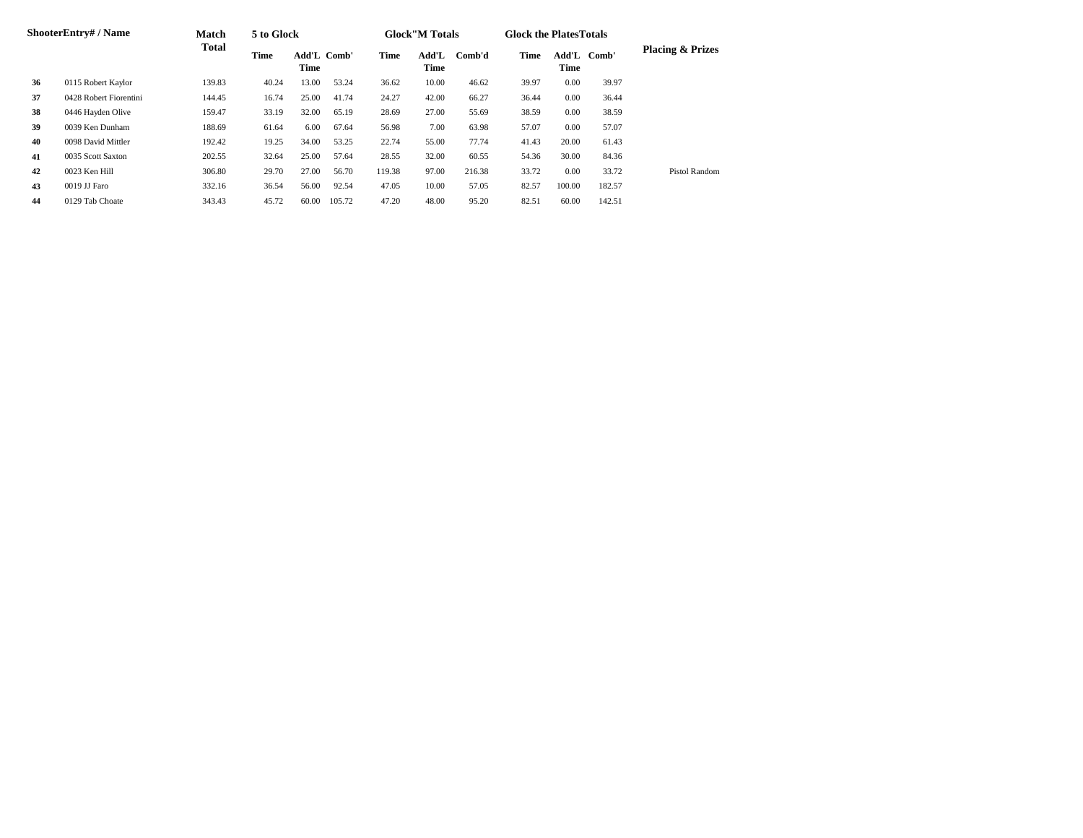| <b>ShooterEntry# / Name</b> |                        | Match  | 5 to Glock |                     |        |        | <b>Glock</b> "M Totals |        | <b>Glock the PlatesTotals</b> |               |        |                             |
|-----------------------------|------------------------|--------|------------|---------------------|--------|--------|------------------------|--------|-------------------------------|---------------|--------|-----------------------------|
|                             |                        | Total  | Time       | Add'L Comb'<br>Time |        | Time   | Add'L<br>Time          | Comb'd | Time                          | Add'L<br>Time | Comb'  | <b>Placing &amp; Prizes</b> |
| 36                          | 0115 Robert Kaylor     | 139.83 | 40.24      | 13.00               | 53.24  | 36.62  | 10.00                  | 46.62  | 39.97                         | 0.00          | 39.97  |                             |
| 37                          | 0428 Robert Fiorentini | 144.45 | 16.74      | 25.00               | 41.74  | 24.27  | 42.00                  | 66.27  | 36.44                         | 0.00          | 36.44  |                             |
| 38                          | 0446 Hayden Olive      | 159.47 | 33.19      | 32.00               | 65.19  | 28.69  | 27.00                  | 55.69  | 38.59                         | 0.00          | 38.59  |                             |
| 39                          | 0039 Ken Dunham        | 188.69 | 61.64      | 6.00                | 67.64  | 56.98  | 7.00                   | 63.98  | 57.07                         | 0.00          | 57.07  |                             |
| 40                          | 0098 David Mittler     | 192.42 | 19.25      | 34.00               | 53.25  | 22.74  | 55.00                  | 77.74  | 41.43                         | 20.00         | 61.43  |                             |
| 41                          | 0035 Scott Saxton      | 202.55 | 32.64      | 25.00               | 57.64  | 28.55  | 32.00                  | 60.55  | 54.36                         | 30.00         | 84.36  |                             |
| 42                          | 0023 Ken Hill          | 306.80 | 29.70      | 27.00               | 56.70  | 119.38 | 97.00                  | 216.38 | 33.72                         | 0.00          | 33.72  | Pistol Random               |
| 43                          | 0019 JJ Faro           | 332.16 | 36.54      | 56.00               | 92.54  | 47.05  | 10.00                  | 57.05  | 82.57                         | 100.00        | 182.57 |                             |
| 44                          | 0129 Tab Choate        | 343.43 | 45.72      | 60.00               | 105.72 | 47.20  | 48.00                  | 95.20  | 82.51                         | 60.00         | 142.51 |                             |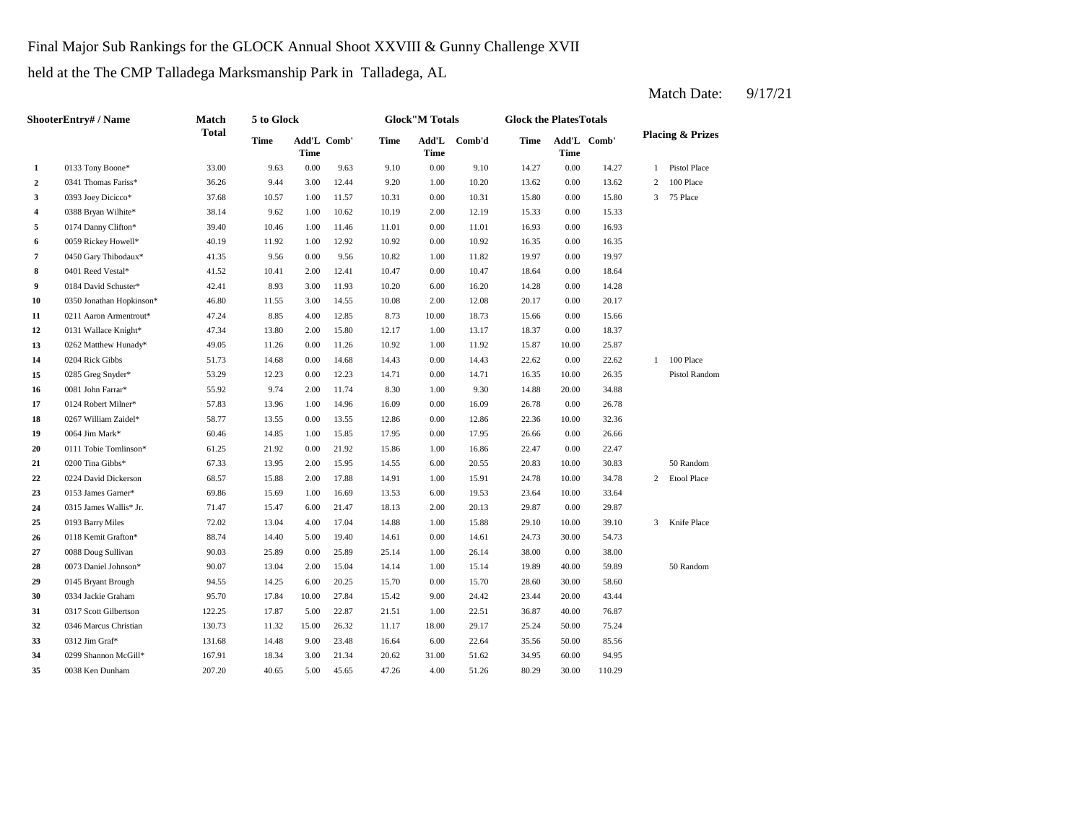Final Major Sub Rankings for the GLOCK Annual Shoot XXVIII & Gunny Challenge XVII

held at the The CMP Talladega Marksmanship Park in Talladega, AL

**2** 1.00 13.62 0341 Thomas Fariss\* 36.26 9.44 3.00 12.44 9.20 10.20 0.00 **3** 0393 Joey Dicicco\* 37.68 10.57 1.00 11.57 10.31 0.00 10.31 15.80 **4** 0388 Bryan Wilhite\* 38.14 9.62 1.00 10.62 10.19 2.00 12.19 15.33 **5** 0174 Danny Clifton\* 39.40 10.46 1.00 11.46 11.01 0.00 11.01 16.93 **6** 0.059 Rickey Howell\* 40.19 11.92 1.00 12.92 10.92 0.00 10.92 16.35 0.00 **7** 0450 Gary Thibodaux\* **41.35** 9.56 0.00 9.56 10.82 1.00 11.82 19.97 0.00 19.97 **8** 0401 Reed Vestal\* **41.52** 10.41 2.00 12.41 10.47 0.00 10.47 18.64 **9** 0184 David Schuster\* **42.41** 8.93 3.00 11.93 10.20 6.00 16.20 14.28 **10** 0350 Jonathan Hopkinson\* 46.80 11.55 3.00 14.55 10.08 2.00 12.08 20.17 0.00 **11** 0211 Aaron Armentrout\* **47.24** 8.85 4.00 12.85 8.73 10.00 18.73 15.66 0.00 15.66 **12** 0131 Wallace Knight\* **47.34** 13.80 2.00 15.80 12.17 1.00 13.17 18.37 **13** 0262 Matthew Hunady\* 49.05 11.26 0.00 11.26 10.92 1.00 11.92 15.87 **14** 0204 Rick Gibbs **14.68** 14.68 **14.68** 14.68 **14.43 14.43 22.62 15** 0.00 16.35 0285 Greg Snyder\* 53.29 12.23 0.00 12.23 14.71 14.71 **16 1081** John Farrar<sup>\*</sup> **16 11.88 11.74 12.00 11.74 11.74 11.00 11.88 11.88 17** 0124 Robert Milner\* **57.83** 13.96 1.00 14.96 16.09 0.00 16.09 26.78 0.00 **18** 0267 William Zaidel\* 58.77 13.55 0.00 13.55 12.86 0.00 12.86 22.36 10.00 32.36 **19** 0.064 Jim Mark\* 60.46 14.85 1.00 15.85 17.95 0.00 17.95 26.66 **20** 0111 Tobie Tomlinson\* 61.25 21.92 0.00 21.92 15.86 1.00 16.86 22.47 **21** 0200 Tina Gibbs\* **67.33** 13.95 2.00 15.95 14.55 6.00 20.55 20.83 **22** 0224 David Dickerson 68.57 15.88 2.00 17.88 14.91 1.00 15.91 24.78 10.00 **23 6.00 19.53 23.64 69.86 15.69 1.00 16.69 13.53 6.00 19.53 23.64 24** 2.00 29.87 0315 James Wallis\* Jr. 71.47 15.47 6.00 21.47 18.13 20.13 0.00 **25** 1.00 **17.04 25** 1.00 **17.04 29.10 25** 1.00 **17.04 29.10 25 26** 0.00 24.73 0118 Kemit Grafton\* 88.74 14.40 5.00 19.40 14.61 14.61 30.00 **27** 0088 Doug Sullivan **128.00** 90.03 25.89 0.00 25.89 25.14 1.00 26.14 38.00 0.00 38.00 **28** 0073 Daniel Johnson\* 90.07 13.04 2.00 15.04 14.14 1.00 15.14 19.89 **29** 0145 Bryant Brough 94.55 14.25 6.00 20.25 15.70 0.00 15.70 28.60 **30** 0334 Jackie Graham **95.70** 17.84 10.00 27.84 15.42 9.00 24.42 23.44 **31** 0317 Scott Gilbertson 122.25 17.87 5.00 22.87 21.51 1.00 22.51 36.87 40.00 **32** 0346 Marcus Christian 130.73 11.32 15.00 26.32 11.17 18.00 29.17 25.24 50.00 75.24 **33 6.00 512 Jim Graf\* 131.68 14.48 9.00 23.48 16.64 6.00 22.64 35.56 34** 0299 Shannon McGill\* 167.91 18.34 3.00 21.34 20.62 31.00 51.62 34.95 **35 47.26 36.29 36.29 41.029 40.65 47.26 4.00 4.00 51.26 80.29 30.00 110.29** 60.00 94.95 0038 Ken Dunham 207.20 40.65 5.00 45.65 47.26 4.00 51.26 80.29 30.00 22.64 50.00 85.56 0312 Jim Graf\* 131.68 14.48 9.00 23.48 16.64 76.87 20.00 43.44 15.70 30.00 58.60 15.14 19.89 40.00 59.89 50 Random 54.73 3 Knife Place 29.87 0193 Barry Miles 6 72.02 13.04 4.00 17.04 14.88 1.00 15.88 29.10 10.00 39.10 10.00 33.64 34.78 2 Etool Place 30.83 50 Random 0.00 22.47 0200 Tina Gibbs\* 67.33 13.95 2.00 15.95 14.55 6.00 20.55 20.83 10.00 17.95 26.66 0.00 26.66 26.78 20.00 34.88 10.00 26.35 Pistol Random 0081 John Farrar\* 55.92 9.74 2.00 11.74 8.30 1.00 9.30 22.62 1 100 Place 10.00 25.87 0204 Rick Gibbs 51.73 14.68 0.00 14.68 14.43 0.00 14.43 22.62 0.00 13.17 0.00 18.37 20.17 0.00 14.28 10.47 0.00 18.64 16.35 0.00 16.93 12.19 0.00 15.33 0.00 15.80 3 75 Place 13.62 2 100 Place 1 Pistol Place **1** 0133 Tony Boone\* 33.00 9.63 0.00 9.63 9.10 0.00 9.10 14.27 0.00 14.27 **Placing & Prizes Time Add'L Time** Add'L Comb' Add'L **Comb'd Time Comb'd Time Add'L Comb' Time ShooterEntry# / Name Match Total 5 to Glock Time Glock"M Totals Glock the PlatesTotals**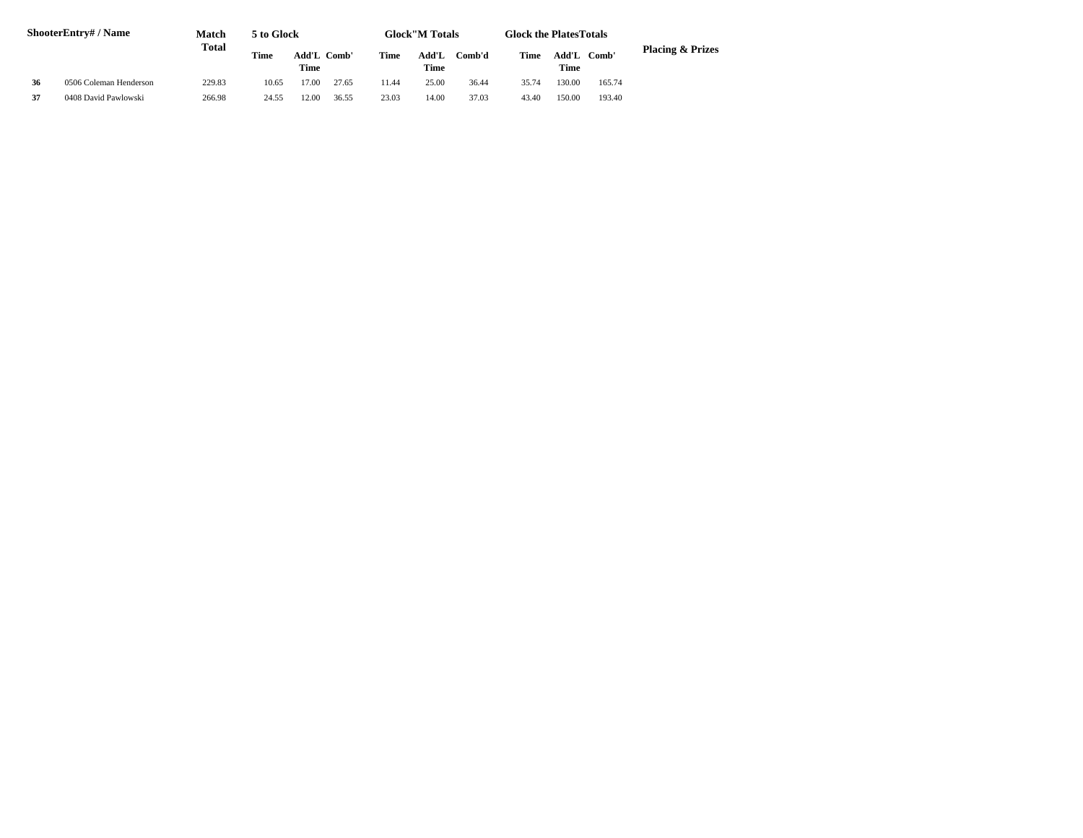| ShooterEntry# / Name |                        | Match  | <b>Glock</b> "M Totals<br>5 to Glock<br><b>Glock the Plates Totals</b> |       |             |       |               |        |       |               |        |                             |
|----------------------|------------------------|--------|------------------------------------------------------------------------|-------|-------------|-------|---------------|--------|-------|---------------|--------|-----------------------------|
|                      |                        | Total  | Time                                                                   | Time  | Add'L Comb' | Time  | Add'L<br>Time | Comb'd | Time  | Add'L<br>Time | Comb'  | <b>Placing &amp; Prizes</b> |
| 36                   | 0506 Coleman Henderson | 229.83 | 10.65                                                                  | 17.00 | 27.65       | 11.44 | 25.00         | 36.44  | 35.74 | 130.00        | 165.74 |                             |
| 37                   | 0408 David Pawlowski   | 266.98 | 24.55                                                                  | 12.00 | 36.55       | 23.03 | 14.00         | 37.03  | 43.40 | 150.00        | 193.40 |                             |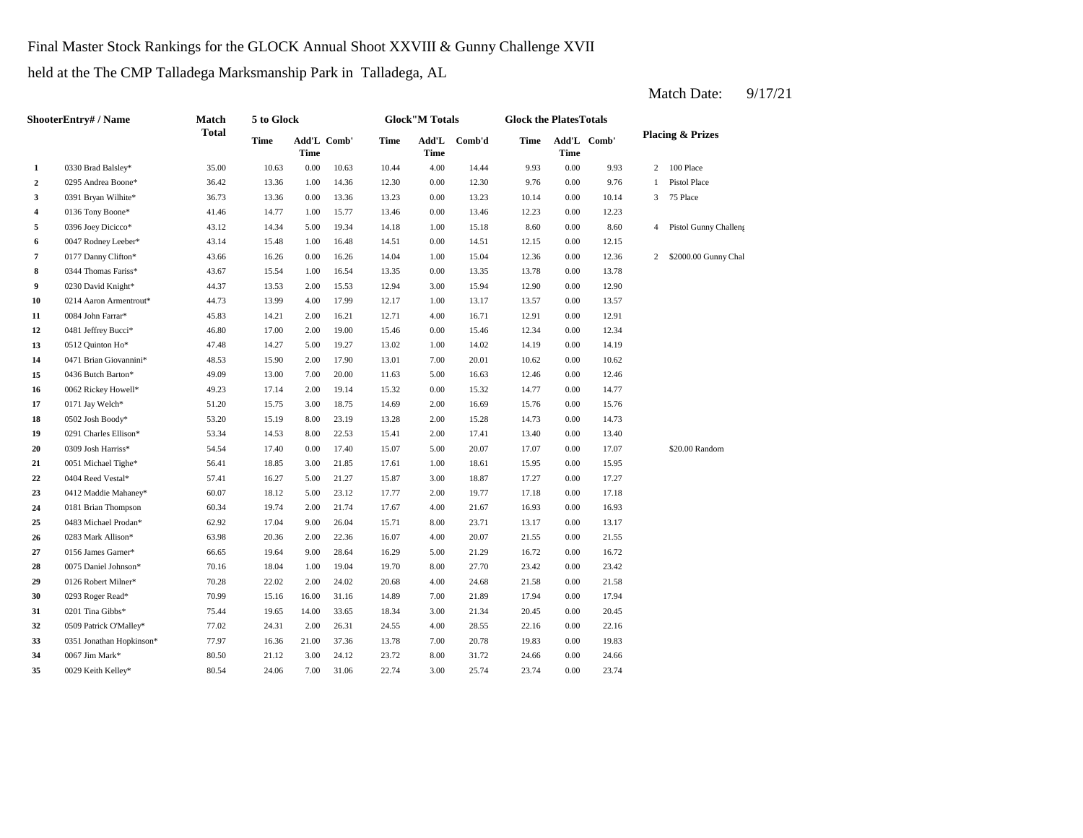Final Master Stock Rankings for the GLOCK Annual Shoot XXVIII & Gunny Challenge XVII

held at the The CMP Talladega Marksmanship Park in Talladega, AL

| <b>ShooterEntry#/Name</b> |                          | Match        | 5 to Glock |          |             |       | <b>Glock</b> "M Totals |              | <b>Glock the PlatesTotals</b> |      |             |                |                             |
|---------------------------|--------------------------|--------------|------------|----------|-------------|-------|------------------------|--------------|-------------------------------|------|-------------|----------------|-----------------------------|
|                           |                          | <b>Total</b> | Time       | Time     | Add'L Comb' | Time  | Time                   | Add'L Comb'd | Time                          | Time | Add'L Comb' |                | <b>Placing &amp; Prizes</b> |
| $\mathbf{1}$              | 0330 Brad Balsley*       | 35.00        | 10.63      | $0.00\,$ | 10.63       | 10.44 | 4.00                   | 14.44        | 9.93                          | 0.00 | 9.93        |                | 2 100 Place                 |
| $\overline{2}$            | 0295 Andrea Boone*       | 36.42        | 13.36      | 1.00     | 14.36       | 12.30 | 0.00                   | 12.30        | 9.76                          | 0.00 | 9.76        | $\mathbf{1}$   | Pistol Place                |
| 3                         | 0391 Bryan Wilhite*      | 36.73        | 13.36      | 0.00     | 13.36       | 13.23 | 0.00                   | 13.23        | 10.14                         | 0.00 | 10.14       | 3 <sup>7</sup> | 75 Place                    |
| 4                         | 0136 Tony Boone*         | 41.46        | 14.77      | 1.00     | 15.77       | 13.46 | 0.00                   | 13.46        | 12.23                         | 0.00 | 12.23       |                |                             |
| 5                         | 0396 Joey Dicicco*       | 43.12        | 14.34      | 5.00     | 19.34       | 14.18 | 1.00                   | 15.18        | 8.60                          | 0.00 | 8.60        |                | 4 Pistol Gunny Challeng     |
| 6                         | 0047 Rodney Leeber*      | 43.14        | 15.48      | 1.00     | 16.48       | 14.51 | 0.00                   | 14.51        | 12.15                         | 0.00 | 12.15       |                |                             |
| 7                         | 0177 Danny Clifton*      | 43.66        | 16.26      | 0.00     | 16.26       | 14.04 | 1.00                   | 15.04        | 12.36                         | 0.00 | 12.36       | 2              | \$2000.00 Gunny Chal        |
| 8                         | 0344 Thomas Fariss*      | 43.67        | 15.54      | 1.00     | 16.54       | 13.35 | 0.00                   | 13.35        | 13.78                         | 0.00 | 13.78       |                |                             |
| 9                         | 0230 David Knight*       | 44.37        | 13.53      | 2.00     | 15.53       | 12.94 | 3.00                   | 15.94        | 12.90                         | 0.00 | 12.90       |                |                             |
| 10                        | 0214 Aaron Armentrout*   | 44.73        | 13.99      | 4.00     | 17.99       | 12.17 | 1.00                   | 13.17        | 13.57                         | 0.00 | 13.57       |                |                             |
| 11                        | 0084 John Farrar*        | 45.83        | 14.21      | 2.00     | 16.21       | 12.71 | 4.00                   | 16.71        | 12.91                         | 0.00 | 12.91       |                |                             |
| 12                        | 0481 Jeffrey Bucci*      | 46.80        | 17.00      | 2.00     | 19.00       | 15.46 | 0.00                   | 15.46        | 12.34                         | 0.00 | 12.34       |                |                             |
| 13                        | 0512 Quinton Ho*         | 47.48        | 14.27      | 5.00     | 19.27       | 13.02 | 1.00                   | 14.02        | 14.19                         | 0.00 | 14.19       |                |                             |
| 14                        | 0471 Brian Giovannini*   | 48.53        | 15.90      | 2.00     | 17.90       | 13.01 | 7.00                   | 20.01        | 10.62                         | 0.00 | 10.62       |                |                             |
| 15                        | 0436 Butch Barton*       | 49.09        | 13.00      | 7.00     | 20.00       | 11.63 | 5.00                   | 16.63        | 12.46                         | 0.00 | 12.46       |                |                             |
| 16                        | 0062 Rickey Howell*      | 49.23        | 17.14      | 2.00     | 19.14       | 15.32 | 0.00                   | 15.32        | 14.77                         | 0.00 | 14.77       |                |                             |
| 17                        | 0171 Jay Welch*          | 51.20        | 15.75      | 3.00     | 18.75       | 14.69 | 2.00                   | 16.69        | 15.76                         | 0.00 | 15.76       |                |                             |
| 18                        | 0502 Josh Boody*         | 53.20        | 15.19      | 8.00     | 23.19       | 13.28 | 2.00                   | 15.28        | 14.73                         | 0.00 | 14.73       |                |                             |
| 19                        | 0291 Charles Ellison*    | 53.34        | 14.53      | 8.00     | 22.53       | 15.41 | 2.00                   | 17.41        | 13.40                         | 0.00 | 13.40       |                |                             |
| 20                        | 0309 Josh Harriss*       | 54.54        | 17.40      | 0.00     | 17.40       | 15.07 | 5.00                   | 20.07        | 17.07                         | 0.00 | 17.07       |                | \$20.00 Random              |
| 21                        | 0051 Michael Tighe*      | 56.41        | 18.85      | 3.00     | 21.85       | 17.61 | 1.00                   | 18.61        | 15.95                         | 0.00 | 15.95       |                |                             |
| 22                        | 0404 Reed Vestal*        | 57.41        | 16.27      | 5.00     | 21.27       | 15.87 | 3.00                   | 18.87        | 17.27                         | 0.00 | 17.27       |                |                             |
| 23                        | 0412 Maddie Mahaney*     | 60.07        | 18.12      | 5.00     | 23.12       | 17.77 | 2.00                   | 19.77        | 17.18                         | 0.00 | 17.18       |                |                             |
| 24                        | 0181 Brian Thompson      | 60.34        | 19.74      | 2.00     | 21.74       | 17.67 | 4.00                   | 21.67        | 16.93                         | 0.00 | 16.93       |                |                             |
| 25                        | 0483 Michael Prodan*     | 62.92        | 17.04      | 9.00     | 26.04       | 15.71 | 8.00                   | 23.71        | 13.17                         | 0.00 | 13.17       |                |                             |
| 26                        | 0283 Mark Allison*       | 63.98        | 20.36      | 2.00     | 22.36       | 16.07 | 4.00                   | 20.07        | 21.55                         | 0.00 | 21.55       |                |                             |
| 27                        | 0156 James Garner*       | 66.65        | 19.64      | 9.00     | 28.64       | 16.29 | 5.00                   | 21.29        | 16.72                         | 0.00 | 16.72       |                |                             |
| 28                        | 0075 Daniel Johnson*     | 70.16        | 18.04      | 1.00     | 19.04       | 19.70 | 8.00                   | 27.70        | 23.42                         | 0.00 | 23.42       |                |                             |
| 29                        | 0126 Robert Milner*      | 70.28        | 22.02      | 2.00     | 24.02       | 20.68 | 4.00                   | 24.68        | 21.58                         | 0.00 | 21.58       |                |                             |
| 30                        | 0293 Roger Read*         | 70.99        | 15.16      | 16.00    | 31.16       | 14.89 | 7.00                   | 21.89        | 17.94                         | 0.00 | 17.94       |                |                             |
| 31                        | 0201 Tina Gibbs*         | 75.44        | 19.65      | 14.00    | 33.65       | 18.34 | 3.00                   | 21.34        | 20.45                         | 0.00 | 20.45       |                |                             |
| 32                        | 0509 Patrick O'Malley*   | 77.02        | 24.31      | 2.00     | 26.31       | 24.55 | 4.00                   | 28.55        | 22.16                         | 0.00 | 22.16       |                |                             |
| 33                        | 0351 Jonathan Hopkinson* | 77.97        | 16.36      | 21.00    | 37.36       | 13.78 | 7.00                   | 20.78        | 19.83                         | 0.00 | 19.83       |                |                             |
| 34                        | 0067 Jim Mark*           | 80.50        | 21.12      | 3.00     | 24.12       | 23.72 | 8.00                   | 31.72        | 24.66                         | 0.00 | 24.66       |                |                             |
| 35                        | 0029 Keith Kelley*       | 80.54        | 24.06      | 7.00     | 31.06       | 22.74 | 3.00                   | 25.74        | 23.74                         | 0.00 | 23.74       |                |                             |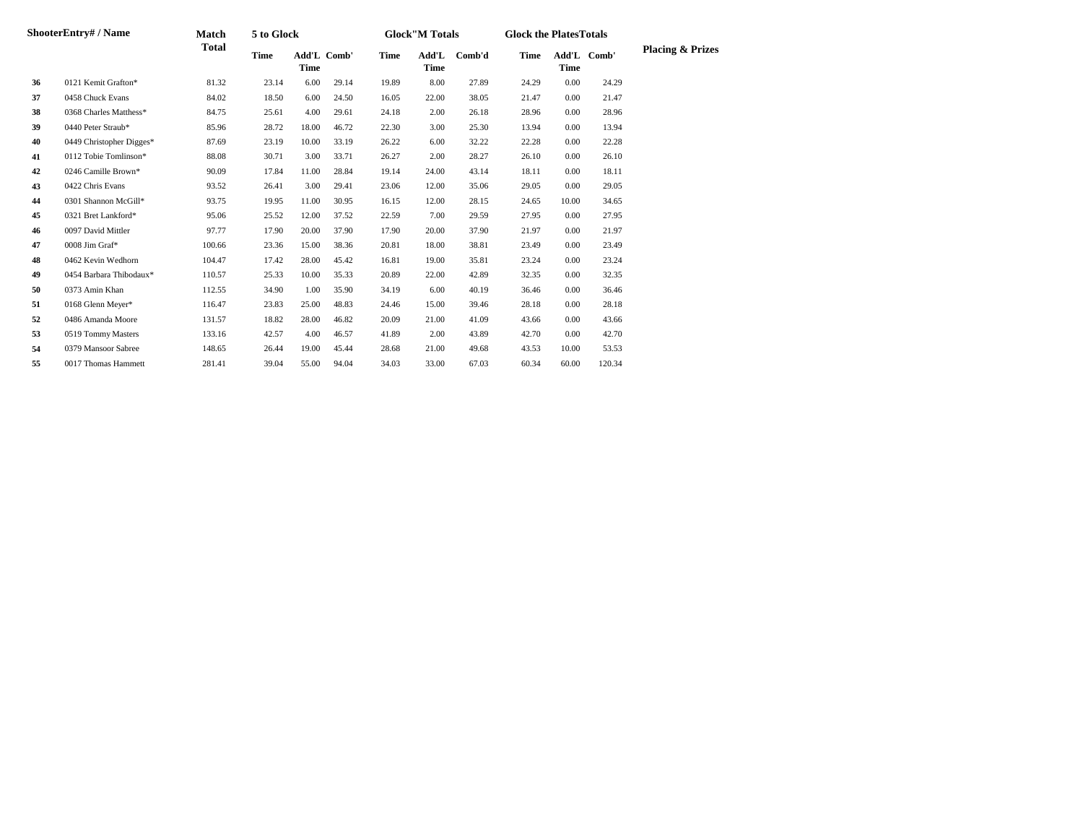| ShooterEntry# / Name |                          | Match  | 5 to Glock  |       |             |       | <b>Glock</b> "M Totals |        | <b>Glock the PlatesTotals</b> |             |             |                             |
|----------------------|--------------------------|--------|-------------|-------|-------------|-------|------------------------|--------|-------------------------------|-------------|-------------|-----------------------------|
|                      |                          | Total  | <b>Time</b> | Time  | Add'L Comb' | Time  | Add'L<br>Time          | Comb'd | Time                          | <b>Time</b> | Add'L Comb' | <b>Placing &amp; Prizes</b> |
| 36                   | 0121 Kemit Grafton*      | 81.32  | 23.14       | 6.00  | 29.14       | 19.89 | 8.00                   | 27.89  | 24.29                         | 0.00        | 24.29       |                             |
| 37                   | 0458 Chuck Evans         | 84.02  | 18.50       | 6.00  | 24.50       | 16.05 | 22.00                  | 38.05  | 21.47                         | 0.00        | 21.47       |                             |
| 38                   | 0368 Charles Matthess*   | 84.75  | 25.61       | 4.00  | 29.61       | 24.18 | 2.00                   | 26.18  | 28.96                         | 0.00        | 28.96       |                             |
| 39                   | 0440 Peter Straub*       | 85.96  | 28.72       | 18.00 | 46.72       | 22.30 | 3.00                   | 25.30  | 13.94                         | 0.00        | 13.94       |                             |
| 40                   | 0449 Christopher Digges* | 87.69  | 23.19       | 10.00 | 33.19       | 26.22 | 6.00                   | 32.22  | 22.28                         | 0.00        | 22.28       |                             |
| 41                   | 0112 Tobie Tomlinson*    | 88.08  | 30.71       | 3.00  | 33.71       | 26.27 | 2.00                   | 28.27  | 26.10                         | 0.00        | 26.10       |                             |
| 42                   | 0246 Camille Brown*      | 90.09  | 17.84       | 11.00 | 28.84       | 19.14 | 24.00                  | 43.14  | 18.11                         | 0.00        | 18.11       |                             |
| 43                   | 0422 Chris Evans         | 93.52  | 26.41       | 3.00  | 29.41       | 23.06 | 12.00                  | 35.06  | 29.05                         | 0.00        | 29.05       |                             |
| 44                   | 0301 Shannon McGill*     | 93.75  | 19.95       | 11.00 | 30.95       | 16.15 | 12.00                  | 28.15  | 24.65                         | 10.00       | 34.65       |                             |
| 45                   | 0321 Bret Lankford*      | 95.06  | 25.52       | 12.00 | 37.52       | 22.59 | 7.00                   | 29.59  | 27.95                         | 0.00        | 27.95       |                             |
| 46                   | 0097 David Mittler       | 97.77  | 17.90       | 20.00 | 37.90       | 17.90 | 20.00                  | 37.90  | 21.97                         | 0.00        | 21.97       |                             |
| 47                   | 0008 Jim Graf*           | 100.66 | 23.36       | 15.00 | 38.36       | 20.81 | 18.00                  | 38.81  | 23.49                         | 0.00        | 23.49       |                             |
| 48                   | 0462 Kevin Wedhorn       | 104.47 | 17.42       | 28.00 | 45.42       | 16.81 | 19.00                  | 35.81  | 23.24                         | 0.00        | 23.24       |                             |
| 49                   | 0454 Barbara Thibodaux*  | 110.57 | 25.33       | 10.00 | 35.33       | 20.89 | 22.00                  | 42.89  | 32.35                         | 0.00        | 32.35       |                             |
| 50                   | 0373 Amin Khan           | 112.55 | 34.90       | 1.00  | 35.90       | 34.19 | 6.00                   | 40.19  | 36.46                         | 0.00        | 36.46       |                             |
| 51                   | 0168 Glenn Meyer*        | 116.47 | 23.83       | 25.00 | 48.83       | 24.46 | 15.00                  | 39.46  | 28.18                         | 0.00        | 28.18       |                             |
| 52                   | 0486 Amanda Moore        | 131.57 | 18.82       | 28.00 | 46.82       | 20.09 | 21.00                  | 41.09  | 43.66                         | 0.00        | 43.66       |                             |
| 53                   | 0519 Tommy Masters       | 133.16 | 42.57       | 4.00  | 46.57       | 41.89 | 2.00                   | 43.89  | 42.70                         | 0.00        | 42.70       |                             |
| 54                   | 0379 Mansoor Sabree      | 148.65 | 26.44       | 19.00 | 45.44       | 28.68 | 21.00                  | 49.68  | 43.53                         | 10.00       | 53.53       |                             |
| 55                   | 0017 Thomas Hammett      | 281.41 | 39.04       | 55.00 | 94.04       | 34.03 | 33.00                  | 67.03  | 60.34                         | 60.00       | 120.34      |                             |
|                      |                          |        |             |       |             |       |                        |        |                               |             |             |                             |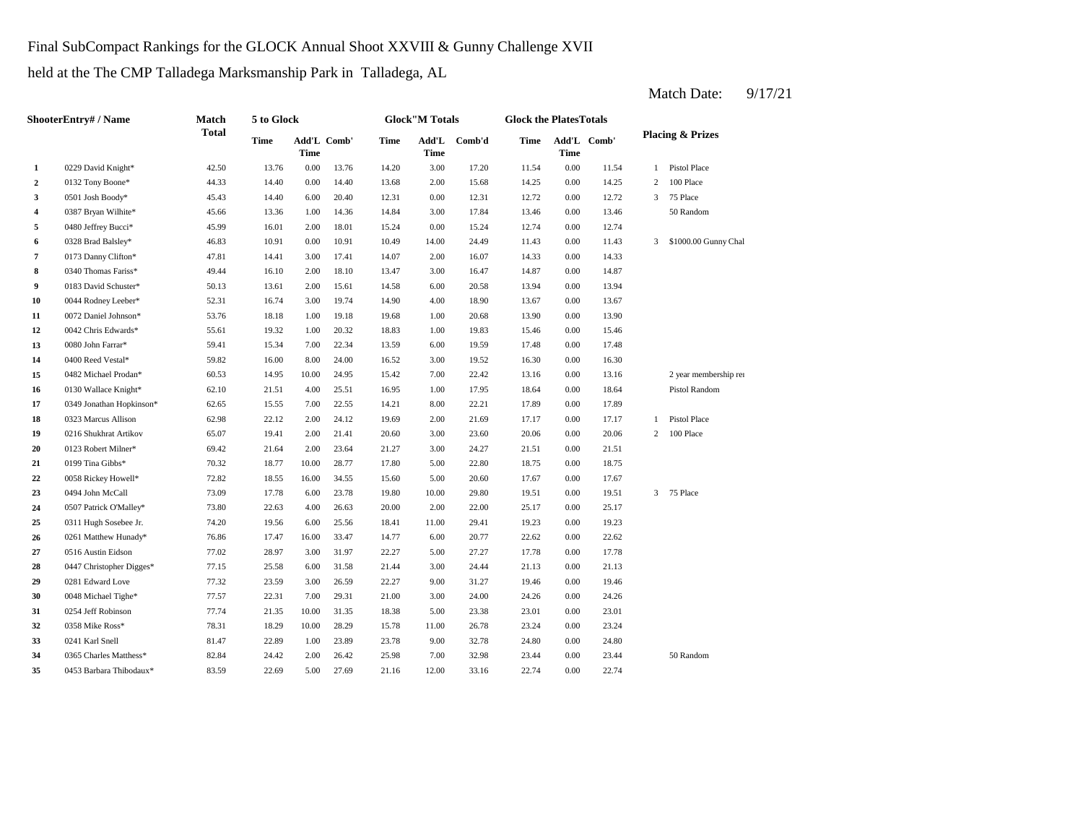Final SubCompact Rankings for the GLOCK Annual Shoot XXVIII & Gunny Challenge XVII

held at the The CMP Talladega Marksmanship Park in Talladega, AL

| <b>ShooterEntry#/Name</b> |                          | Match        | 5 to Glock |                            |       | <b>Glock"M Totals</b> |               |        |       | <b>Glock the PlatesTotals</b> |             |                |                             |  |
|---------------------------|--------------------------|--------------|------------|----------------------------|-------|-----------------------|---------------|--------|-------|-------------------------------|-------------|----------------|-----------------------------|--|
|                           |                          | <b>Total</b> | Time       | Add'L Comb'<br><b>Time</b> |       | Time                  | Add'L<br>Time | Comb'd | Time  | <b>Time</b>                   | Add'L Comb' |                | <b>Placing &amp; Prizes</b> |  |
| 1                         | 0229 David Knight*       | 42.50        | 13.76      | 0.00                       | 13.76 | 14.20                 | 3.00          | 17.20  | 11.54 | $0.00\,$                      | 11.54       | 1              | Pistol Place                |  |
| $\overline{2}$            | 0132 Tony Boone*         | 44.33        | 14.40      | 0.00                       | 14.40 | 13.68                 | 2.00          | 15.68  | 14.25 | 0.00                          | 14.25       | $\overline{c}$ | 100 Place                   |  |
| 3                         | 0501 Josh Boody*         | 45.43        | 14.40      | 6.00                       | 20.40 | 12.31                 | 0.00          | 12.31  | 12.72 | 0.00                          | 12.72       | 3              | 75 Place                    |  |
| $\overline{4}$            | 0387 Bryan Wilhite*      | 45.66        | 13.36      | 1.00                       | 14.36 | 14.84                 | 3.00          | 17.84  | 13.46 | 0.00                          | 13.46       |                | 50 Random                   |  |
| 5                         | 0480 Jeffrey Bucci*      | 45.99        | 16.01      | 2.00                       | 18.01 | 15.24                 | 0.00          | 15.24  | 12.74 | 0.00                          | 12.74       |                |                             |  |
| 6                         | 0328 Brad Balsley*       | 46.83        | 10.91      | 0.00                       | 10.91 | 10.49                 | 14.00         | 24.49  | 11.43 | 0.00                          | 11.43       | 3              | \$1000.00 Gunny Chal        |  |
| $\overline{7}$            | 0173 Danny Clifton*      | 47.81        | 14.41      | 3.00                       | 17.41 | 14.07                 | 2.00          | 16.07  | 14.33 | 0.00                          | 14.33       |                |                             |  |
| 8                         | 0340 Thomas Fariss*      | 49.44        | 16.10      | 2.00                       | 18.10 | 13.47                 | 3.00          | 16.47  | 14.87 | 0.00                          | 14.87       |                |                             |  |
| 9                         | 0183 David Schuster*     | 50.13        | 13.61      | 2.00                       | 15.61 | 14.58                 | 6.00          | 20.58  | 13.94 | 0.00                          | 13.94       |                |                             |  |
| 10                        | 0044 Rodney Leeber*      | 52.31        | 16.74      | 3.00                       | 19.74 | 14.90                 | 4.00          | 18.90  | 13.67 | 0.00                          | 13.67       |                |                             |  |
| 11                        | 0072 Daniel Johnson*     | 53.76        | 18.18      | 1.00                       | 19.18 | 19.68                 | 1.00          | 20.68  | 13.90 | 0.00                          | 13.90       |                |                             |  |
| 12                        | 0042 Chris Edwards*      | 55.61        | 19.32      | 1.00                       | 20.32 | 18.83                 | 1.00          | 19.83  | 15.46 | 0.00                          | 15.46       |                |                             |  |
| 13                        | 0080 John Farrar*        | 59.41        | 15.34      | 7.00                       | 22.34 | 13.59                 | 6.00          | 19.59  | 17.48 | 0.00                          | 17.48       |                |                             |  |
| 14                        | 0400 Reed Vestal*        | 59.82        | 16.00      | 8.00                       | 24.00 | 16.52                 | 3.00          | 19.52  | 16.30 | 0.00                          | 16.30       |                |                             |  |
| 15                        | 0482 Michael Prodan*     | 60.53        | 14.95      | 10.00                      | 24.95 | 15.42                 | 7.00          | 22.42  | 13.16 | 0.00                          | 13.16       |                | 2 year membership rer       |  |
| 16                        | 0130 Wallace Knight*     | 62.10        | 21.51      | 4.00                       | 25.51 | 16.95                 | 1.00          | 17.95  | 18.64 | 0.00                          | 18.64       |                | Pistol Random               |  |
| 17                        | 0349 Jonathan Hopkinson* | 62.65        | 15.55      | 7.00                       | 22.55 | 14.21                 | 8.00          | 22.21  | 17.89 | 0.00                          | 17.89       |                |                             |  |
| 18                        | 0323 Marcus Allison      | 62.98        | 22.12      | 2.00                       | 24.12 | 19.69                 | 2.00          | 21.69  | 17.17 | 0.00                          | 17.17       | $\mathbf{1}$   | Pistol Place                |  |
| 19                        | 0216 Shukhrat Artikov    | 65.07        | 19.41      | 2.00                       | 21.41 | 20.60                 | 3.00          | 23.60  | 20.06 | 0.00                          | 20.06       | $\overline{c}$ | 100 Place                   |  |
| 20                        | 0123 Robert Milner*      | 69.42        | 21.64      | 2.00                       | 23.64 | 21.27                 | 3.00          | 24.27  | 21.51 | 0.00                          | 21.51       |                |                             |  |
| 21                        | 0199 Tina Gibbs*         | 70.32        | 18.77      | 10.00                      | 28.77 | 17.80                 | 5.00          | 22.80  | 18.75 | 0.00                          | 18.75       |                |                             |  |
| 22                        | 0058 Rickey Howell*      | 72.82        | 18.55      | 16.00                      | 34.55 | 15.60                 | 5.00          | 20.60  | 17.67 | 0.00                          | 17.67       |                |                             |  |
| 23                        | 0494 John McCall         | 73.09        | 17.78      | 6.00                       | 23.78 | 19.80                 | 10.00         | 29.80  | 19.51 | 0.00                          | 19.51       | 3              | 75 Place                    |  |
| 24                        | 0507 Patrick O'Malley*   | 73.80        | 22.63      | 4.00                       | 26.63 | 20.00                 | 2.00          | 22.00  | 25.17 | 0.00                          | 25.17       |                |                             |  |
| 25                        | 0311 Hugh Sosebee Jr.    | 74.20        | 19.56      | 6.00                       | 25.56 | 18.41                 | 11.00         | 29.41  | 19.23 | 0.00                          | 19.23       |                |                             |  |
| 26                        | 0261 Matthew Hunady*     | 76.86        | 17.47      | 16.00                      | 33.47 | 14.77                 | 6.00          | 20.77  | 22.62 | 0.00                          | 22.62       |                |                             |  |
| 27                        | 0516 Austin Eidson       | 77.02        | 28.97      | 3.00                       | 31.97 | 22.27                 | 5.00          | 27.27  | 17.78 | 0.00                          | 17.78       |                |                             |  |
| 28                        | 0447 Christopher Digges* | 77.15        | 25.58      | 6.00                       | 31.58 | 21.44                 | 3.00          | 24.44  | 21.13 | 0.00                          | 21.13       |                |                             |  |
| 29                        | 0281 Edward Love         | 77.32        | 23.59      | 3.00                       | 26.59 | 22.27                 | 9.00          | 31.27  | 19.46 | 0.00                          | 19.46       |                |                             |  |
| 30                        | 0048 Michael Tighe*      | 77.57        | 22.31      | 7.00                       | 29.31 | 21.00                 | 3.00          | 24.00  | 24.26 | 0.00                          | 24.26       |                |                             |  |
| 31                        | 0254 Jeff Robinson       | 77.74        | 21.35      | 10.00                      | 31.35 | 18.38                 | 5.00          | 23.38  | 23.01 | 0.00                          | 23.01       |                |                             |  |
| 32                        | 0358 Mike Ross*          | 78.31        | 18.29      | 10.00                      | 28.29 | 15.78                 | 11.00         | 26.78  | 23.24 | 0.00                          | 23.24       |                |                             |  |
| 33                        | 0241 Karl Snell          | 81.47        | 22.89      | 1.00                       | 23.89 | 23.78                 | 9.00          | 32.78  | 24.80 | 0.00                          | 24.80       |                |                             |  |
| 34                        | 0365 Charles Matthess*   | 82.84        | 24.42      | 2.00                       | 26.42 | 25.98                 | 7.00          | 32.98  | 23.44 | 0.00                          | 23.44       |                | 50 Random                   |  |
| 35                        | 0453 Barbara Thibodaux*  | 83.59        | 22.69      | 5.00                       | 27.69 | 21.16                 | 12.00         | 33.16  | 22.74 | 0.00                          | 22.74       |                |                             |  |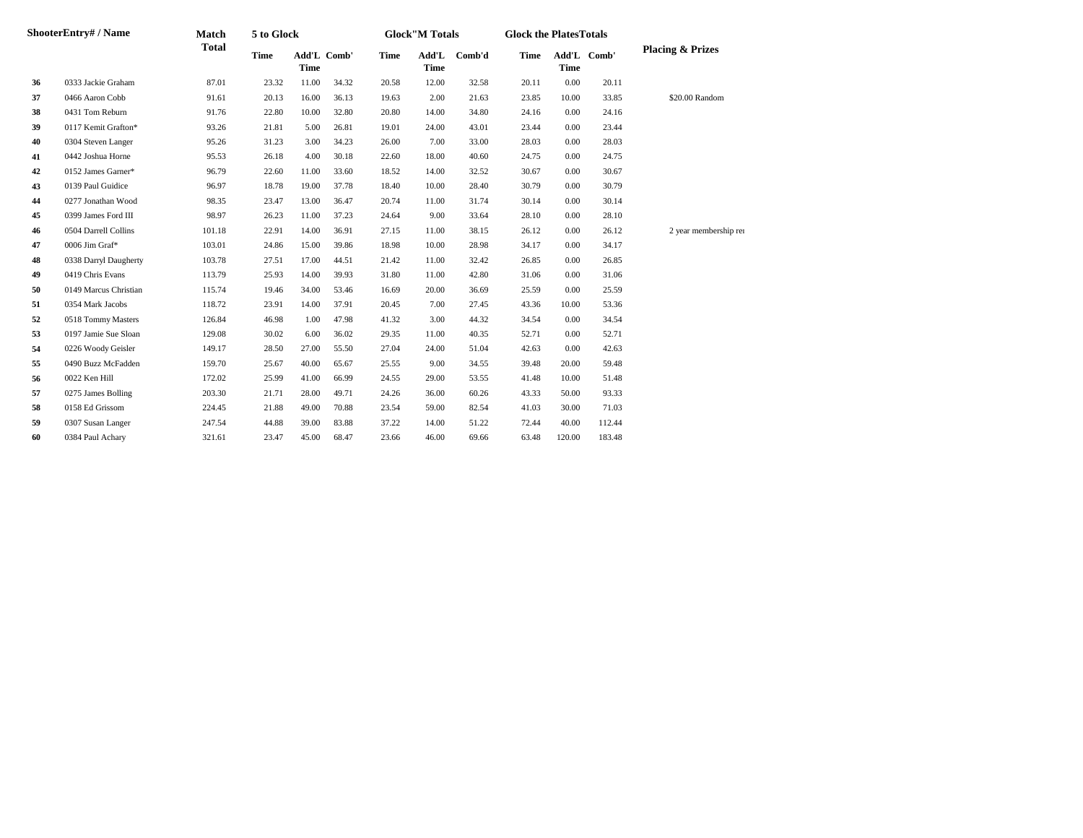| ShooterEntry# / Name |                       | Match        | 5 to Glock  |                            |       |             | <b>Glock"M Totals</b> |        |       | <b>Glock the PlatesTotals</b> |             |                             |  |
|----------------------|-----------------------|--------------|-------------|----------------------------|-------|-------------|-----------------------|--------|-------|-------------------------------|-------------|-----------------------------|--|
|                      |                       | <b>Total</b> | <b>Time</b> | Add'L Comb'<br><b>Time</b> |       | <b>Time</b> | Add'L<br><b>Time</b>  | Comb'd | Time  | <b>Time</b>                   | Add'L Comb' | <b>Placing &amp; Prizes</b> |  |
| 36                   | 0333 Jackie Graham    | 87.01        | 23.32       | 11.00                      | 34.32 | 20.58       | 12.00                 | 32.58  | 20.11 | 0.00                          | 20.11       |                             |  |
| 37                   | 0466 Aaron Cobb       | 91.61        | 20.13       | 16.00                      | 36.13 | 19.63       | 2.00                  | 21.63  | 23.85 | 10.00                         | 33.85       | \$20.00 Random              |  |
| 38                   | 0431 Tom Reburn       | 91.76        | 22.80       | 10.00                      | 32.80 | 20.80       | 14.00                 | 34.80  | 24.16 | 0.00                          | 24.16       |                             |  |
| 39                   | 0117 Kemit Grafton*   | 93.26        | 21.81       | 5.00                       | 26.81 | 19.01       | 24.00                 | 43.01  | 23.44 | 0.00                          | 23.44       |                             |  |
| 40                   | 0304 Steven Langer    | 95.26        | 31.23       | 3.00                       | 34.23 | 26.00       | 7.00                  | 33.00  | 28.03 | 0.00                          | 28.03       |                             |  |
| 41                   | 0442 Joshua Horne     | 95.53        | 26.18       | 4.00                       | 30.18 | 22.60       | 18.00                 | 40.60  | 24.75 | 0.00                          | 24.75       |                             |  |
| 42                   | 0152 James Garner*    | 96.79        | 22.60       | 11.00                      | 33.60 | 18.52       | 14.00                 | 32.52  | 30.67 | 0.00                          | 30.67       |                             |  |
| 43                   | 0139 Paul Guidice     | 96.97        | 18.78       | 19.00                      | 37.78 | 18.40       | 10.00                 | 28.40  | 30.79 | 0.00                          | 30.79       |                             |  |
| 44                   | 0277 Jonathan Wood    | 98.35        | 23.47       | 13.00                      | 36.47 | 20.74       | 11.00                 | 31.74  | 30.14 | 0.00                          | 30.14       |                             |  |
| 45                   | 0399 James Ford III   | 98.97        | 26.23       | 11.00                      | 37.23 | 24.64       | 9.00                  | 33.64  | 28.10 | 0.00                          | 28.10       |                             |  |
| 46                   | 0504 Darrell Collins  | 101.18       | 22.91       | 14.00                      | 36.91 | 27.15       | 11.00                 | 38.15  | 26.12 | 0.00                          | 26.12       | 2 year membership rer       |  |
| 47                   | 0006 Jim Graf*        | 103.01       | 24.86       | 15.00                      | 39.86 | 18.98       | 10.00                 | 28.98  | 34.17 | 0.00                          | 34.17       |                             |  |
| 48                   | 0338 Darryl Daugherty | 103.78       | 27.51       | 17.00                      | 44.51 | 21.42       | 11.00                 | 32.42  | 26.85 | 0.00                          | 26.85       |                             |  |
| 49                   | 0419 Chris Evans      | 113.79       | 25.93       | 14.00                      | 39.93 | 31.80       | 11.00                 | 42.80  | 31.06 | 0.00                          | 31.06       |                             |  |
| 50                   | 0149 Marcus Christian | 115.74       | 19.46       | 34.00                      | 53.46 | 16.69       | 20.00                 | 36.69  | 25.59 | 0.00                          | 25.59       |                             |  |
| 51                   | 0354 Mark Jacobs      | 118.72       | 23.91       | 14.00                      | 37.91 | 20.45       | 7.00                  | 27.45  | 43.36 | 10.00                         | 53.36       |                             |  |
| 52                   | 0518 Tommy Masters    | 126.84       | 46.98       | 1.00                       | 47.98 | 41.32       | 3.00                  | 44.32  | 34.54 | 0.00                          | 34.54       |                             |  |
| 53                   | 0197 Jamie Sue Sloan  | 129.08       | 30.02       | 6.00                       | 36.02 | 29.35       | 11.00                 | 40.35  | 52.71 | 0.00                          | 52.71       |                             |  |
| 54                   | 0226 Woody Geisler    | 149.17       | 28.50       | 27.00                      | 55.50 | 27.04       | 24.00                 | 51.04  | 42.63 | 0.00                          | 42.63       |                             |  |
| 55                   | 0490 Buzz McFadden    | 159.70       | 25.67       | 40.00                      | 65.67 | 25.55       | 9.00                  | 34.55  | 39.48 | 20.00                         | 59.48       |                             |  |
| 56                   | 0022 Ken Hill         | 172.02       | 25.99       | 41.00                      | 66.99 | 24.55       | 29.00                 | 53.55  | 41.48 | 10.00                         | 51.48       |                             |  |
| 57                   | 0275 James Bolling    | 203.30       | 21.71       | 28.00                      | 49.71 | 24.26       | 36.00                 | 60.26  | 43.33 | 50.00                         | 93.33       |                             |  |
| 58                   | 0158 Ed Grissom       | 224.45       | 21.88       | 49.00                      | 70.88 | 23.54       | 59.00                 | 82.54  | 41.03 | 30.00                         | 71.03       |                             |  |
| 59                   | 0307 Susan Langer     | 247.54       | 44.88       | 39.00                      | 83.88 | 37.22       | 14.00                 | 51.22  | 72.44 | 40.00                         | 112.44      |                             |  |
| 60                   | 0384 Paul Achary      | 321.61       | 23.47       | 45.00                      | 68.47 | 23.66       | 46.00                 | 69.66  | 63.48 | 120.00                        | 183.48      |                             |  |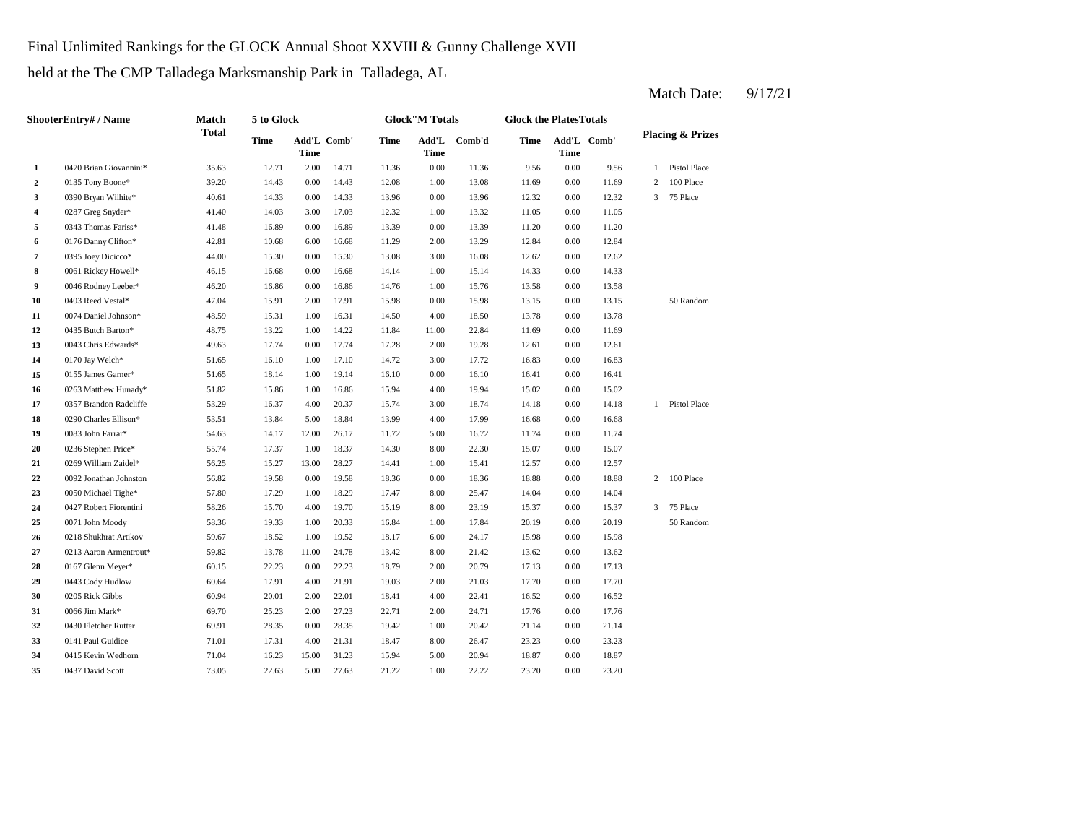Final Unlimited Rankings for the GLOCK Annual Shoot XXVIII & Gunny Challenge XVII

held at the The CMP Talladega Marksmanship Park in Talladega, AL

**2** 0135 Tony Boone\* 39.20 14.43 0.00 14.43 12.08 1.00 13.08 11.69 **3** 0390 Bryan Wilhite\* 40.61 14.33 0.00 14.33 13.96 0.00 13.96 12.32 **4** 1.05 0287 Greg Snyder\* **41.40** 14.03 3.00 17.03 12.32 1.00 13.32 11.05 **5** 0.00 11.20 0343 Thomas Fariss\* 41.48 16.89 0.00 16.89 13.39 **6** 0176 Danny Clifton\* 42.81 10.68 6.00 16.68 11.29 2.00 13.29 12.84 **7** 3395 Joey Dicicco\* 44.00 15.30 0.00 15.30 13.08 3.00 16.08 12.62 0.00 **8** 0061 Rickey Howell\* 46.15 16.68 0.00 16.68 14.14 1.00 15.14 14.33 0.00 14.33 **9** 0046 Rodney Leeber\* **46.20** 16.86 0.00 16.86 14.76 1.00 15.76 13.58 **10** 0403 Reed Vestal\* **47.04** 15.91 2.00 17.91 15.98 0.00 15.98 13.15 **11**  $0074$  Daniel Johnson\* 48.59 15.31 1.00 16.31 14.50 4.00 18.50 13.78 **12** 0435 Butch Barton\* 48.75 13.22 1.00 14.22 11.84 11.00 22.84 11.69 0.00 **13** 0043 Chris Edwards\* **49.63** 17.74 0.00 17.74 17.28 2.00 19.28 12.61 0.00 12.61 **14**  $0.170 \text{ Jay Welch*}$  51.65 16.10 1.00 17.10 14.72 3.00 17.72 16.83 **15** 0.05 James Garner\* 51.65 18.14 1.00 19.14 16.10 0.00 16.10 16.41 **16** 0263 Matthew Hunady\* 51.82 15.86 1.00 16.86 15.94 4.00 19.94 15.02 0.00 **17** 0357 Brandon Radcliffe 53.29 16.37 4.00 20.37 15.74 3.00 18.74 14.18 0.00 14.18 **18** 0290 Charles Ellison\* 53.51 13.84 5.00 18.84 13.99 4.00 17.99 16.68 0.00 **19** 0083 John Farrar\* **54.63** 14.17 12.00 26.17 11.72 5.00 16.72 11.74 0.00 11.74 **20** 0236 Stephen Price\* 55.74 17.37 1.00 18.37 14.30 8.00 22.30 15.07 **21** 0269 William Zaidel\* 56.25 15.27 13.00 28.27 14.41 1.00 15.41 1.2.57 **22** 0.00 18.88 0092 Jonathan Johnston 56.82 19.58 0.00 19.58 18.36 18.36 0.00 **23** 8.00 16.050 Michael Tighe\* 57.80 17.29 1.00 18.29 17.47 8.00 25.47 14.04 **24** 8.00 15.37 0427 Robert Fiorentini 58.26 15.70 4.00 19.70 15.19 23.19 0.00 **25** 10071 John Moody **28.36** 19.33 1.00 20.33 16.84 1.00 17.84 20.19 **26** 0218 Shukhrat Artikov 59.67 18.52 1.00 19.52 18.17 6.00 24.17 15.98 **27** 0213 Aaron Armentrout\* 59.82 13.78 11.00 24.78 13.42 8.00 21.42 13.62 0.00 **28** 0167 Glenn Meyer\* 60.15 22.23 0.00 22.23 18.79 2.00 20.79 17.13 0.00 17.13 **29** 0443 Cody Hudlow 60.64 17.91 4.00 21.91 19.03 2.00 21.03 17.70 **30** 0205 Rick Gibbs 60.94 20.01 2.00 22.01 18.41 4.00 22.41 16.52 **31** 0066 Jim Mark\* 69.70 25.23 2.00 27.23 22.71 2.00 24.71 17.76 **32** 1.00 21.14 0430 Fletcher Rutter 69.91 28.35 0.00 28.35 19.42 20.42 0.00 21.14 **33** 8.00 **26.47** 8.00 **26.47** 8.00 **26.47** 8.00 **26.47** 8.00 **26.47** 8.00 **26.47** 8.00 **26.47** 8.00 **26.47** 8.00 **26.47** 8.00 **26.47** 8.00 **26.47** 8.00 **26.47** 8.00 **26.47** 8.00 **26.47** 8.00 **26.47** 8.00 **26.47** 8.00 **26. 34** 0415 Kevin Wedhorn 71.04 16.23 15.00 31.23 15.94 5.00 20.94 18.87 **35** 10437 David Scott 1 100 23.20 1.00 27.63 21.22 1.00 22.22 23.20 1.00 23.20 0.00 18.87 0437 David Scott 73.05 22.63 5.00 27.63 21.22 22.22 0.00 26.47 0.00 23.23 0141 Paul Guidice 21.01 17.31 4.00 21.31 18.47 17.76 0.00 16.52 0066 Jim Mark\* 69.70 25.23 2.00 27.23 22.71 2.00 24.71 17.76 0.00 21.03 0.00 17.70 13.62 0.00 15.98 0.00 20.19 50 Random 15.37 3 75 Place 0071 John Moody 58.36 19.33 1.00 20.33 16.84 1.00 17.84 0.00 14.04 18.88 2 100 Place 0.00 12.57 22.30 0.00 15.07 16.68 1 Pistol Place 15.02 0.00 16.41 17.72 16.83 0.00 16.83 0170 Jay Welch\* 51.65 16.10 1.00 17.10 14.72 11.69 0.00 13.78 0.00 13.15 50 Random 15.76 0.00 13.58 12.62 0.00 12.84 13.39 0.00 11.20 12.32 1.00 13.32 11.05 0.00 11.05 13.96 12.32 0.00 12.32 3 75 Place 0.00 11.69 2 100 Place 9.56 1 Pistol Place 14.71 11.36 0.00 11.36 9.56 0.00 **Add'L Time Comb'd Time Add'L Comb' Time 1** 0470 Brian Giovannini\* 35.63 12.71 2.00 **ShooterEntry# / Name Match Total 5 to Glock Time Glock"M Totals Glock the PlatesTotals Placing & Prizes Time Add'L Time** Add'L Comb' **Time**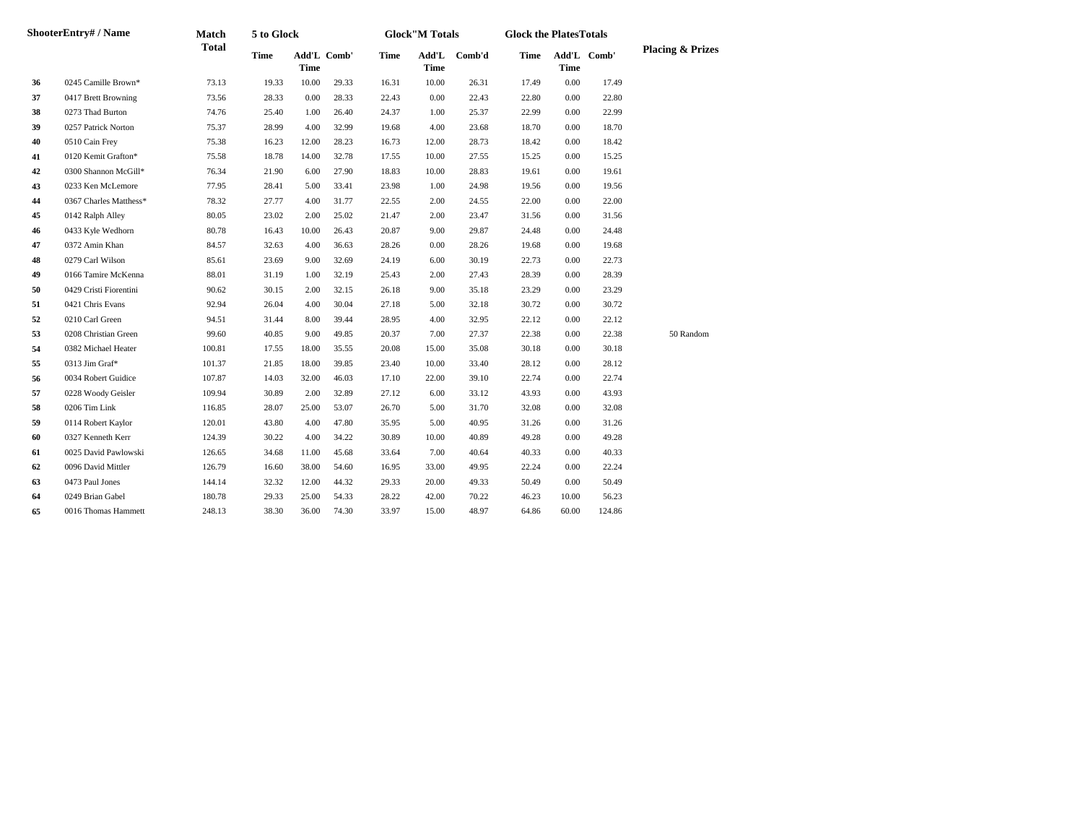| ShooterEntry# / Name |                        | Match        | 5 to Glock  |             |             | <b>Glock"M Totals</b><br><b>Glock the PlatesTotals</b> |                      |        |             |             |             |                             |
|----------------------|------------------------|--------------|-------------|-------------|-------------|--------------------------------------------------------|----------------------|--------|-------------|-------------|-------------|-----------------------------|
|                      |                        | <b>Total</b> | <b>Time</b> | <b>Time</b> | Add'L Comb' | <b>Time</b>                                            | Add'L<br><b>Time</b> | Comb'd | <b>Time</b> | <b>Time</b> | Add'L Comb' | <b>Placing &amp; Prizes</b> |
| 36                   | 0245 Camille Brown*    | 73.13        | 19.33       | 10.00       | 29.33       | 16.31                                                  | 10.00                | 26.31  | 17.49       | 0.00        | 17.49       |                             |
| 37                   | 0417 Brett Browning    | 73.56        | 28.33       | $0.00\,$    | 28.33       | 22.43                                                  | $0.00\,$             | 22.43  | 22.80       | 0.00        | 22.80       |                             |
| 38                   | 0273 Thad Burton       | 74.76        | 25.40       | 1.00        | 26.40       | 24.37                                                  | 1.00                 | 25.37  | 22.99       | 0.00        | 22.99       |                             |
| 39                   | 0257 Patrick Norton    | 75.37        | 28.99       | 4.00        | 32.99       | 19.68                                                  | 4.00                 | 23.68  | 18.70       | 0.00        | 18.70       |                             |
| 40                   | 0510 Cain Frey         | 75.38        | 16.23       | 12.00       | 28.23       | 16.73                                                  | 12.00                | 28.73  | 18.42       | 0.00        | 18.42       |                             |
| 41                   | 0120 Kemit Grafton*    | 75.58        | 18.78       | 14.00       | 32.78       | 17.55                                                  | 10.00                | 27.55  | 15.25       | 0.00        | 15.25       |                             |
| 42                   | 0300 Shannon McGill*   | 76.34        | 21.90       | 6.00        | 27.90       | 18.83                                                  | 10.00                | 28.83  | 19.61       | 0.00        | 19.61       |                             |
| 43                   | 0233 Ken McLemore      | 77.95        | 28.41       | 5.00        | 33.41       | 23.98                                                  | 1.00                 | 24.98  | 19.56       | 0.00        | 19.56       |                             |
| 44                   | 0367 Charles Matthess* | 78.32        | 27.77       | 4.00        | 31.77       | 22.55                                                  | 2.00                 | 24.55  | 22.00       | 0.00        | 22.00       |                             |
| 45                   | 0142 Ralph Alley       | 80.05        | 23.02       | 2.00        | 25.02       | 21.47                                                  | 2.00                 | 23.47  | 31.56       | 0.00        | 31.56       |                             |
| 46                   | 0433 Kyle Wedhorn      | 80.78        | 16.43       | 10.00       | 26.43       | 20.87                                                  | 9.00                 | 29.87  | 24.48       | 0.00        | 24.48       |                             |
| 47                   | 0372 Amin Khan         | 84.57        | 32.63       | 4.00        | 36.63       | 28.26                                                  | 0.00                 | 28.26  | 19.68       | 0.00        | 19.68       |                             |
| 48                   | 0279 Carl Wilson       | 85.61        | 23.69       | 9.00        | 32.69       | 24.19                                                  | 6.00                 | 30.19  | 22.73       | 0.00        | 22.73       |                             |
| 49                   | 0166 Tamire McKenna    | 88.01        | 31.19       | 1.00        | 32.19       | 25.43                                                  | 2.00                 | 27.43  | 28.39       | 0.00        | 28.39       |                             |
| 50                   | 0429 Cristi Fiorentini | 90.62        | 30.15       | 2.00        | 32.15       | 26.18                                                  | 9.00                 | 35.18  | 23.29       | 0.00        | 23.29       |                             |
| 51                   | 0421 Chris Evans       | 92.94        | 26.04       | 4.00        | 30.04       | 27.18                                                  | 5.00                 | 32.18  | 30.72       | 0.00        | 30.72       |                             |
| 52                   | 0210 Carl Green        | 94.51        | 31.44       | 8.00        | 39.44       | 28.95                                                  | 4.00                 | 32.95  | 22.12       | 0.00        | 22.12       |                             |
| 53                   | 0208 Christian Green   | 99.60        | 40.85       | 9.00        | 49.85       | 20.37                                                  | 7.00                 | 27.37  | 22.38       | 0.00        | 22.38       | 50 Random                   |
| 54                   | 0382 Michael Heater    | 100.81       | 17.55       | 18.00       | 35.55       | 20.08                                                  | 15.00                | 35.08  | 30.18       | 0.00        | 30.18       |                             |
| 55                   | 0313 Jim Graf*         | 101.37       | 21.85       | 18.00       | 39.85       | 23.40                                                  | 10.00                | 33.40  | 28.12       | 0.00        | 28.12       |                             |
| 56                   | 0034 Robert Guidice    | 107.87       | 14.03       | 32.00       | 46.03       | 17.10                                                  | 22.00                | 39.10  | 22.74       | 0.00        | 22.74       |                             |
| 57                   | 0228 Woody Geisler     | 109.94       | 30.89       | 2.00        | 32.89       | 27.12                                                  | 6.00                 | 33.12  | 43.93       | 0.00        | 43.93       |                             |
| 58                   | 0206 Tim Link          | 116.85       | 28.07       | 25.00       | 53.07       | 26.70                                                  | 5.00                 | 31.70  | 32.08       | 0.00        | 32.08       |                             |
| 59                   | 0114 Robert Kaylor     | 120.01       | 43.80       | 4.00        | 47.80       | 35.95                                                  | 5.00                 | 40.95  | 31.26       | 0.00        | 31.26       |                             |
| 60                   | 0327 Kenneth Kerr      | 124.39       | 30.22       | 4.00        | 34.22       | 30.89                                                  | 10.00                | 40.89  | 49.28       | 0.00        | 49.28       |                             |
| 61                   | 0025 David Pawlowski   | 126.65       | 34.68       | 11.00       | 45.68       | 33.64                                                  | 7.00                 | 40.64  | 40.33       | 0.00        | 40.33       |                             |
| 62                   | 0096 David Mittler     | 126.79       | 16.60       | 38.00       | 54.60       | 16.95                                                  | 33.00                | 49.95  | 22.24       | 0.00        | 22.24       |                             |
| 63                   | 0473 Paul Jones        | 144.14       | 32.32       | 12.00       | 44.32       | 29.33                                                  | 20.00                | 49.33  | 50.49       | 0.00        | 50.49       |                             |
| 64                   | 0249 Brian Gabel       | 180.78       | 29.33       | 25.00       | 54.33       | 28.22                                                  | 42.00                | 70.22  | 46.23       | 10.00       | 56.23       |                             |
| 65                   | 0016 Thomas Hammett    | 248.13       | 38.30       | 36.00       | 74.30       | 33.97                                                  | 15.00                | 48.97  | 64.86       | 60.00       | 124.86      |                             |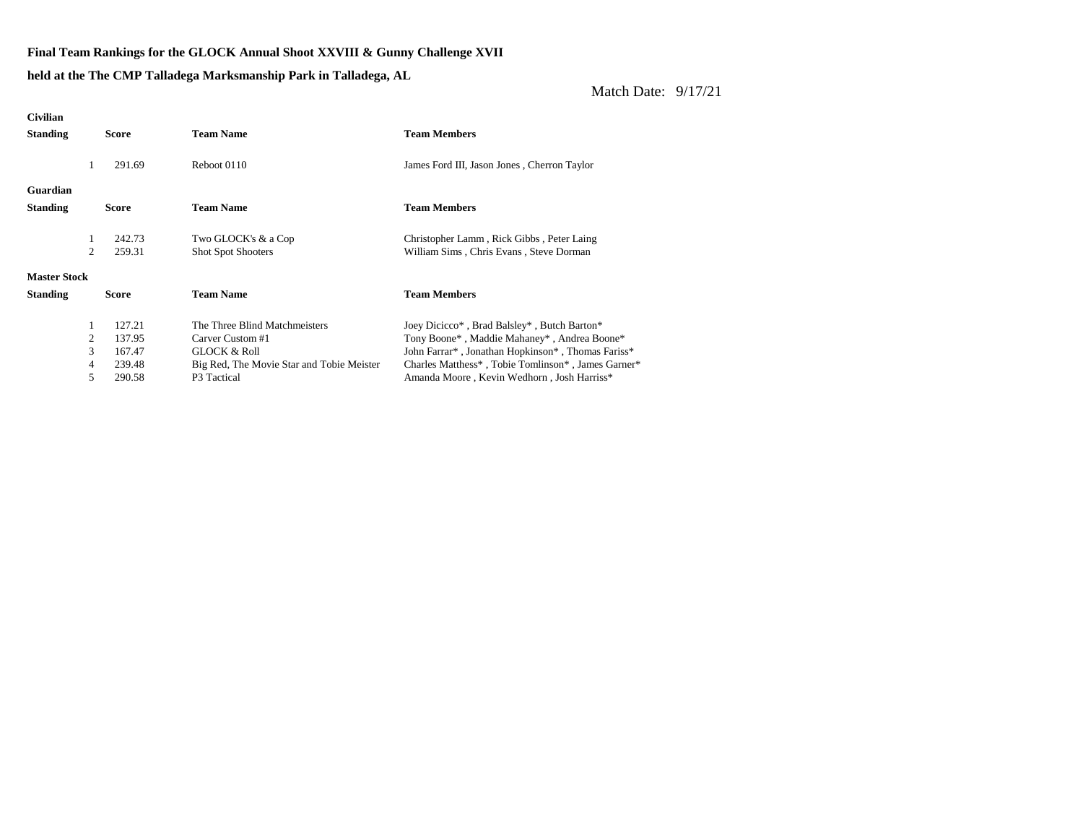**Final Team Rankings for the GLOCK Annual Shoot XXVIII & Gunny Challenge XVII**

## **held at the The CMP Talladega Marksmanship Park in Talladega, AL**

| <b>Civilian</b>     |   |        |                                           |                                                    |
|---------------------|---|--------|-------------------------------------------|----------------------------------------------------|
| <b>Standing</b>     |   | Score  | <b>Team Name</b>                          | <b>Team Members</b>                                |
|                     |   |        |                                           |                                                    |
|                     |   | 291.69 | Reboot 0110                               | James Ford III, Jason Jones, Cherron Taylor        |
|                     |   |        |                                           |                                                    |
| Guardian            |   |        |                                           |                                                    |
| <b>Standing</b>     |   | Score  | <b>Team Name</b>                          | <b>Team Members</b>                                |
|                     |   |        |                                           |                                                    |
|                     |   | 242.73 | Two GLOCK's & a Cop                       | Christopher Lamm, Rick Gibbs, Peter Laing          |
|                     | 2 | 259.31 | <b>Shot Spot Shooters</b>                 | William Sims, Chris Evans, Steve Dorman            |
| <b>Master Stock</b> |   |        |                                           |                                                    |
| <b>Standing</b>     |   | Score  | <b>Team Name</b>                          | <b>Team Members</b>                                |
|                     | 1 | 127.21 | The Three Blind Matchmeisters             |                                                    |
|                     | 2 | 137.95 | Carver Custom #1                          | Joey Dicicco*, Brad Balsley*, Butch Barton*        |
|                     |   |        |                                           | Tony Boone*, Maddie Mahaney*, Andrea Boone*        |
|                     | 3 | 167.47 | <b>GLOCK &amp; Roll</b>                   | John Farrar*, Jonathan Hopkinson*, Thomas Fariss*  |
|                     | 4 | 239.48 | Big Red, The Movie Star and Tobie Meister | Charles Matthess*, Tobie Tomlinson*, James Garner* |
|                     | 5 | 290.58 | P3 Tactical                               | Amanda Moore, Kevin Wedhorn, Josh Harriss*         |